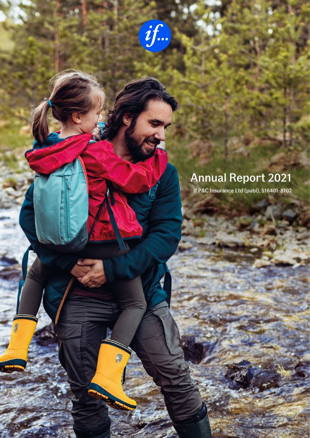黎

R

# Annual Report 2021

If P&C Insurance Ltd (publ), 516401-8102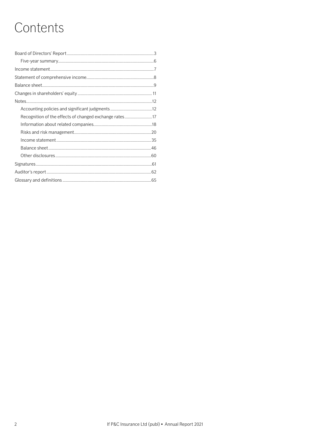# Contents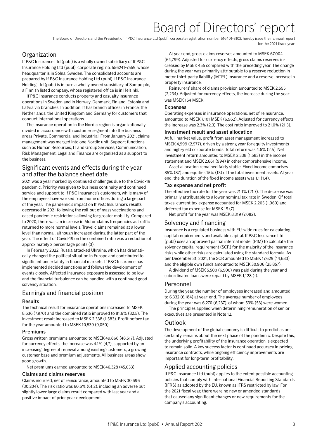# Board of Directors' report

The Board of Directors and the President of If P&C Insurance Ltd (publ), corporate registration number 516401-8102, hereby issue their annual report for the 2021 fiscal year.

# <span id="page-2-0"></span>**Organization**

If P&C Insurance Ltd (publ) is a wholly owned subsidiary of If P&C Insurance Holding Ltd (publ), corporate reg. no. 556241-7559, whose headquarter is in Solna, Sweden. The consolidated accounts are prepared by If P&C Insurance Holding Ltd (publ). If P&C Insurance Holding Ltd (publ) is in turn a wholly owned subsidiary of Sampo plc, a Finnish listed company, whose registered office is in Helsinki.

If P&C Insurance conducts property and casualty insurance operations in Sweden and in Norway, Denmark, Finland, Estonia and Latvia via branches. In addition, If has branch offices in France, the Netherlands, the United Kingdom and Germany for customers that conduct international operations.

The insurance operation in the Nordic region is organizationally divided in accordance with customer segment into the business areas Private, Commercial and Industrial. From January 2021, claims management was merged into one Nordic unit. Support functions such as Human Resources, IT and Group Services, Communication, Risk Management, Legal and Finance are organized as a support to the business.

# Significant events and effects during the year and after the balance sheet date

2021 was a year marked by continued challenges due to the Covid-19 pandemic. Priority was given to business continuity and continued service and support to If P&C Insurance's customers, while many of the employees have worked from home offices during a large part of the year. The pandemic's impact on If P&C Insurance's results decreased in 2021 following the roll-out of mass vaccinations and eased pandemic restrictions allowing for greater mobility. Compared to 2020, there was an increase in Motor claims frequencies as traffic returned to more normal levels. Travel claims remained at a lower level than normal, although increased during the latter part of the year. The effect of Covid-19 on the combined ratio was a reduction of approximately 2 percentage points (3).

In February 2022, Russia attacked Ukraine, which has dramatically changed the political situation in Europe and contributed to significant uncertainty in financial markets. If P&C Insurance has implemented decided sanctions and follows the development of events closely. Affected insurance exposure is assessed to be low and the financial turbulence can be handled with a continued good solvency situation.

# Earnings and financial position

# Results

The technical result for insurance operations increased to MSEK 8,636 (7,970) and the combined ratio improved to 81.6% (82.5). The investment result increased to MSEK 2,338 (1,583). Profit before tax for the year amounted to MSEK 10,539 (9,050).

# Premiums

Gross written premiums amounted to MSEK 49,866 (48,517). Adjusted for currency effects, the increase was 4.1% (4,7), supported by an increasing degree of renewal among existing customers, a growing customer base and premium adjustments. All business areas show good growth.

Net premiums earned amounted to MSEK 46,328 (45,033).

## Claims and claims reserves

Claims incurred, net of reinsurance, amounted to MSEK 30,696 (30,204). The risk ratio was 60.6% (61.2), including an adverse but slightly lower large claims result compared with last year and a positive impact of prior year development.

At year end, gross claims reserves amounted to MSEK 67,004 (64,799). Adjusted for currency effects, gross claims reserves increased by MSEK 455 compared with the preceding year. The change during the year was primarily attributable to a reserve reduction in motor third-party liability (MTPL) insurance and a reserve increase in property insurance.

Reinsurers' share of claims provision amounted to MSEK 2,555 (2,234). Adjusted for currency effects, the increase during the year was MSEK 154 MSEK.

# Expenses

Operating expenses in insurance operations, net of reinsurance, amounted to MSEK 7,101 MSEK (6,962). Adjusted for currency effects, the increase was 2.3% (2.3). The cost ratio improved to 21.0% (21.3).

# Investment result and asset allocation

At full market value, profit from asset management increased to MSEK 4,999 (2,577), driven by a strong year for equity investments and high-yield corporate bonds. Total return was 4.6% (2.5). Net investment return amounted to MSEK 2,338 (1,583) in the income statement and MSEK 2,661 (994) in other comprehensive income.

Asset allocation remained fairly stable. Fixed income comprises 85% (87) and equities 15% (13) of the total investment assets. At year end, the duration of the fixed income assets was 1.1 (1.4).

# Tax expense and net profit

The effective tax rate for the year was 21.1% (21.7). The decrease was primarily attributable to a lower nominal tax rate in Sweden. Of total taxes, current tax expense accounted for MSEK 2,205 (1,960) and deferred tax expense for MSEK 15 (7).

Net profit for the year was MSEK 8,319 (7,082).

# Solvency and financing

Insurance is a regulated business with EU-wide rules for calculating capital requirements and available capital. If P&C Insurance Ltd (publ) uses an approved partial internal model (PIM) to calculate the solvency capital requirement (SCR) for the majority of the insurance risks while other risks are calculated using the standard formula. As per December 31, 2021, the SCR amounted to MSEK 17,629 (14,683) and the eligible own funds amounted to MSEK 30,906 (25,857).

A dividend of MSEK 5,500 (6,900) was paid during the year and subordinated loans were repaid by MSEK 1,128 (-).

# Personnel

During the year, the number of employees increased and amounted to 6,332 (6,184) at year-end. The average number of employees during the year was 6,270 (6,237), of whom 53% (53) were women.

The principles applied when determining remuneration of senior executives are presented in Note 12.

# Outlook

The development of the global economy is difficult to predict as uncertainty remains about the next phase of the pandemic. Despite this, the underlying profitability of the insurance operation is expected to remain solid. A key success factor is continued accuracy in pricing insurance contracts, while ongoing efficiency improvements are important for long-term profitability.

# Applied accounting policies

If P&C Insurance Ltd (publ) applies to the extent possible accounting policies that comply with International Financial Reporting Standards (IFRS) as adopted by the EU, known as IFRS restricted by law. For the 2021 fiscal year, there were no new or amended standards that caused any significant changes or new requirements for the company's accounting.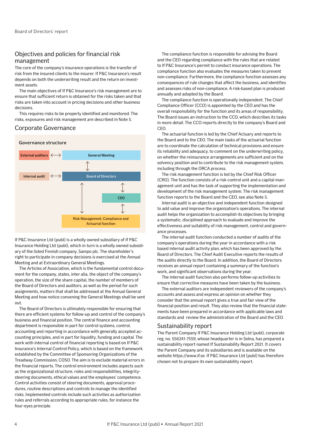# Objectives and policies for financial risk management

The core of the company's insurance operations is the transfer of risk from the insured clients to the insurer. If P&C Insurance's result depends on both the underwriting result and the return on investment assets.

The main objectives of If P&C Insurance's risk management are to ensure that sufficient return is obtained for the risks taken and that risks are taken into account in pricing decisions and other business decisions.

This requires risks to be properly identified and monitored. The risks, exposures and risk management are described in Note 5.

# Corporate Governance



If P&C Insurance Ltd (publ) is a wholly owned subsidiary of If P&C Insurance Holding Ltd (publ), which in turn is a wholly owned subsidiary of the listed Finnish company, Sampo plc. The shareholder's right to participate in company decisions is exercised at the Annual Meeting and at Extraordinary General Meetings.

The Articles of Association, which is the fundamental control document for the company, states, inter alia, the object of the company's operation, the size of the share capital, the number of members of the Board of Directors and auditors, as well as the period for such assignments, matters that shall be addressed at the Annual General Meeting and how notice convening the General Meetings shall be sent out.

The Board of Directors is ultimately responsible for ensuring that there are efficient systems for follow-up and control of the company's business and financial position. The central finance and accounting department is responsible in part for control systems, control, accounting and reporting in accordance with generally accepted accounting principles, and in part for liquidity, funding and capital. The work with internal control of financial reporting is based on If P&C Insurance's Internal Control Policy, which is based on the framework established by the Committee of Sponsoring Organizations of the Treadway Commission, COSO. The aim is to exclude material errors in the financial reports. The control environment includes aspects such as the organizational structure, roles and responsibilities, integritysteering documents, ethical values and the employees' competence. Control activities consist of steering documents, approval procedures, routine descriptions and controls to manage the identified risks. Implemented controls include such activities as authorization rules and referrals according to appropriate rules, for instance the four-eyes principle.

The compliance function is responsible for advising the Board and the CEO regarding compliance with the rules that are related to If P&C Insurance's permit to conduct insurance operations. The compliance function also evaluates the measures taken to prevent non-compliance. Furthermore, the compliance function assesses any consequences of rule changes that affect the business, and identifies and assesses risks of non-compliance. A risk-based plan is produced annually and adopted by the Board.

The compliance function is operationally independent. The Chief Compliance Officer (CCO) is appointed by the CEO and has the overall responsibility for the function and its areas of responsibility. The Board issues an instruction to the CCO, which describes its tasks in more detail. The CCO reports directly to the company's Board and CEO.

The actuarial function is led by the Chief Actuary and reports to the Board and to the CEO. The main tasks of the actuarial function are to coordinate the calculation of technical provisions and ensure its reliability and adequacy, to comment on the underwriting policy, on whether the reinsurance arrangements are sufficient and on the solvency position and to contribute to the risk management system, including through the ORCA process.

The risk management function is led by the Chief Risk Officer (CRO). The function consists of a risk control unit and a capital management unit and has the task of supporting the implementation and development of the risk management system. The risk management function reports to the Board and the CEO, see also Note 5.

Internal audit is an objective and independent function designed to add value and improve the organization's operations. The internal audit helps the organization to accomplish its objectives by bringing a systematic, disciplined approach to evaluate and improve the effectiveness and suitability of risk management, control and governance processes.

The internal audit function conducted a number of audits of the company's operations during the year in accordance with a risk based internal audit activity plan, which has been approved by the Board of Directors. The Chief Audit Executive reports the results of the audits directly to the Board. In addition, the Board of Directors receives an annual report containing a summary of the function's work, and significant observations during the year.

The internal audit function also performs follow-up activities to ensure that corrective measures have been taken by the business.

The external auditors are independent reviewers of the company's accounts and assess and express an opinion on whether they consider that the annual report gives a true and fair view of the financial position and result. They also review that the financial statements have been prepared in accordance with applicable laws and standards and review the administration of the Board and the CEO.

## Sustainability report

The Parent Company If P&C Insurance Holding Ltd (publ), corporate reg. no. 556241-7559, whose headquarter is in Solna, has prepared a sustainability report named If Sustainability Report 2021. It covers the Parent Company and its subsidiaries and is available on the website https://www.if.se. If P&C Insurance Ltd (publ) has therefore chosen not to prepare its own sustainability report.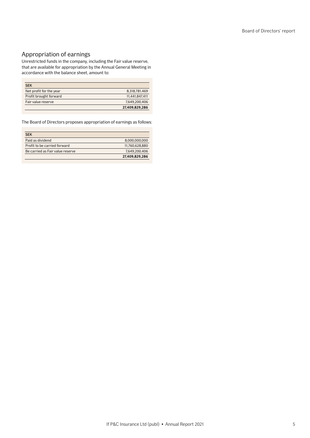# Appropriation of earnings

Unrestricted funds in the company, including the Fair value reserve, that are available for appropriation by the Annual General Meeting in accordance with the balance sheet, amount to:

| <b>SEK</b>              |                |
|-------------------------|----------------|
| Net profit for the year | 8,318,781,469  |
| Profit brought forward  | 11.441.847.411 |
| Fair value reserve      | 7.649.200.406  |
|                         | 27,409,829,286 |

The Board of Directors proposes appropriation of earnings as follows:

| <b>SEK</b>                       |                |
|----------------------------------|----------------|
| Paid as dividend                 | 8.000.000.000  |
| Profit to be carried forward     | 11.760.628.880 |
| Be carried as Fair value reserve | 7,649,200,406  |
|                                  | 27,409,829,286 |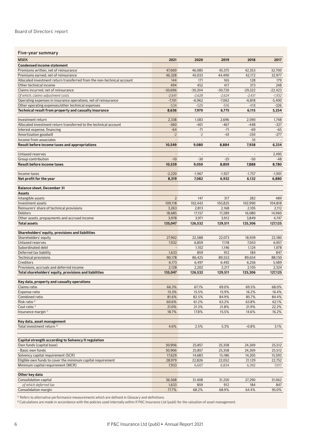## <span id="page-5-0"></span>Board of Directors' report

| Five-year summary                                                      |                          |                |                |           |           |
|------------------------------------------------------------------------|--------------------------|----------------|----------------|-----------|-----------|
| <b>MSEK</b>                                                            | 2021                     | 2020           | 2019           | 2018      | 2017      |
| <b>Condensed income statement</b>                                      |                          |                |                |           |           |
| Premiums written, net of reinsurance                                   | 47,069                   | 46.085         | 45,375         | 42,353    | 32,700    |
| Premiums earned, net of reinsurance                                    | 46,328                   | 45,033         | 44,490         | 42,172    | 32,977    |
| Allocated investment return transferred from the non-technical account | 144                      | 171            | 165            | 128       | 179       |
| Other technical income                                                 | 494                      | 452            | 417            | 373       | 248       |
| Claims incurred, net of reinsurance                                    | $-30,696$                | $-30,204$      | $-30,720$      | $-29,322$ | $-22,423$ |
| Of which, claims-adjustment costs                                      | $-2,641$                 | $-2,628$       | $-2,624$       | $-2,431$  | $-1,932$  |
| Operating expenses in insurance operations, net of reinsurance         | $-7,101$                 | $-6,962$       | $-7,062$       | $-6,818$  | $-5,400$  |
| Other operating expenses/other technical expenses                      | $-534$                   | $-520$         | $-516$         | $-418$    | $-326$    |
| Technical result from property and casualty insurance                  | 8,636                    | 7,970          | 6,775          | 6,115     | 5,254     |
|                                                                        |                          |                |                |           |           |
| Investment return                                                      | 2,338                    | 1,583          | 2,696          | 2,590     | 1,748     |
| Allocated investment return transferred to the technical account       | $-360$                   | $-401$         | $-467$         | $-448$    | $-327$    |
| Interest expense, financing                                            | $-64$                    | $-71$          | $-71$          | $-69$     | $-65$     |
| Amortization goodwill                                                  | $-2$                     | $-2$           | $-48$          | $-288$    | $-277$    |
| Income from associates                                                 | $\frac{1}{2}$            | $\overline{a}$ | $\overline{a}$ | 38        |           |
| Result before income taxes and appropriations                          | 10,549                   | 9,080          | 8,884          | 7,938     | 6,334     |
|                                                                        |                          |                |                |           |           |
| Untaxed reserves                                                       | $\overline{a}$           |                | $\overline{a}$ |           | 2,495     |
| Group contribution                                                     | $-10$                    | $-30$          | $-25$          | $-50$     | $-48$     |
| <b>Result before income taxes</b>                                      | 10,539                   | 9,050          | 8,859          | 7,888     | 8,780     |
|                                                                        |                          |                |                |           |           |
| Income taxes                                                           | $-2,220$                 | $-1,967$       | $-1,927$       | $-1,757$  | $-1,901$  |
| Net profit for the year                                                | 8,319                    | 7,082          | 6,932          | 6,132     | 6,880     |
| <b>Balance sheet, December 31</b>                                      |                          |                |                |           |           |
| <b>Assets</b>                                                          |                          |                |                |           |           |
| Intangible assets                                                      | $\overline{2}$           | 147            | 317            | 282       | 489       |
| Investment assets                                                      | 109,118                  | 102,443        | 105,825        | 102,990   | 104,818   |
| Reinsurers' share of technical provisions                              | 3,263                    | 2,813          | 2,168          | 2,105     | 2,112     |
| Debtors                                                                | 18,685                   | 17,157         | 17,289         | 16,080    | 14,960    |
| Other assets, prepayments and accrued income                           | 3,978                    | 3,971          | 3,912          | 3,849     | 4,747     |
| <b>Total assets</b>                                                    | 135,047                  | 126,532        | 129,511        | 125,306   | 127,125   |
|                                                                        |                          |                |                |           |           |
| Shareholders' equity, provisions and liabilities                       |                          |                |                |           |           |
| Shareholders' equity                                                   | 27,902                   | 22,588         | 22,073         | 18,939    | 22,180    |
| Untaxed reserves                                                       | 7,032                    | 6,859          | 7,118          | 7,043     | 6,957     |
| Subordinated debt                                                      | $\overline{\phantom{a}}$ | 1,102          | 1,146          | 1,124     | 1,078     |
| Deferred tax liability                                                 | 1,633                    | 859            | 912            | 184       | 847       |
| <b>Technical provisions</b>                                            | 90,178                   | 86,425         | 89,553         | 89,654    | 88,150    |
| Creditors                                                              | 6,173                    | 6,497          | 6,492          | 6,256     | 5,589     |
| Provisions, accruals and deferred income                               | 2,128                    | 2,202          | 2,217          | 2,105     | 2,324     |
| Total shareholders' equity, provisions and liabilities                 | 135,047                  | 126,532        | 129,511        | 125,306   | 127,125   |
|                                                                        |                          |                |                |           |           |
| Key data, property and casualty operations                             |                          |                |                |           |           |
| Claims ratio                                                           | 66.3%                    | 67.1%          | 69.0%          | 69.5%     | 68.0%     |
| Expense ratio                                                          | 15.3%                    | 15.5%          | 15.9%          | 16.2%     | 16.4%     |
| Combined ratio                                                         | 81.6%                    | 82.5%          | 84.9%          | 85.7%     | 84.4%     |
| Risk ratio <sup>1)</sup>                                               | 60.6%                    | 61.2%          | 63.2%          | 63.8%     | 62.1%     |
| Cost ratio <sup>1)</sup>                                               | 21.0%                    | 21.3%          | 21.8%          | 21.9%     | 22.2%     |
| Insurance margin <sup>1)</sup>                                         | 18.7%                    | 17.8%          | 15.5%          | 14.6%     | 16.2%     |
|                                                                        |                          |                |                |           |           |
| Key data, asset management<br>Total investment return <sup>2)</sup>    |                          |                |                |           |           |
|                                                                        | 4.6%                     | 2.5%           | 5.3%           | $-0.8%$   | 3.1%      |
|                                                                        |                          |                |                |           |           |
| Capital strength according to Solvency II regulation                   |                          |                |                |           |           |
| Own funds (capital base)                                               | 30,906                   | 25,857         | 25,358         | 24,269    | 25,512    |
| - Basic own funds                                                      | 30,906                   | 25,857         | 25,358         | 24,269    | 25,512    |
| Solvency capital requirement (SCR)                                     | 17,629                   | 14,683         | 15,186         | 14,205    | 15,593    |
| Eligible own funds to cover the minimum capital requirement            | 28,979                   | 22,826         | 22,052         | 21,129    | 22,752    |
| Minimum capital requirement (MCR)                                      | 7,933                    | 6,607          | 6,834          | 6,392     | 7,017     |
|                                                                        |                          |                |                |           |           |
| Other key data                                                         |                          |                |                |           |           |
| Consolidation capital                                                  | 36,568                   | 31,408         | 31,250         | 27,290    | 31,062    |
| of which deferred tax                                                  | 1,633                    | 859            | 912            | 184       | 847       |
| Consolidation margin                                                   | 77.7%                    | 68.2%          | 68.9%          | 64.4%     | 95.0%     |

<sup>1)</sup> Refers to alternative performance measurements which are defined in Glossary and definitions.

2) Calculations are made in accordance with the policies used internally within If P6C Insurance Ltd (publ) for the valuation of asset management.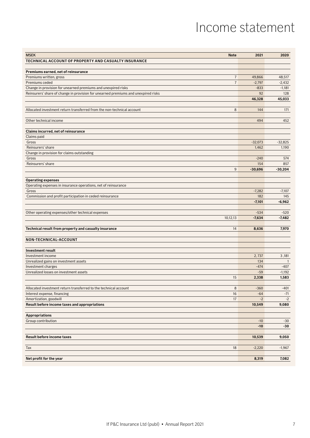# Income statement

<span id="page-6-0"></span>

| TECHNICAL ACCOUNT OF PROPERTY AND CASUALTY INSURANCE<br>Premiums earned, net of reinsurance<br>$\overline{7}$<br>Premiums written, gross<br>49,866<br>48,517<br>$\overline{7}$<br>Premiums ceded<br>$-2,797$<br>$-2,432$<br>Change in provision for unearned premiums and unexpired risks<br>$-833$<br>$-1,181$<br>92<br>128<br>Reinsurers' share of change in provision for unearned premiums and unexpired risks<br>45,033<br>46,328<br>8<br>144<br>Allocated investment return transferred from the non-technical account<br>171<br>Other technical income<br>494<br>452<br>Claims incurred, net of reinsurance<br>Claims paid<br>Gross<br>$-32,073$<br>$-32,825$<br>Reinsurers' share<br>1,462<br>1,190<br>Change in provision for claims outstanding<br>Gross<br>$-240$<br>574<br>Reinsurers' share<br>154<br>857<br>$9\,$<br>$-30,204$<br>$-30,696$<br><b>Operating expenses</b><br>Operating expenses in insurance operations, net of reinsurance<br>$-7,282$<br>$-7,107$<br>Gross<br>182<br>145<br>Commission and profit participation in ceded reinsurance<br>$-7,101$<br>$-6,962$<br>Other operating expenses/other technical expenses<br>$-534$<br>$-520$<br>10,12,13<br>$-7,634$<br>$-7,482$<br>14<br>Technical result from property and casualty insurance<br>8,636<br>7,970<br>NON-TECHNICAL-ACCOUNT<br><b>Investment result</b><br>Investment income<br>2,737<br>3,181<br>Unrealized gains on investment assets<br>134<br>$\overline{1}$<br>$-474$<br>Investment charges<br>$-407$<br>$-59$<br>Unrealized losses on investment assets<br>$-1,192$<br>15<br>2,338<br>1,583<br>$\,8\,$<br>Allocated investment return transferred to the technical account<br>$-360$<br>$-401$<br>Interest expense, financing<br>16<br>$-64$<br>$-71$<br>$-2$<br>Amortization, goodwill<br>17<br>$-2$<br>Result before income taxes and appropriations<br>9,080<br>10,549<br><b>Appropriations</b><br>Group contribution<br>$-10$<br>$-30$<br>$-10$<br>$-30$<br><b>Result before income taxes</b><br>10,539<br>9,050<br>$-2,220$<br>Tax<br>18<br>$-1,967$<br>Net profit for the year<br>8,319<br>7,082 | <b>MSEK</b> | <b>Note</b> | 2021 | 2020 |
|-----------------------------------------------------------------------------------------------------------------------------------------------------------------------------------------------------------------------------------------------------------------------------------------------------------------------------------------------------------------------------------------------------------------------------------------------------------------------------------------------------------------------------------------------------------------------------------------------------------------------------------------------------------------------------------------------------------------------------------------------------------------------------------------------------------------------------------------------------------------------------------------------------------------------------------------------------------------------------------------------------------------------------------------------------------------------------------------------------------------------------------------------------------------------------------------------------------------------------------------------------------------------------------------------------------------------------------------------------------------------------------------------------------------------------------------------------------------------------------------------------------------------------------------------------------------------------------------------------------------------------------------------------------------------------------------------------------------------------------------------------------------------------------------------------------------------------------------------------------------------------------------------------------------------------------------------------------------------------------------------------------------------------------------------------------------------------------------------------|-------------|-------------|------|------|
|                                                                                                                                                                                                                                                                                                                                                                                                                                                                                                                                                                                                                                                                                                                                                                                                                                                                                                                                                                                                                                                                                                                                                                                                                                                                                                                                                                                                                                                                                                                                                                                                                                                                                                                                                                                                                                                                                                                                                                                                                                                                                                     |             |             |      |      |
|                                                                                                                                                                                                                                                                                                                                                                                                                                                                                                                                                                                                                                                                                                                                                                                                                                                                                                                                                                                                                                                                                                                                                                                                                                                                                                                                                                                                                                                                                                                                                                                                                                                                                                                                                                                                                                                                                                                                                                                                                                                                                                     |             |             |      |      |
|                                                                                                                                                                                                                                                                                                                                                                                                                                                                                                                                                                                                                                                                                                                                                                                                                                                                                                                                                                                                                                                                                                                                                                                                                                                                                                                                                                                                                                                                                                                                                                                                                                                                                                                                                                                                                                                                                                                                                                                                                                                                                                     |             |             |      |      |
|                                                                                                                                                                                                                                                                                                                                                                                                                                                                                                                                                                                                                                                                                                                                                                                                                                                                                                                                                                                                                                                                                                                                                                                                                                                                                                                                                                                                                                                                                                                                                                                                                                                                                                                                                                                                                                                                                                                                                                                                                                                                                                     |             |             |      |      |
|                                                                                                                                                                                                                                                                                                                                                                                                                                                                                                                                                                                                                                                                                                                                                                                                                                                                                                                                                                                                                                                                                                                                                                                                                                                                                                                                                                                                                                                                                                                                                                                                                                                                                                                                                                                                                                                                                                                                                                                                                                                                                                     |             |             |      |      |
|                                                                                                                                                                                                                                                                                                                                                                                                                                                                                                                                                                                                                                                                                                                                                                                                                                                                                                                                                                                                                                                                                                                                                                                                                                                                                                                                                                                                                                                                                                                                                                                                                                                                                                                                                                                                                                                                                                                                                                                                                                                                                                     |             |             |      |      |
|                                                                                                                                                                                                                                                                                                                                                                                                                                                                                                                                                                                                                                                                                                                                                                                                                                                                                                                                                                                                                                                                                                                                                                                                                                                                                                                                                                                                                                                                                                                                                                                                                                                                                                                                                                                                                                                                                                                                                                                                                                                                                                     |             |             |      |      |
|                                                                                                                                                                                                                                                                                                                                                                                                                                                                                                                                                                                                                                                                                                                                                                                                                                                                                                                                                                                                                                                                                                                                                                                                                                                                                                                                                                                                                                                                                                                                                                                                                                                                                                                                                                                                                                                                                                                                                                                                                                                                                                     |             |             |      |      |
|                                                                                                                                                                                                                                                                                                                                                                                                                                                                                                                                                                                                                                                                                                                                                                                                                                                                                                                                                                                                                                                                                                                                                                                                                                                                                                                                                                                                                                                                                                                                                                                                                                                                                                                                                                                                                                                                                                                                                                                                                                                                                                     |             |             |      |      |
|                                                                                                                                                                                                                                                                                                                                                                                                                                                                                                                                                                                                                                                                                                                                                                                                                                                                                                                                                                                                                                                                                                                                                                                                                                                                                                                                                                                                                                                                                                                                                                                                                                                                                                                                                                                                                                                                                                                                                                                                                                                                                                     |             |             |      |      |
|                                                                                                                                                                                                                                                                                                                                                                                                                                                                                                                                                                                                                                                                                                                                                                                                                                                                                                                                                                                                                                                                                                                                                                                                                                                                                                                                                                                                                                                                                                                                                                                                                                                                                                                                                                                                                                                                                                                                                                                                                                                                                                     |             |             |      |      |
|                                                                                                                                                                                                                                                                                                                                                                                                                                                                                                                                                                                                                                                                                                                                                                                                                                                                                                                                                                                                                                                                                                                                                                                                                                                                                                                                                                                                                                                                                                                                                                                                                                                                                                                                                                                                                                                                                                                                                                                                                                                                                                     |             |             |      |      |
|                                                                                                                                                                                                                                                                                                                                                                                                                                                                                                                                                                                                                                                                                                                                                                                                                                                                                                                                                                                                                                                                                                                                                                                                                                                                                                                                                                                                                                                                                                                                                                                                                                                                                                                                                                                                                                                                                                                                                                                                                                                                                                     |             |             |      |      |
|                                                                                                                                                                                                                                                                                                                                                                                                                                                                                                                                                                                                                                                                                                                                                                                                                                                                                                                                                                                                                                                                                                                                                                                                                                                                                                                                                                                                                                                                                                                                                                                                                                                                                                                                                                                                                                                                                                                                                                                                                                                                                                     |             |             |      |      |
|                                                                                                                                                                                                                                                                                                                                                                                                                                                                                                                                                                                                                                                                                                                                                                                                                                                                                                                                                                                                                                                                                                                                                                                                                                                                                                                                                                                                                                                                                                                                                                                                                                                                                                                                                                                                                                                                                                                                                                                                                                                                                                     |             |             |      |      |
|                                                                                                                                                                                                                                                                                                                                                                                                                                                                                                                                                                                                                                                                                                                                                                                                                                                                                                                                                                                                                                                                                                                                                                                                                                                                                                                                                                                                                                                                                                                                                                                                                                                                                                                                                                                                                                                                                                                                                                                                                                                                                                     |             |             |      |      |
|                                                                                                                                                                                                                                                                                                                                                                                                                                                                                                                                                                                                                                                                                                                                                                                                                                                                                                                                                                                                                                                                                                                                                                                                                                                                                                                                                                                                                                                                                                                                                                                                                                                                                                                                                                                                                                                                                                                                                                                                                                                                                                     |             |             |      |      |
|                                                                                                                                                                                                                                                                                                                                                                                                                                                                                                                                                                                                                                                                                                                                                                                                                                                                                                                                                                                                                                                                                                                                                                                                                                                                                                                                                                                                                                                                                                                                                                                                                                                                                                                                                                                                                                                                                                                                                                                                                                                                                                     |             |             |      |      |
|                                                                                                                                                                                                                                                                                                                                                                                                                                                                                                                                                                                                                                                                                                                                                                                                                                                                                                                                                                                                                                                                                                                                                                                                                                                                                                                                                                                                                                                                                                                                                                                                                                                                                                                                                                                                                                                                                                                                                                                                                                                                                                     |             |             |      |      |
|                                                                                                                                                                                                                                                                                                                                                                                                                                                                                                                                                                                                                                                                                                                                                                                                                                                                                                                                                                                                                                                                                                                                                                                                                                                                                                                                                                                                                                                                                                                                                                                                                                                                                                                                                                                                                                                                                                                                                                                                                                                                                                     |             |             |      |      |
|                                                                                                                                                                                                                                                                                                                                                                                                                                                                                                                                                                                                                                                                                                                                                                                                                                                                                                                                                                                                                                                                                                                                                                                                                                                                                                                                                                                                                                                                                                                                                                                                                                                                                                                                                                                                                                                                                                                                                                                                                                                                                                     |             |             |      |      |
|                                                                                                                                                                                                                                                                                                                                                                                                                                                                                                                                                                                                                                                                                                                                                                                                                                                                                                                                                                                                                                                                                                                                                                                                                                                                                                                                                                                                                                                                                                                                                                                                                                                                                                                                                                                                                                                                                                                                                                                                                                                                                                     |             |             |      |      |
|                                                                                                                                                                                                                                                                                                                                                                                                                                                                                                                                                                                                                                                                                                                                                                                                                                                                                                                                                                                                                                                                                                                                                                                                                                                                                                                                                                                                                                                                                                                                                                                                                                                                                                                                                                                                                                                                                                                                                                                                                                                                                                     |             |             |      |      |
|                                                                                                                                                                                                                                                                                                                                                                                                                                                                                                                                                                                                                                                                                                                                                                                                                                                                                                                                                                                                                                                                                                                                                                                                                                                                                                                                                                                                                                                                                                                                                                                                                                                                                                                                                                                                                                                                                                                                                                                                                                                                                                     |             |             |      |      |
|                                                                                                                                                                                                                                                                                                                                                                                                                                                                                                                                                                                                                                                                                                                                                                                                                                                                                                                                                                                                                                                                                                                                                                                                                                                                                                                                                                                                                                                                                                                                                                                                                                                                                                                                                                                                                                                                                                                                                                                                                                                                                                     |             |             |      |      |
|                                                                                                                                                                                                                                                                                                                                                                                                                                                                                                                                                                                                                                                                                                                                                                                                                                                                                                                                                                                                                                                                                                                                                                                                                                                                                                                                                                                                                                                                                                                                                                                                                                                                                                                                                                                                                                                                                                                                                                                                                                                                                                     |             |             |      |      |
|                                                                                                                                                                                                                                                                                                                                                                                                                                                                                                                                                                                                                                                                                                                                                                                                                                                                                                                                                                                                                                                                                                                                                                                                                                                                                                                                                                                                                                                                                                                                                                                                                                                                                                                                                                                                                                                                                                                                                                                                                                                                                                     |             |             |      |      |
|                                                                                                                                                                                                                                                                                                                                                                                                                                                                                                                                                                                                                                                                                                                                                                                                                                                                                                                                                                                                                                                                                                                                                                                                                                                                                                                                                                                                                                                                                                                                                                                                                                                                                                                                                                                                                                                                                                                                                                                                                                                                                                     |             |             |      |      |
|                                                                                                                                                                                                                                                                                                                                                                                                                                                                                                                                                                                                                                                                                                                                                                                                                                                                                                                                                                                                                                                                                                                                                                                                                                                                                                                                                                                                                                                                                                                                                                                                                                                                                                                                                                                                                                                                                                                                                                                                                                                                                                     |             |             |      |      |
|                                                                                                                                                                                                                                                                                                                                                                                                                                                                                                                                                                                                                                                                                                                                                                                                                                                                                                                                                                                                                                                                                                                                                                                                                                                                                                                                                                                                                                                                                                                                                                                                                                                                                                                                                                                                                                                                                                                                                                                                                                                                                                     |             |             |      |      |
|                                                                                                                                                                                                                                                                                                                                                                                                                                                                                                                                                                                                                                                                                                                                                                                                                                                                                                                                                                                                                                                                                                                                                                                                                                                                                                                                                                                                                                                                                                                                                                                                                                                                                                                                                                                                                                                                                                                                                                                                                                                                                                     |             |             |      |      |
|                                                                                                                                                                                                                                                                                                                                                                                                                                                                                                                                                                                                                                                                                                                                                                                                                                                                                                                                                                                                                                                                                                                                                                                                                                                                                                                                                                                                                                                                                                                                                                                                                                                                                                                                                                                                                                                                                                                                                                                                                                                                                                     |             |             |      |      |
|                                                                                                                                                                                                                                                                                                                                                                                                                                                                                                                                                                                                                                                                                                                                                                                                                                                                                                                                                                                                                                                                                                                                                                                                                                                                                                                                                                                                                                                                                                                                                                                                                                                                                                                                                                                                                                                                                                                                                                                                                                                                                                     |             |             |      |      |
|                                                                                                                                                                                                                                                                                                                                                                                                                                                                                                                                                                                                                                                                                                                                                                                                                                                                                                                                                                                                                                                                                                                                                                                                                                                                                                                                                                                                                                                                                                                                                                                                                                                                                                                                                                                                                                                                                                                                                                                                                                                                                                     |             |             |      |      |
|                                                                                                                                                                                                                                                                                                                                                                                                                                                                                                                                                                                                                                                                                                                                                                                                                                                                                                                                                                                                                                                                                                                                                                                                                                                                                                                                                                                                                                                                                                                                                                                                                                                                                                                                                                                                                                                                                                                                                                                                                                                                                                     |             |             |      |      |
|                                                                                                                                                                                                                                                                                                                                                                                                                                                                                                                                                                                                                                                                                                                                                                                                                                                                                                                                                                                                                                                                                                                                                                                                                                                                                                                                                                                                                                                                                                                                                                                                                                                                                                                                                                                                                                                                                                                                                                                                                                                                                                     |             |             |      |      |
|                                                                                                                                                                                                                                                                                                                                                                                                                                                                                                                                                                                                                                                                                                                                                                                                                                                                                                                                                                                                                                                                                                                                                                                                                                                                                                                                                                                                                                                                                                                                                                                                                                                                                                                                                                                                                                                                                                                                                                                                                                                                                                     |             |             |      |      |
|                                                                                                                                                                                                                                                                                                                                                                                                                                                                                                                                                                                                                                                                                                                                                                                                                                                                                                                                                                                                                                                                                                                                                                                                                                                                                                                                                                                                                                                                                                                                                                                                                                                                                                                                                                                                                                                                                                                                                                                                                                                                                                     |             |             |      |      |
|                                                                                                                                                                                                                                                                                                                                                                                                                                                                                                                                                                                                                                                                                                                                                                                                                                                                                                                                                                                                                                                                                                                                                                                                                                                                                                                                                                                                                                                                                                                                                                                                                                                                                                                                                                                                                                                                                                                                                                                                                                                                                                     |             |             |      |      |
|                                                                                                                                                                                                                                                                                                                                                                                                                                                                                                                                                                                                                                                                                                                                                                                                                                                                                                                                                                                                                                                                                                                                                                                                                                                                                                                                                                                                                                                                                                                                                                                                                                                                                                                                                                                                                                                                                                                                                                                                                                                                                                     |             |             |      |      |
|                                                                                                                                                                                                                                                                                                                                                                                                                                                                                                                                                                                                                                                                                                                                                                                                                                                                                                                                                                                                                                                                                                                                                                                                                                                                                                                                                                                                                                                                                                                                                                                                                                                                                                                                                                                                                                                                                                                                                                                                                                                                                                     |             |             |      |      |
|                                                                                                                                                                                                                                                                                                                                                                                                                                                                                                                                                                                                                                                                                                                                                                                                                                                                                                                                                                                                                                                                                                                                                                                                                                                                                                                                                                                                                                                                                                                                                                                                                                                                                                                                                                                                                                                                                                                                                                                                                                                                                                     |             |             |      |      |
|                                                                                                                                                                                                                                                                                                                                                                                                                                                                                                                                                                                                                                                                                                                                                                                                                                                                                                                                                                                                                                                                                                                                                                                                                                                                                                                                                                                                                                                                                                                                                                                                                                                                                                                                                                                                                                                                                                                                                                                                                                                                                                     |             |             |      |      |
|                                                                                                                                                                                                                                                                                                                                                                                                                                                                                                                                                                                                                                                                                                                                                                                                                                                                                                                                                                                                                                                                                                                                                                                                                                                                                                                                                                                                                                                                                                                                                                                                                                                                                                                                                                                                                                                                                                                                                                                                                                                                                                     |             |             |      |      |
|                                                                                                                                                                                                                                                                                                                                                                                                                                                                                                                                                                                                                                                                                                                                                                                                                                                                                                                                                                                                                                                                                                                                                                                                                                                                                                                                                                                                                                                                                                                                                                                                                                                                                                                                                                                                                                                                                                                                                                                                                                                                                                     |             |             |      |      |
|                                                                                                                                                                                                                                                                                                                                                                                                                                                                                                                                                                                                                                                                                                                                                                                                                                                                                                                                                                                                                                                                                                                                                                                                                                                                                                                                                                                                                                                                                                                                                                                                                                                                                                                                                                                                                                                                                                                                                                                                                                                                                                     |             |             |      |      |
|                                                                                                                                                                                                                                                                                                                                                                                                                                                                                                                                                                                                                                                                                                                                                                                                                                                                                                                                                                                                                                                                                                                                                                                                                                                                                                                                                                                                                                                                                                                                                                                                                                                                                                                                                                                                                                                                                                                                                                                                                                                                                                     |             |             |      |      |
|                                                                                                                                                                                                                                                                                                                                                                                                                                                                                                                                                                                                                                                                                                                                                                                                                                                                                                                                                                                                                                                                                                                                                                                                                                                                                                                                                                                                                                                                                                                                                                                                                                                                                                                                                                                                                                                                                                                                                                                                                                                                                                     |             |             |      |      |
|                                                                                                                                                                                                                                                                                                                                                                                                                                                                                                                                                                                                                                                                                                                                                                                                                                                                                                                                                                                                                                                                                                                                                                                                                                                                                                                                                                                                                                                                                                                                                                                                                                                                                                                                                                                                                                                                                                                                                                                                                                                                                                     |             |             |      |      |
|                                                                                                                                                                                                                                                                                                                                                                                                                                                                                                                                                                                                                                                                                                                                                                                                                                                                                                                                                                                                                                                                                                                                                                                                                                                                                                                                                                                                                                                                                                                                                                                                                                                                                                                                                                                                                                                                                                                                                                                                                                                                                                     |             |             |      |      |
|                                                                                                                                                                                                                                                                                                                                                                                                                                                                                                                                                                                                                                                                                                                                                                                                                                                                                                                                                                                                                                                                                                                                                                                                                                                                                                                                                                                                                                                                                                                                                                                                                                                                                                                                                                                                                                                                                                                                                                                                                                                                                                     |             |             |      |      |
|                                                                                                                                                                                                                                                                                                                                                                                                                                                                                                                                                                                                                                                                                                                                                                                                                                                                                                                                                                                                                                                                                                                                                                                                                                                                                                                                                                                                                                                                                                                                                                                                                                                                                                                                                                                                                                                                                                                                                                                                                                                                                                     |             |             |      |      |
|                                                                                                                                                                                                                                                                                                                                                                                                                                                                                                                                                                                                                                                                                                                                                                                                                                                                                                                                                                                                                                                                                                                                                                                                                                                                                                                                                                                                                                                                                                                                                                                                                                                                                                                                                                                                                                                                                                                                                                                                                                                                                                     |             |             |      |      |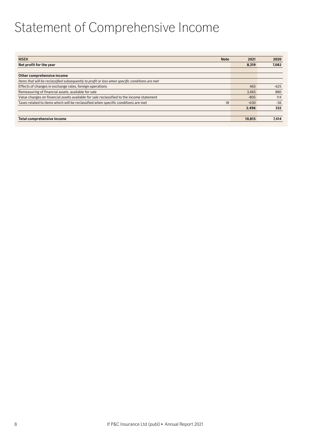# <span id="page-7-0"></span>Statement of Comprehensive Income

| <b>MSEK</b><br><b>Note</b>                                                                      | 2021   | 2020   |
|-------------------------------------------------------------------------------------------------|--------|--------|
| Net profit for the year                                                                         | 8,319  | 7,082  |
|                                                                                                 |        |        |
| Other comprehensive income                                                                      |        |        |
| Items that will be reclassified subsequently to profit or loss when specific conditions are met |        |        |
| Effects of changes in exchange rates, foreign operations                                        | 465    | $-625$ |
| Remeasuring of financial assets, available for sale                                             | 3,465  | 880    |
| Value changes on financial assets available for sale reclassified to the income statement       | $-805$ | 114    |
| Taxes related to items which will be reclassified when specific conditions are met<br>18        | $-630$ | $-36$  |
|                                                                                                 | 2.496  | 332    |
|                                                                                                 |        |        |
| Total comprehensive income                                                                      | 10,815 | 7,414  |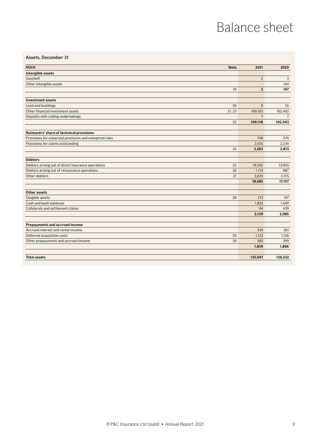# Balance sheet

# <span id="page-8-0"></span>Assets, December 31

| <b>MSEK</b>                                          | <b>Note</b> | 2021                     | 2020           |
|------------------------------------------------------|-------------|--------------------------|----------------|
| Intangible assets                                    |             |                          |                |
| Goodwill                                             |             | $\overline{2}$           | 3              |
| Other intangible assets                              |             | $\overline{\phantom{a}}$ | 144            |
|                                                      | 19          | $\overline{2}$           | 147            |
|                                                      |             |                          |                |
| <b>Investment assets</b>                             |             |                          |                |
| Land and buildings                                   | 20          | 9                        | 35             |
| Other financial investment assets                    | 21, 23      | 109,103                  | 102.402        |
| Deposits with ceding undertakings                    |             | $\overline{7}$           | $\overline{7}$ |
|                                                      | 22          | 109,118                  | 102,443        |
| Reinsurers' share of technical provisions            |             |                          |                |
| Provisions for unearned premiums and unexpired risks |             | 708                      | 579            |
| Provisions for claims outstanding                    |             | 2,555                    | 2,234          |
|                                                      | 24          | 3,263                    | 2,813          |
|                                                      |             |                          |                |
| <b>Debtors</b>                                       |             |                          |                |
| Debtors arising out of direct insurance operations   | 25          | 14,542                   | 13,955         |
| Debtors arising out of reinsurance operations        | 26          | 1,114                    | 887            |
| Other debtors                                        | 27          | 3,029                    | 2,315          |
|                                                      |             | 18,685                   | 17,157         |
|                                                      |             |                          |                |
| Other assets                                         |             |                          |                |
| Tangible assets                                      | 28          | 213                      | 197            |
| Cash and bank balances                               |             | 1,832                    | 1,449          |
| Collaterals and settlement claims                    |             | 94                       | 439            |
|                                                      |             | 2,139                    | 2,085          |
|                                                      |             |                          |                |
| <b>Prepayments and accrued income</b>                |             |                          |                |
| Accrued interest and rental income                   |             | 334                      | 361            |
| Deferred acquisition costs                           | 29          | 1,122                    | 1,126          |
| Other prepayments and accrued income                 | 30          | 383                      | 399            |
|                                                      |             | 1,839                    | 1,886          |
| <b>Total assets</b>                                  |             | 135,047                  | 126,532        |
|                                                      |             |                          |                |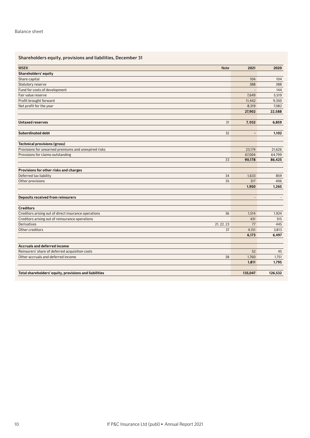# Shareholders equity, provisions and liabilities, December 31

| <b>MSEK</b><br><b>Note</b>                                 | 2021                     | 2020    |
|------------------------------------------------------------|--------------------------|---------|
| Shareholders' equity                                       |                          |         |
| Share capital                                              | 104                      | 104     |
| Statutory reserve                                          | 388                      | 388     |
| Fund for costs of development                              |                          | 144     |
| Fair value reserve                                         | 7,649                    | 5,519   |
| Profit brought forward                                     | 11,442                   | 9,350   |
| Net profit for the year                                    | 8,319                    | 7,082   |
|                                                            | 27,902                   | 22,588  |
|                                                            |                          |         |
| <b>Untaxed reserves</b><br>31                              | 7,032                    | 6,859   |
| <b>Subordinated debt</b><br>32                             | $\overline{\phantom{a}}$ | 1,102   |
| <b>Technical provisions (gross)</b>                        |                          |         |
| Provisions for unearned premiums and unexpired risks       | 23,174                   | 21,626  |
| Provisions for claims outstanding                          | 67,004                   | 64,799  |
| 33                                                         | 90,178                   | 86,425  |
|                                                            |                          |         |
| Provisions for other risks and charges                     |                          |         |
| Deferred tax liability<br>34                               | 1,633                    | 859     |
| Other provisions<br>35                                     | 317                      | 406     |
|                                                            | 1,950                    | 1,265   |
| <b>Deposits received from reinsurers</b>                   | $\overline{\phantom{a}}$ |         |
| <b>Creditors</b>                                           |                          |         |
| Creditors arising out of direct insurance operations<br>36 | 1.514                    | 1,924   |
| Creditors arising out of reinsurance operations            | 431                      | 315     |
| <b>Derivatives</b><br>21, 22, 23                           | 77                       | 445     |
| Other creditors<br>37                                      | 4,151                    | 3,813   |
|                                                            | 6,173                    | 6,497   |
| <b>Accruals and deferred income</b>                        |                          |         |
| Reinsurers' share of deferred acquisition costs            | 52                       | 45      |
| Other accruals and deferred income<br>38                   | 1,760                    | 1,751   |
|                                                            | 1,811                    | 1,795   |
|                                                            |                          |         |
| Total shareholders' equity, provisions and liabilities     | 135,047                  | 126,532 |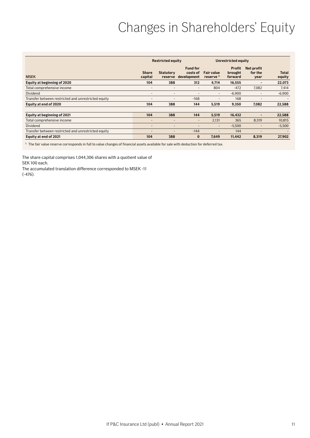# Changes in Shareholders' Equity

<span id="page-10-0"></span>

|                                                     |                         | <b>Restricted equity</b>    |                                            |                                            | Unrestricted equity                 |                               |                        |
|-----------------------------------------------------|-------------------------|-----------------------------|--------------------------------------------|--------------------------------------------|-------------------------------------|-------------------------------|------------------------|
| <b>MSEK</b>                                         | <b>Share</b><br>capital | <b>Statutory</b><br>reserve | <b>Fund for</b><br>costs of<br>development | <b>Fair value</b><br>reserve <sup>1)</sup> | <b>Profit</b><br>brought<br>forward | Net profit<br>for the<br>year | <b>Total</b><br>equity |
| Equity at beginning of 2020                         | 104                     | 388                         | 312                                        | 4,714                                      | 16,555                              | -                             | 22,073                 |
| Total comprehensive income                          | ۰                       | $\overline{\phantom{a}}$    | -                                          | 804                                        | $-472$                              | 7,082                         | 7,414                  |
| Dividend                                            | ۰                       | $\overline{\phantom{a}}$    | -                                          | $\overline{\phantom{a}}$                   | $-6,900$                            | $\qquad \qquad \blacksquare$  | $-6,900$               |
| Transfer between restricted and unrestricted equity | ۰                       | $\overline{\phantom{0}}$    | $-168$                                     | $\overline{\phantom{0}}$                   | 168                                 | $\qquad \qquad$               |                        |
| Equity at end of 2020                               | 104                     | 388                         | 144                                        | 5,519                                      | 9,350                               | 7,082                         | 22,588                 |
|                                                     |                         |                             |                                            |                                            |                                     |                               |                        |
| Equity at beginning of 2021                         | 104                     | 388                         | 144                                        | 5,519                                      | 16,432                              | -                             | 22,588                 |
| Total comprehensive income                          | ۰                       |                             | -                                          | 2,131                                      | 365                                 | 8,319                         | 10,815                 |
| Dividend                                            | ٠                       | $\overline{\phantom{a}}$    | -                                          | $\sim$                                     | $-5,500$                            | $\overline{\phantom{0}}$      | $-5,500$               |
| Transfer between restricted and unrestricted equity | ۰                       | -                           | $-144$                                     | $\overline{\phantom{0}}$                   | 144                                 | ٠                             |                        |
| Equity at end of 2021                               | 104                     | 388                         | $\bf{0}$                                   | 7.649                                      | 11,442                              | 8,319                         | 27,902                 |

 $1)$  The fair value reserve corresponds in full to value changes of financial assets available for sale with deduction for deferred tax.

The share capital comprises 1,044,306 shares with a quotient value of SEK 100 each.

The accumulated translation difference corresponded to MSEK -11 (-476).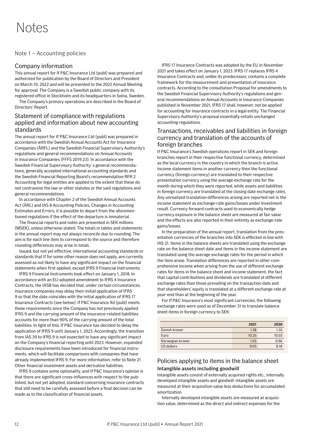# <span id="page-11-0"></span>Notes

# Note 1 – Accounting policies

# Company information

This annual report for If P&C Insurance Ltd (publ) was prepared and authorized for publication by the Board of Directors and President on March 10, 2022 and will be presented to the 2022 Annual Meeting for approval. The Company is a Swedish public company with its registered office in Stockholm and its headquarters in Solna, Sweden.

The Company's primary operations are described in the Board of Directors' Report.

# Statement of compliance with regulations applied and information about new accounting standards

The annual report for If P&C Insurance Ltd (publ) was prepared in accordance with the Swedish Annual Accounts Act for Insurance Companies (ÅRFL) and the Swedish Financial Supervisory Authority's regulations and general recommendations on Annual Accounts in Insurance Companies (FFFS 2019:23). In accordance with the Swedish Financial Supervisory Authority´s general recommendations, generally accepted international accounting standards and the Swedish Financial Reporting Board's recommendation RFR 2 Accounting for legal entities are applied to the extent that these do not contravene the law or other statutes or the said regulations and general recommendations.

In accordance with Chapter 2 of the Swedish Annual Accounts Act (ÅRL) and IAS 8 Accounting Policies, Changes in Accounting Estimates and Errors, it is possible to depart from the aforementioned regulations if the effect of the departure is immaterial.

The financial reports and notes are presented in SEK millions (MSEK), unless otherwise stated. The totals in tables and statements in the annual report may not always reconcile due to rounding. The aim is for each line item to correspond to the source and therefore rounding differences may arise in totals.

Issued, but not yet effective, international accounting standards or standards that If for some other reason does not apply, are currently assessed as not likely to have any significant impact on the financial statements when first applied, except IFRS 9 Financial Instruments.

IFRS 9 Financial Instruments took effect on January 1, 2018. In accordance with an EU-adopted amendment to IFRS 4 Insurance Contracts, the IASB has decided that, under certain circumstances, insurance companies may delay their initial application of IFRS 9 so that the date coincides with the initial application of IFRS 17 Insurance Contracts (see below). If P&C Insurance ltd (publ) meets these requirements since the Company has not previously applied IFRS 9 and the carrying amount of the insurance-related liabilities accounts for more than 90% of the carrying amount of the total liabilities. In light of this, If P&C Insurance has decided to delay the application of IFRS 9 until January 1, 2023. Accordingly, the transition from IAS 39 to IFRS 9 is not expected to have any significant impact on the Company's financial reporting until 2023. However, expanded disclosure requirements have been introduced for financial instruments, which will facilitate comparisons with companies that have already implemented IFRS 9. For more information, refer to Note 21 Other financial investment assets and derivative liabilities.

IFRS 9 contains some optionality, and If P&C Insurance's opinion is that there are significant cross-influences with respect to the published, but not yet adopted, standard concerning insurance contracts that still need to be carefully assessed before a final decision can be made as to the classification of financial assets.

IFRS 17 Insurance Contracts was adopted by the EU in November 2021 and takes effect on January 1, 2023. IFRS 17 replaces IFRS 4 Insurance Contracts and, unlike its predecessor, contains a complete framework for the measurement and presentation of insurance contracts. According to the consultation Proposal for amendments to the Swedish Financial Supervisory Authority's regulations and general recommendations on Annual Accounts in Insurance Companies published in November 2021, IFRS 17 shall, however, not be applied for accounting for insurance contracts in a legal entity. The Financial Supervisory Authority's proposal essentially entails unchanged accounting regulations.

# Transactions, receivables and liabilities in foreign currency and translation of the accounts of foreign branches

If P&C Insurance's Swedish operations report in SEK and foreign branches report in their respective functional currency, determined as the local currency in the country in which the branch is active. Income statement items in another currency then the functional currency (foreign currency) are translated to their respective presentation currency using the average exchange rate for the month during which they were reported, while assets and liabilities in foreign currency are translated at the closing date exchange rates. Any unrealized translation differences arising are reported net in the income statement as exchange-rate gains/losses under Investment result. Currency forward contracts used to economically hedge currency exposure in the balance sheet are measured at fair value and the effects are also reported in their entirety as exchange-rate gains/losses.

In the preparation of the annual report, translation from the presentation currencies of the branches into SEK is effected in line with IAS 21. Items in the balance sheets are translated using the exchange rate on the balance sheet date and items in the income statement are translated using the average exchange rates for the period in which the item arose. Translation differences are reported in other comprehensive income when arising from the use of different exchange rates for items in the balance sheet and income statement, the fact that capital contributions and dividends are translated at different exchange rates than those prevailing on the transaction date and that shareholders' equity is translated at a different exchange rate at year-end than at the beginning of the year.

For If P&C Insurance's most significant currencies, the following exchange rates were used as of December 31 to translate balance sheet items in foreign currency to SEK:

|                  | 2021  | 2020  |
|------------------|-------|-------|
| Danish kroner    | 1.38  | 1.35  |
| Euro             | 10.25 | 10.03 |
| Norwegian kroner | 1.03  | 0.96  |
| US dollars       | 9.05  | 8.18  |

# Policies applying to items in the balance sheet Intangible assets including goodwill

Intangible assets consist of externally acquired rights etc., internally developed intangible assets and goodwill. Intangible assets are measured at their acquisition value less deductions for accumulated amortization.

Internally developed intangible assets are measured at acquisition value, determined as the direct and indirect expenses for the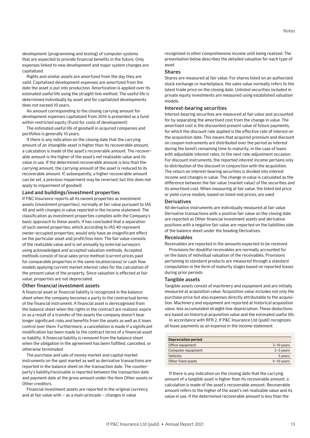development (programming and testing) of computer systems that are expected to provide financial benefits in the future. Only expenses linked to new development and major system changes are capitalized.

Rights and similar assets are amortized from the day they are valid. Capitalized development expenses are amortized from the date the asset is put into production. Amortization is applied over its estimated useful life using the straight-line method. The useful life is determined individually by asset and for capitalized developments does not exceed 10 years.

An amount corresponding to the closing carrying amount for development expenses capitalized from 2016 is presented as a fund within restricted equity (Fund for costs of development).

The estimated useful life of goodwill in acquired companies and portfolios is generally 10 years.

If there is any indication on the closing date that the carrying amount of an intangible asset is higher than its recoverable amount, a calculation is made of the asset's recoverable amount. The recoverable amount is the higher of the asset's net realizable value and its value in use. If the determined recoverable amount is less than the carrying amount, the carrying amount of the asset is reduced to its recoverable amount. If, subsequently, a higher recoverable amount can be set, a previous impairment may be reversed, but this does not apply to impairment of goodwill.

### Land and buildings/investment properties

If P&C Insurance reports all its owned properties as investment assets (investment properties), normally at fair value pursuant to IAS 40 and with changes in value reported in the income statement. The classification as investment properties complies with the Company's basic approach to these assets. If has concluded that a separation of such owned properties, which according to IAS 40 represent owner-occupied properties, would only have an insignificant effect on the particular asset and profit/loss item. The fair value consists of the realizable value and is set annually by external surveyors using acknowledged and accepted valuation methods. Accepted methods consist of local sales-price method (current prices paid for comparable properties in the same location/area) or cash flow models applying current market interest rates for the calculation of the present value of the property. Since valuation is effected at fair value, properties are not depreciated.

#### Other financial investment assets

A financial asset or financial liability is recognized in the balance sheet when the company becomes a party to the contractual terms of the financial instrument. A financial asset is derecognised from the balance sheet when the rights in the contract are realized, expire or as a result of a transfer of the assets the company doesn't bear longer significant risks and benefits from the assets as well as it loses control over them. Furthermore, a cancellation is made if a significant modification has been made to the contract terms of a financial asset or liability. A financial liability is removed from the balance sheet when the obligation in the agreement has been fulfilled, cancelled, or otherwise terminated.

The purchase and sale of money market and capital market instruments on the spot market as well as derivative transactions are reported in the balance sheet on the transaction date. The counterparty's liability/receivable is reported between the transaction date and payment date at the gross amount under the item Other assets or Other creditors.

Financial investment assets are reported in the original currency and at fair value with – as a main principle – changes in value

recognized in other comprehensive income until being realized. The presentation below describes the detailed valuation for each type of asset.

### Shares

Shares are measured at fair value. For shares listed on an authorized stock exchange or marketplace, the sales value normally refers to the latest trade price on the closing date. Unlisted securities included in private equity investments are measured using established valuation models.

### Interest-bearing securities

Interest-bearing securities are measured at fair value and accounted for by separating the amortised cost from the change in value. The amortised cost is the discounted present value of future payments, for which the discount rate applied is the effective rate of interest on the acquisition date. This means that acquired premium and discount on coupon instruments are distributed over the period as interest during the bond's remaining time to maturity, in the case of loans with adjustable interest rates, to the next rate-adjustment occasion. For discount instruments, the reported interest income pertains only to distribution of the discount in conjunction with the acquisition. The return on interest-bearing securities is divided into interest income and changes in value. The change in value is calculated as the difference between the fair value (market value) of the securities and its amortised cost. When measuring at fair value, the listed bid price or yield-curve models, based on listed mid prices, are used.

### Derivatives

All derivative instruments are individually measured at fair value. Derivative transactions with a positive fair value on the closing date are reported as Other financial investment assets and derivative positions with a negative fair value are reported on the liabilities side of the balance sheet under the heading Derivatives.

### Receivables

Receivables are reported in the amounts expected to be received.

Provisions for doubtful receivables are normally accounted for on the basis of individual valuation of the receivables. Provisions pertaining to standard products are measured through a standard computation in the form of maturity stages based on reported losses during prior periods.

#### Tangible assets

Tangible assets consist of machinery and equipment and are initially measured at acquisition value. Acquisition value includes not only the purchase price but also expenses directly attributable to the acquisition. Machinery and equipment are reported at historical acquisition value, less accumulated straight-line depreciation. These deductions are based on historical acquisition value and the estimated useful life.

In accordance with RFR 2, If P&C Insurance Ltd (publ) recognizes all lease payments as an expense in the income statement.

| <b>Depreciation period</b> |              |
|----------------------------|--------------|
| Office equipment           | $3-10$ years |
| Computer equipment         | $3-5$ years  |
| Vehicles                   | 5 years      |
| Other fixed assets         | $4-10$ years |

If there is any indication on the closing date that the carrying amount of a tangible asset is higher than its recoverable amount, a calculation is made of the asset's recoverable amount. Recoverable amount refers to the higher of the asset's net realizable value and its value in use. If the determined recoverable amount is less than the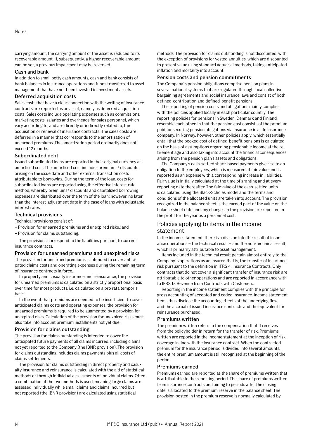carrying amount, the carrying amount of the asset is reduced to its recoverable amount. If, subsequently, a higher recoverable amount can be set, a previous impairment may be reversed.

### Cash and bank

In addition to small petty cash amounts, cash and bank consists of bank balances in insurance operations and funds transferred to asset management that have not been invested in investment assets.

### Deferred acquisition costs

Sales costs that have a clear connection with the writing of insurance contracts are reported as an asset, namely as deferred acquisition costs. Sales costs include operating expenses such as commissions, marketing costs, salaries and overheads for sales personnel, which vary according to, and are directly or indirectly related to, the acquisition or renewal of insurance contracts. The sales costs are deferred in a manner that corresponds to the amortization of unearned premiums. The amortization period ordinarily does not exceed 12 months.

### Subordinated debt

Issued subordinated loans are reported in their original currency at amortised cost. The amortised cost includes premiums/ discounts arising on the issue date and other external transaction costs attributable to borrowing. During the term of the loan, costs for subordinated loans are reported using the effective interest rate method, whereby premiums/ discounts and capitalized borrowing expenses are distributed over the term of the loan; however, no later than the interest-adjustment date in the case of loans with adjustable interest rates.

### Technical provisions

Technical provisions consist of:

- Provision for unearned premiums and unexpired risks.; and
- Provision for claims outstanding.

The provisions correspond to the liabilities pursuant to current insurance contracts.

### Provision for unearned premiums and unexpired risks

The provision for unearned premiums is intended to cover anticipated claims costs and operating expenses during the remaining term of insurance contracts in force.

In property and casualty insurance and reinsurance, the provision for unearned premiums is calculated on a strictly proportional basis over time for most products, i.e. calculated on a pro rata temporis basis.

In the event that premiums are deemed to be insufficient to cover anticipated claims costs and operating expenses, the provision for unearned premiums is required to be augmented by a provision for unexpired risks. Calculation of the provision for unexpired risks must also take into account premium installments not yet due.

### Provision for claims outstanding

The provision for claims outstanding is intended to cover the anticipated future payments of all claims incurred, including claims not yet reported to the Company (the IBNR provision). The provision for claims outstanding includes claims payments plus all costs of claims settlements.

The provision for claims outstanding in direct property and casualty insurance and reinsurance is calculated with the aid of statistical methods or through individual assessments of individual claims. Often a combination of the two methods is used, meaning large claims are assessed individually while small claims and claims incurred but not reported (the IBNR provision) are calculated using statistical

methods. The provision for claims outstanding is not discounted, with the exception of provisions for vested annuities, which are discounted to present value using standard actuarial methods, taking anticipated inflation and mortality into account.

### Pension costs and pension commitments

The Company´s pension obligations comprise pension plans in several national systems that are regulated through local collective bargaining agreements and social insurance laws and consist of both defined-contribution and defined-benefit pensions.

The reporting of pension costs and obligations mainly complies with the policies applied locally in each particular country. The reporting policies for pensions in Sweden, Denmark and Finland resemble each other, in that the pension cost consists of the premium paid for securing pension obligations via insurance in a life insurance company. In Norway, however, other policies apply, which essentially entail that the booked cost of defined-benefit pensions is calculated on the basis of assumptions regarding pensionable income at the retirement age and also taking into account the financial consequences arising from the pension plan's assets and obligations.

The Company's cash-settled share-based payments give rise to an obligation to the employees, which is measured at fair value and is reported as an expense with a corresponding increase in liabilities. Fair value is initially calculated at the time of granting and at every reporting date thereafter. The fair value of the cash-settled units is calculated using the Black-Scholes model and the terms and conditions of the allocated units are taken into account. The provision recognized in the balance sheet is the earned part of the value on the balance sheet date and any changes in the provision are reported in the profit for the year as a personnel cost.

# Policies applying to items in the income statement

In the income statement, there is a division into the result of insurance operations – the technical result – and the non-technical result, which is primarily attributable to asset management.

Items included in the technical result pertain almost entirely to the Company´s operations as an insurer, that is, the transfer of insurance risk pursuant to the definition in IFRS 4, Insurance Contracts. Only contracts that do not cover a significant transfer of insurance risk are attributable to other operations and are reported in accordance with to IFRS 15 Revenue from Contracts with Customers.

Reporting in the income statement complies with the principle for gross accounting of accepted and ceded insurance. Income statement items thus disclose the accounting effects of the underlying flow and the accrual of issued insurance contracts and the equivalent for reinsurance purchased.

### Premiums written

The premium written refers to the compensation that If receives from the policyholder in return for the transfer of risk. Premiums written are reported in the income statement at the inception of risk coverage in line with the insurance contract. When the contracted premium for the insurance period is divided into several amounts, the entire premium amount is still recognized at the beginning of the period.

### Premiums earned

Premiums earned are reported as the share of premiums written that is attributable to the reporting period. The share of premiums written from insurance contracts pertaining to periods after the closing date is allocated to the premium reserve in the balance sheet. The provision posted in the premium reserve is normally calculated by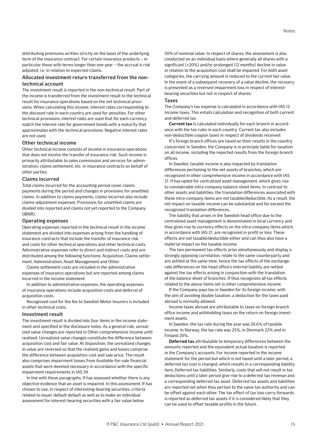distributing premiums written strictly on the basis of the underlying term of the insurance contract. For certain insurance products – in particular those with terms longer than one year – the accrual is risk adjusted, i.e. in relation to expected claims.

## Allocated investment return transferred from the nontechnical account

The investment result is reported in the non-technical result. Part of the income is transferred from the investment result to the technical result for insurance operations based on the net technical provisions. When calculating this income, interest rates corresponding to the discount rate in each country are used for annuities. For other technical provisions, interest rates are used that for each currency match the interest rate for government bonds with a maturity that approximates with the technical provisions. Negative interest rates are not used.

### Other technical income

Other technical income consists of income in insurance operations that does not involve the transfer of insurance risk. Such income is primarily attributable to sales commission and services for administration, claims settlement, etc. in insurance contracts on behalf of other parties.

### Claims incurred

Total claims incurred for the accounting period cover claims payments during the period and changes in provisions for unsettled claims. In addition to claims payments, claims incurred also include claims-adjustment expenses. Provisions for unsettled claims are divided into reported and claims not yet reported to the Company (IBNR).

### Operating expenses

Operating expenses reported in the technical result in the income statement are divided into expenses arising from the handling of insurance contracts that include the transfer of insurance risk, and costs for other technical operations and other technical costs. Administrative expenses refer to direct and indirect costs and are distributed among the following functions: Acquisition, Claims settlement, Administration, Asset Management and Other.

Claims settlement costs are included in the administrative expenses of insurance operations but are reported among claims incurred in the income statement.

In addition to administrative expenses, the operating expenses of insurance operations include acquisition costs and deferral of acquisition costs.

Recognized cost for the fee to Swedish Motor Insurers is included in other technical costs.

### Investment result

The investment result is divided into four items in the income statement and specified in the disclosure notes. As a general rule, unrealized value changes are reported in Other comprehensive income until realized. Unrealized value changes constitute the difference between acquisition cost and fair value. At disposition, the unrealized changes in value are reversed so that the realized gains and losses comprise the difference between acquisition cost and sale price. The result also comprises impairment losses from Available-for-sale financial assets that were deemed necessary in accordance with the specific impairment requirements in IAS 39.

In line with these paragraphs, If has assessed whether there is any objective evidence that an asset is impaired. In this assessment, If has chosen to use, in respect of interesting-bearing securities, criteria related to issuer default default as well as to make an individual assessment for interest-bearing securities with a fair value below

50% of nominal value. In respect of shares, the assessment is also conducted on an individual basis where generally all shares with a significant (>20%) and/or prolonged (12 months) decline in value in relation to the acquisition cost shall be impaired. For both asset categories, the carrying amount is reduced to the current fair value. In the event of a subsequent recovery of a value decline, the recovery is presented as a reversed impairment loss in respect of interestbearing securities but not in respect of shares.

### Taxes

The Company's tax expense is calculated in accordance with IAS 12 Income taxes. This entails calculation and recognition of both current and deferred tax.

**Current tax** is calculated individually for each branch in accordance with the tax rules in each country. Current tax also includes non-deductible coupon taxes in respect of dividends received.

If's foreign branch offices are taxed on their results in the country concerned. In Sweden, the Company is in principle liable for taxation on all income, including the reported results from the foreign branch offices.

In Sweden, taxable income is also impacted by translation differences pertaining to the net assets of branches, which are recognized in other comprehensive income in accordance with IAS 21. If has opted for centralized asset management, which gives rise to considerable intra-company balance sheet items. In contrast to other assets and liabilities, the translation differences associated with these intra-company items are not taxable/deductible. As a result, the net impact on taxable income can be substantial and far exceed the recognized translation differences.

The liability that arises in the Swedish head office due to the centralized asset management is denominated in local currency and thus gives rise to currency effects on the intra-company items which, in accordance with IAS 21, are recognized in profit or loss. These effects are not taxable/deductible either and can thus also have a material impact on the taxable income.

The two permanent tax effects arise simultaneously and display a strongly opposing correlation, relate to the same counterparty and are settled at the same time, hence the tax effects of the exchangerate differences on the head office's internal liability are netted against the tax effects arising in conjunction with the translation of the balance sheet of branches. If thus recognizes all tax effects related to the above items net in other comprehensive income.

If the Company pays tax in Sweden for its foreign income, with the aim of avoiding double taxation, a deduction for the taxes paid abroad is normally allowed.

Income taxes abroad are attributable to taxes on foreign branch office income and withholding taxes on the return on foreign investment assets.

In Sweden, the tax rate during the year was 20.6% of taxable income. In Norway, the tax rate was 25%, in Denmark 22% and in Finland 20%.

**Deferred tax** attributable to temporary differences between the amounts reported and the equivalent actual taxation is reported in the Company's accounts. For income reported in the income statement for the period but which is not taxed until a later period, a deferred tax cost is charged, which results in a corresponding liability item, Deferred tax liabilities. Similarly, costs that will not result in tax deductions until a later period give rise to a deferred tax revenue and a corresponding deferred tax asset. Deferred tax assets and liabilities are reported net when they pertain to the same tax authority and can be offset against each other. The tax effect of tax loss carry-forwards is reported as deferred tax assets if it is considered likely that they can be used to offset taxable profits in the future.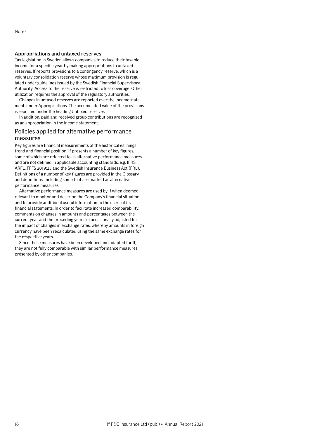## Appropriations and untaxed reserves

Tax legislation in Sweden allows companies to reduce their taxable income for a specific year by making appropriations to untaxed reserves. If reports provisions to a contingency reserve, which is a voluntary consolidation reserve whose maximum provision is regulated under guidelines issued by the Swedish Financial Supervisory Authority. Access to the reserve is restricted to loss coverage. Other utilization requires the approval of the regulatory authorities.

Changes in untaxed reserves are reported over the income statement, under Appropriations. The accumulated value of the provisions is reported under the heading Untaxed reserves.

In addition, paid and received group contributions are recognized as an appropriation in the income statement.

# Policies applied for alternative performance measures

Key figures are financial measurements of the historical earnings trend and financial position. If presents a number of key figures, some of which are referred to as alternative performance measures and are not defined in applicable accounting standards, e.g. IFRS, ÅRFL, FFFS 2019:23 and the Swedish Insurance Business Act (FRL). Definitions of a number of key figures are provided in the Glossary and definitions, including some that are marked as alternative performance measures.

Alternative performance measures are used by If when deemed relevant to monitor and describe the Company's financial situation and to provide additional useful information to the users of its financial statements. In order to facilitate increased comparability, comments on changes in amounts and percentages between the current year and the preceding year are occasionally adjusted for the impact of changes in exchange rates, whereby amounts in foreign currency have been recalculated using the same exchange rates for the respective years.

Since these measures have been developed and adapted for If, they are not fully comparable with similar performance measures presented by other companies.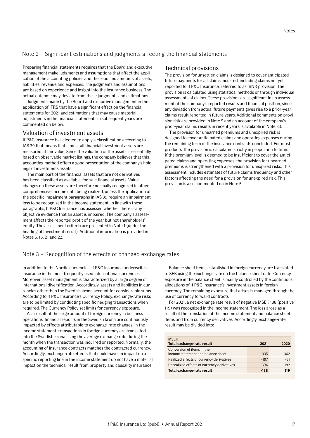# <span id="page-16-0"></span>Note 2 – Significant estimations and judgments affecting the financial statements

Preparing financial statements requires that the Board and executive management make judgments and assumptions that affect the application of the accounting policies and the reported amounts of assets, liabilities, revenue and expenses. The judgments and assumptions are based on experience and insight into the insurance business. The actual outcome may deviate from these judgments and estimations.

Judgments made by the Board and executive management in the application of IFRS that have a significant effect on the financial statements for 2021 and estimations that may cause material adjustments in the financial statements in subsequent years are commented on below.

# Valuation of investment assets

If P&C Insurance has elected to apply a classification according to IAS 39 that means that almost all financial investment assets are measured at fair value. Since the valuation of the assets is essentially based on observable market listings, the company believes that this accounting method offers a good presentation of the company's holdings of investments assets.

The main part of the financial assets that are not derivatives has been classified as available-for-sale financial assets. Value changes on these assets are therefore normally recognized in other comprehensive income until being realized, unless the application of the specific impairment paragraphs in IAS 39 require an impairment loss to be recognized in the income statement. In line with these paragraphs, If P&C Insurance has assessed whether there is any objective evidence that an asset is impaired. The company's assessment affects the reported profit of the year but not shareholders' equity. The assessment criteria are presented in Note 1 (under the heading of Investment result). Additional information is provided in Notes 5, 15, 21 and 22.

# Technical provisions

The provision for unsettled claims is designed to cover anticipated future payments for all claims incurred, including claims not yet reported to If P&C Insurance, referred to as IBNR provision. The provision is calculated using statistical methods or through individual assessments of claims. These provisions are significant in an assessment of the company's reported results and financial position, since any deviation from actual future payments gives rise to a prior-year claims result reported in future years. Additional comments on provision risk are provided in Note 5 and an account of the company's prior-year claims results in recent years is available in Note 33.

The provision for unearned premiums and unexpired risk is designed to cover anticipated claims and operating expenses during the remaining term of the insurance contracts concluded. For most products, the provision is calculated strictly in proportion to time. If the premium level is deemed to be insufficient to cover the anticipated claims and operating expenses, the provision for unearned premiums is strengthened with a provision for unexpired risks. This assessment includes estimates of future claims frequency and other factors affecting the need for a provision for unexpired risk. This provision is also commented on in Note 5.

## Note 3 – Recognition of the effects of changed exchange rates

In addition to the Nordic currencies, If P&C Insurance underwrites insurance in the most frequently used international currencies. Moreover, asset management is characterized by a large degree of international diversification. Accordingly, assets and liabilities in currencies other than the Swedish krona account for considerable sums. According to If P&C Insurance's Currency Policy, exchange-rate risks are to be limited by conducting specific hedging transactions when required. The Currency Policy set limits for currency exposure.

As a result of the large amount of foreign currency in business operations, financial reports in the Swedish krona are continuously impacted by effects attributable to exchange-rate changes. In the income statement, transactions in foreign currency are translated into the Swedish krona using the average exchange rate during the month when the transaction was incurred or reported. Normally, the accounting of insurance contracts matches the contracted currency. Accordingly, exchange-rate effects that could have an impact on a specific reporting line in the income statement do not have a material impact on the technical result from property and causality insurance.

Balance sheet items established in foreign currency are translated to SEK using the exchange rate on the balance sheet date. Currency exposure in the balance sheet is mainly controlled by the continuous allocations of If P&C Insurance's investment assets in foreign currency. The remaining exposure that arises is managed through the use of currency forward contracts.

For 2021, a net exchange rate result of negative MSEK 138 (positive 119) was recognized in the income statement. The loss arose as a result of the translation of the income statement and balance sheet items and from currency derivatives. Accordingly, exchange-rate result may be divided into:

| <b>MSEK</b><br>Total exchange-rate result  | 2021   | 2020   |
|--------------------------------------------|--------|--------|
| Conversion of items in the                 |        |        |
| income statement and balance sheet         | $-335$ | 362    |
| Realized effects of currency derivatives   | $-197$ | $-51$  |
| Unrealized effects of currency derivatives | 394    | $-192$ |
| Total exchange-rate result                 | $-138$ | 119    |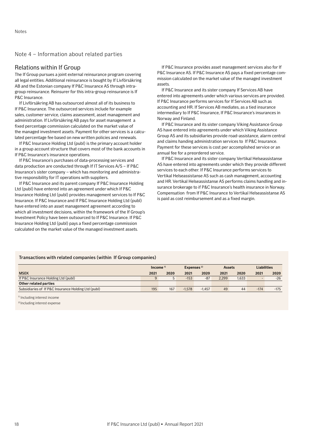## <span id="page-17-0"></span>Note 4 – Information about related parties

## Relations within If Group

The If Group pursues a joint external reinsurance program covering all legal entities. Additional reinsurance is bought by If Livförsäkring AB and the Estonian company If P&C Insurance AS through intragroup reinsurance. Reinsurer for this intra-group reinsurance is If P&C Insurance.

If Livförsäkring AB has outsourced almost all of its business to If P&C Insurance. The outsourced services include for example sales, customer service, claims assessment, asset management and administration. If Livförsäkring AB pays for asset management a fixed percentage commission calculated on the market value of the managed investment assets. Payment for other services is a calculated percentage fee based on new written policies and renewals.

If P&C Insurance Holding Ltd (publ) is the primary account holder in a group account structure that covers most of the bank accounts in If P&C Insurance's insurance operations.

If P&C Insurance's purchases of data-processing services and data production are conducted through If IT Services A/S – If P&C Insurance's sister company – which has monitoring and administrative responsibility for IT operations with suppliers.

If P&C Insurance and its parent company If P&C Insurance Holding Ltd (publ) have entered into an agreement under which If P&C Insurance Holding Ltd (publ) provides management services to If P&C Insurance. If P&C Insurance and If P&C Insurance Holding Ltd (publ) have entered into an asset management agreement according to which all investment decisions, within the framework of the If Group's Investment Policy have been outsourced to If P&C Insurance. If P&C Insurance Holding Ltd (publ) pays a fixed percentage commission calculated on the market value of the managed investment assets.

If P&C Insurance provides asset management services also for If P&C Insurance AS. If P&C Insurance AS pays a fixed percentage commission calculated on the market value of the managed investment assets.

If P&C Insurance and its sister company If Services AB have entered into agreements under which various services are provided. If P&C Insurance performs services for If Services AB such as accounting and HR. If Services AB mediates, as a tied insurance intermediary to If P&C Insurance, If P&C Insurance's insurances in Norway and Finland.

If P&C Insurance and its sister company Viking Assistance Group AS have entered into agreements under which Viking Assistance Group AS and its subsidiaries provide road-assistance, alarm central and claims handing administration services to If P&C Insurance. Payment for these services is cost per accomplished service or an annual fee for a preordered service.

If P&C Insurance and its sister company Vertikal Helseassistanse AS have entered into agreements under which they provide different services to each other. If P&C Insurance performs services to Vertikal Helseassistanse AS such as cash management, accounting and HR. Vertikal Helseassistanse AS performs claims handling and insurance brokerage to if P&C Insurance's health insurance in Norway. Compensation from If P&C Insurance to Vertikal Helseassistanse AS is paid as cost reimbursement and as a fixed margin.

### Transactions with related companies (within If Group companies)

|                                                     | Expenses $2$<br>Income $\frac{1}{2}$ |      | <b>Assets</b> |          | <b>Liabilities</b> |       |        |        |
|-----------------------------------------------------|--------------------------------------|------|---------------|----------|--------------------|-------|--------|--------|
| <b>MSEK</b>                                         | 2021                                 | 2020 | 2021          | 2020     | 2021               | 2020  | 2021   | 2020   |
| If P&C Insurance Holding Ltd (publ)                 | a                                    |      | $-153$        | $-87$    | 2.299              | 1,633 |        | $-26$  |
| Other related parties                               |                                      |      |               |          |                    |       |        |        |
| Subsidiaries of If P&C Insurance Holding Ltd (publ) | 195                                  | 167  | $-1.578$      | $-1.457$ | 49                 | 44    | $-174$ | $-175$ |

<sup>1)</sup> Including interest income

2) Including interest expense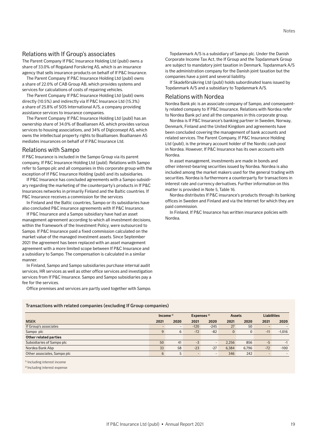# Relations with If Group's associates

The Parent Company If P&C Insurance Holding Ltd (publ) owns a share of 33.0% of Rogaland Forsikring AS, which is an insurance agency that sells insurance products on behalf of If P&C Insurance.

The Parent Company If P&C Insurance Holding Ltd (publ) owns a share of 22.0% of CAB Group AB, which provides systems and services for calculations of costs of repairing vehicles.

The Parent Company If P&C Insurance Holding Ltd (publ) owns directly (10.5%) and indirectly via If P&C Insurance Ltd (15.3%) a share of 25.8% of SOS International A/S, a company providing assistance services to insurance companies.

The Parent Company If P&C Insurance Holding Ltd (publ) has an ownership share of 34.0% of Boalliansen AS, which provides various services to housing associations, and 34% of Digiconsept AS, which owns the intellectual property rights to Boalliansen. Boalliansen AS mediates insurances on behalf of If P&C Insurance Ltd.

## Relations with Sampo

If P&C Insurance is included in the Sampo Group via its parent company, If P&C Insurance Holding Ltd (publ). Relations with Sampo refer to Sampo plc and all companies in this corporate group with the exception of If P&C Insurance Holding (publ) and its subsidiaries.

If P&C Insurance has concluded agreements with a Sampo subsidiary regarding the marketing of the counterparty's products in If P&C Insurances networks in primarily Finland and the Baltic countries. If P&C Insurance receives a commission for the services

In Finland and the Baltic countries, Sampo or its subsidiaries have also concluded P&C insurance agreements with If P&C Insurance.

If P&C Insurance and a Sampo subsidiary have had an asset management agreement according to which all investment decisions, within the framework of the Investment Policy, were outsourced to Sampo. If P&C Insurance paid a fixed commission calculated on the market value of the managed investment assets. Since September 2021 the agreement has been replaced with an asset management agreement with a more limited scope between If P&C Insurance and a subsidiary to Sampo. The compensation is calculated in a similar manner.

In Finland, Sampo and Sampo subsidiaries purchase internal audit services, HR services as well as other office services and investigation services from If P&C Insurance. Sampo and Sampo subsidiaries pay a fee for the services.

Office premises and services are partly used together with Sampo.

Topdanmark A/S is a subsidiary of Sampo plc. Under the Danish Corporate Income Tax Act, the If Group and the Topdanmark Group are subject to mandatory joint taxation in Denmark. Topdanmark A/S is the administration company for the Danish joint taxation but the companies have a joint and several liability.

If Skadeförsäkring Ltd (publ) holds subordinated loans issued by Topdanmark A/S and a subsidiary to Topdanmark A/S.

## Relations with Nordea

Nordea Bank plc is an associate company of Sampo, and consequently related company to If P&C Insurance. Relations with Nordea refer to Nordea Bank pcl and all the companies in this corporate group.

Nordea is If P&C Insurance's banking partner in Sweden, Norway, Denmark, Finland and the United Kingdom and agreements have been concluded covering the management of bank accounts and related services. The Parent Company, If P&C Insurance Holding Ltd (publ), is the primary account holder of the Nordic cash pool in Nordea. However, If P&C Insurance has its own accounts with Nordea.

In asset management, investments are made in bonds and other interest-bearing securities issued by Nordea. Nordea is also included among the market makers used for the general trading with securities. Nordea is furthermore a counterparty for transactions in interest rate and currency derivatives. Further information on this matter is provided in Note 5, Table 16.

Nordea distributes If P&C insurance's products through its banking offices in Sweden and Finland and via the Internet for which they are paid commission.

In Finland, If P&C Insurance has written insurance policies with Nordea.

### Transactions with related companies (excluding If Group companies)

|                             | Income <sup>1)</sup> |      |        | Expenses <sup>2)</sup>   |              | <b>Assets</b> |                          | <b>Liabilities</b> |
|-----------------------------|----------------------|------|--------|--------------------------|--------------|---------------|--------------------------|--------------------|
| <b>MSEK</b>                 | 2021                 | 2020 | 2021   | 2020                     | 2021         | 2020          | 2021                     | 2020               |
| If Group's associates       | $\sim$               | -    | $-120$ | $-245$                   | 27           | 50            | $\overline{\phantom{0}}$ |                    |
| Sampo plc                   | 9                    | 6    | $-72$  | $-82$                    | $\mathbf{0}$ |               | $-11$                    | $-1,016$           |
| Other related parties       |                      |      |        |                          |              |               |                          |                    |
| Subsidiaries of Sampo plc   | 50                   | 41   | $-3$   | $\overline{\phantom{a}}$ | 2.256        | 856           | $-5$                     |                    |
| Nordea Bank Abp             | 33                   | 58   | $-23$  | $-27$                    | 6.384        | 6,796         | $-72$                    | $-100$             |
| Other associates, Sampo plc | 6                    | 5    | -      | $\sim$                   | 346          | 242           | $\overline{\phantom{a}}$ | $\overline{a}$     |

1) Including interest income

2) Including interest expense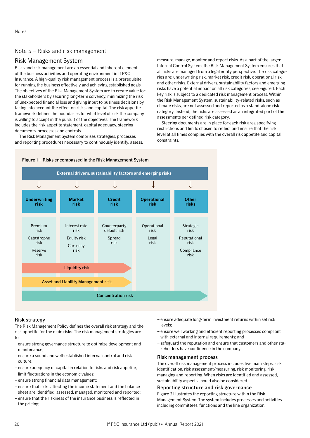# <span id="page-19-0"></span>Note 5 – Risks and risk management

# Risk Management System

Risks and risk management are an essential and inherent element of the business activities and operating environment in If P&C Insurance. A high-quality risk management process is a prerequisite for running the business effectively and achieving established goals. The objectives of the Risk Management System are to create value for the stakeholders by securing long-term solvency, minimizing the risk of unexpected financial loss and giving input to business decisions by taking into account the effect on risks and capital. The risk appetite framework defines the boundaries for what level of risk the company is willing to accept in the pursuit of the objectives. The framework includes the risk appetite statement, capital adequacy, steering documents, processes and controls.

The Risk Management System comprises strategies, processes and reporting procedures necessary to continuously identify, assess, measure, manage, monitor and report risks. As a part of the larger Internal Control System, the Risk Management System ensures that all risks are managed from a legal entity perspective. The risk categories are: underwriting risk, market risk, credit risk, operational risk and other risks. External drivers, sustainability factors and emerging risks have a potential impact on all risk categories, see Figure 1. Each key risk is subject to a dedicated risk management process. Within the Risk Management System, sustainability-related risks, such as climate risks, are not assessed and reported as a stand-alone risk category. Instead, the risks are assessed as an integrated part of the assessments per defined risk category.

Steering documents are in place for each risk area specifying restrictions and limits chosen to reflect and ensure that the risk level at all times complies with the overall risk appetite and capital constraints.



### Figure 1 – Risks encompassed in the Risk Management System

# Risk strategy

The Risk Management Policy defines the overall risk strategy and the risk appetite for the main risks. The risk management strategies are to:

- ensure strong governance structure to optimize development and maintenance;
- ensure a sound and well-established internal control and risk culture;
- ensure adequacy of capital in relation to risks and risk appetite;
- limit fluctuations in the economic values;
- ensure strong financial data management;
- ensure that risks affecting the income statement and the balance sheet are identified, assessed, managed, monitored and reported;
- ensure that the riskiness of the insurance business is reflected in the pricing;
- ensure adequate long-term investment returns within set risk levels;
- ensure well working and efficient reporting processes compliant with external and internal requirements; and
- safeguard the reputation and ensure that customers and other stakeholders have confidence in the company.

# Risk management process

The overall risk management process includes five main steps: risk identification, risk assessment/measuring, risk monitoring, risk managing and reporting. When risks are identified and assessed, sustainability aspects should also be considered.

# Reporting structure and risk governance

Figure 2 illustrates the reporting structure within the Risk Management System. The system includes processes and activities including committees, functions and the line organization.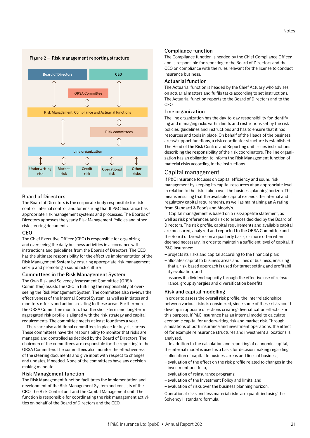

### Figure 2 – Risk management reporting structure

### Board of Directors

The Board of Directors is the corporate body responsible for risk control, internal control, and for ensuring that If P&C Insurance has appropriate risk management systems and processes. The Boards of Directors approves the yearly Risk Management Policies and other risk-steering documents.

### **CEO**

The Chief Executive Officer (CEO) is responsible for organizing and overseeing the daily business activities in accordance with instructions and guidelines from the Boards of Directors. The CEO has the ultimate responsibility for the effective implementation of the Risk Management System by ensuring appropriate risk management set-up and promoting a sound risk culture.

### Committees in the Risk Management System

The Own Risk and Solvency Assessment Committee (ORSA Committee) assists the CEO in fulfilling the responsibility of overseeing the Risk Management System. The committee also reviews the effectiveness of the Internal Control System, as well as initiates and monitors efforts and actions relating to these areas. Furthermore, the ORSA Committee monitors that the short-term and long-term aggregated risk profile is aligned with the risk strategy and capital requirements. The committee meets at least four times a year.

There are also additional committees in place for key risk areas. These committees have the responsibility to monitor that risks are managed and controlled as decided by the Board of Directors. The chairmen of the committees are responsible for the reporting to the ORSA Committee. The committees also monitor the effectiveness of the steering documents and give input with respect to changes and updates, if needed. None of the committees have any decisionmaking mandate.

### Risk Management function

The Risk Management function facilitates the implementation and development of the Risk Management System and consists of the CRO, the Risk Control unit and the Capital Management unit. The function is responsible for coordinating the risk management activities on behalf of the Board of Directors and the CEO.

### Compliance function

The Compliance function is headed by the Chief Compliance Officer and is responsible for reporting to the Board of Directors and the CEO on compliance with the rules relevant for the license to conduct insurance business.

### Actuarial function

The Actuarial function is headed by the Chief Actuary who advises on actuarial matters and fulfils tasks according to set instructions. The Actuarial function reports to the Board of Directors and to the **CEO** 

### Line organization

The line organization has the day-to-day responsibility for identifying and managing risks within limits and restrictions set by the risk policies, guidelines and instructions and has to ensure that it has resources and tools in place. On behalf of the Heads of the business areas/support functions, a risk coordinator structure is established. The Head of the Risk Control and Reporting unit issues instructions describing the responsibility of the risk coordinators. The line organization has an obligation to inform the Risk Management function of material risks according to the instructions.

### Capital management

If P&C Insurance focuses on capital efficiency and sound risk management by keeping its capital resources at an appropriate level in relation to the risks taken over the business planning horizon. This means ensuring that the available capital exceeds the internal and regulatory capital requirements, as well as maintaining an A rating from Standard & Poor's and Moody's.

Capital management is based on a risk-appetite statement, as well as risk preferences and risk tolerances decided by the Board of Directors. The risk profile, capital requirements and available capital are measured, analyzed and reported to the ORSA Committee and the Board of Directors on a quarterly basis, or more often when deemed necessary. In order to maintain a sufficient level of capital, If P&C Insurance:

– projects its risks and capital according to the financial plan;

- allocates capital to business areas and lines of business, ensuring that a risk-based approach is used for target setting and profitability evaluation; and
- assures its dividend capacity through the effective use of reinsurance, group synergies and diversification benefits.

### Risk and capital modelling

In order to assess the overall risk profile, the interrelationships between various risks is considered, since some of these risks could develop in opposite directions creating diversification effects. For this purpose, If P&C Insurance has an internal model to calculate economic capital for underwriting risk and market risk. Through simulations of both insurance and investment operations, the effect of for example reinsurance structures and investment allocations is analyzed.

In addition to the calculation and reporting of economic capital, the internal model is used as a basis for decision making regarding:

- allocation of capital to business areas and lines of business;
- evaluation of the effect on the risk profile related to changes in the investment portfolio;
- evaluation of reinsurance programs;
- evaluation of the Investment Policy and limits; and
- evaluation of risks over the business planning horizon.

Operational risks and less material risks are quantified using the Solvency II standard formula.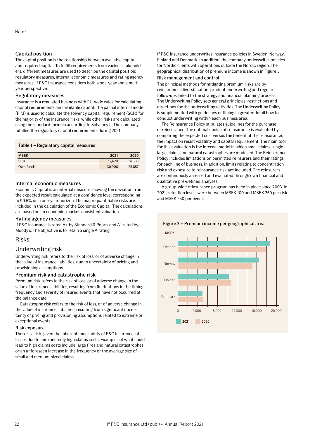# Capital position

The capital position is the relationship between available capital and required capital. To fulfill requirements from various stakeholders, different measures are used to describe the capital position: regulatory measures, internal economic measures and rating agency measures. If P&C Insurance considers both a one-year and a multiyear perspective.

## Regulatory measures

Insurance is a regulated business with EU-wide rules for calculating capital requirements and available capital. The partial internal model (PIM) is used to calculate the solvency capital requirement (SCR) for the majority of the insurance risks, while other risks are calculated using the standard formula according to Solvency II. The company fulfilled the regulatory capital requirements during 2021.

### Table 1 – Regulatory capital measures

| <b>MSEK</b> | 2021   | 2020   |
|-------------|--------|--------|
| <b>SCR</b>  | 17.629 | 14,683 |
| Own funds   | 30,906 | 25.857 |

## Internal economic measures

Economic Capital is an internal measure showing the deviation from the expected result calculated at a confidence level corresponding to 99.5% on a one-year horizon. The major quantifiable risks are included in the calculation of the Economic Capital. The calculations are based on an economic, market-consistent valuation.

### Rating agency measures

If P&C Insurance is rated A+ by Standard & Poor's and A1 rated by Moody's. The objective is to retain a single A rating.

## Risks

## Underwriting risk

Underwriting risk refers to the risk of loss, or of adverse change in the value of insurance liabilities, due to uncertainty of pricing and provisioning assumptions.

## Premium risk and catastrophe risk

Premium risk refers to the risk of loss, or of adverse change in the value of insurance liabilities, resulting from fluctuations in the timing, frequency and severity of insured events that have not occurred at the balance date.

Catastrophe risk refers to the risk of loss, or of adverse change in the value of insurance liabilities, resulting from significant uncertainty of pricing and provisioning assumptions related to extreme or exceptional events.

### Risk exposure

There is a risk, given the inherent uncertainty of P&C insurance, of losses due to unexpectedly high claims costs. Examples of what could lead to high claims costs include large fires and natural catastrophes or an unforeseen increase in the frequency or the average size of small and medium-sized claims.

If P&C Insurance underwrites insurance policies in Sweden, Norway, Finland and Denmark. In addition, the company underwrites policies for Nordic clients with operations outside the Nordic region. The geographical distribution of premium income is shown in Figure 3. Risk management and control

The principal methods for mitigating premium risks are by reinsurance, diversification, prudent underwriting and regular follow-ups linked to the strategy and financial planning process. The Underwriting Policy sets general principles, restrictions and directions for the underwriting activities. The Underwriting Policy is supplemented with guidelines outlining in greater detail how to conduct underwriting within each business area.

The Reinsurance Policy stipulates guidelines for the purchase of reinsurance. The optimal choice of reinsurance is evaluated by comparing the expected cost versus the benefit of the reinsurance, the impact on result volatility and capital requirement. The main tool for this evaluation is the internal model in which small claims, single large claims and natural catastrophes are modelled. The Reinsurance Policy includes limitations on permitted reinsurers and their ratings for each line of business. In addition, limits relating to concentration risk and exposure to reinsurance risk are included. The reinsurers are continuously assessed and evaluated through own financial and qualitative pre-defined analyses.

A group-wide reinsurance program has been in place since 2003. In 2021, retention levels were between MSEK 100 and MSEK 250 per risk and MSEK 250 per event.



## Figure 3 – Premium income per geographical area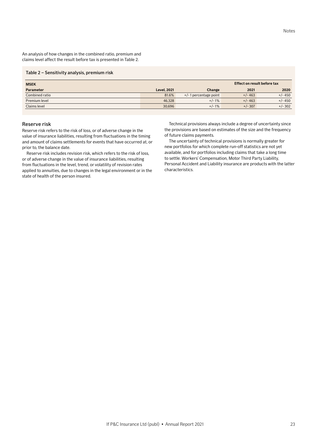An analysis of how changes in the combined ratio, premium and claims level affect the result before tax is presented in Table 2.

#### Table 2 – Sensitivity analysis, premium risk

| <b>MSEK</b>      | Effect on result before tax |                          |           |           |
|------------------|-----------------------------|--------------------------|-----------|-----------|
| <b>Parameter</b> | <b>Level, 2021</b>          | Change                   | 2021      | 2020      |
| Combined ratio   | 81.6%                       | $+/-$ 1 percentage point | $+/- 463$ | $+/- 450$ |
| Premium level    | 46.328                      | $+/-1\%$                 | $+/- 463$ | $+/- 450$ |
| Claims level     | 30.696                      | $+/-1\%$                 | $+/- 307$ | $+/- 302$ |

### Reserve risk

Reserve risk refers to the risk of loss, or of adverse change in the value of insurance liabilities, resulting from fluctuations in the timing and amount of claims settlements for events that have occurred at, or prior to, the balance date.

Reserve risk includes revision risk, which refers to the risk of loss, or of adverse change in the value of insurance liabilities, resulting from fluctuations in the level, trend, or volatility of revision rates applied to annuities, due to changes in the legal environment or in the state of health of the person insured.

Technical provisions always include a degree of uncertainty since the provisions are based on estimates of the size and the frequency of future claims payments.

The uncertainty of technical provisions is normally greater for new portfolios for which complete run-off statistics are not yet available, and for portfolios including claims that take a long time to settle. Workers' Compensation, Motor Third Party Liability, Personal Accident and Liability insurance are products with the latter characteristics.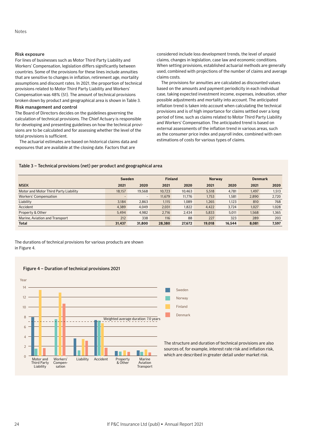## Risk exposure

For lines of businesses such as Motor Third Party Liability and Workers' Compensation, legislation differs significantly between countries. Some of the provisions for these lines include annuities that are sensitive to changes in inflation, retirement age, mortality assumptions and discount rates. In 2021, the proportion of technical provisions related to Motor Third Party Liability and Workers' Compensation was 48% (51). The amount of technical provisions broken down by product and geographical area is shown in Table 3.

## Risk management and control

The Board of Directors decides on the guidelines governing the calculation of technical provisions. The Chief Actuary is responsible for developing and presenting guidelines on how the technical provisions are to be calculated and for assessing whether the level of the total provisions is sufficient.

The actuarial estimates are based on historical claims data and exposures that are available at the closing date. Factors that are

considered include loss development trends, the level of unpaid claims, changes in legislation, case law and economic conditions. When setting provisions, established actuarial methods are generally used, combined with projections of the number of claims and average claims costs.

The provisions for annuities are calculated as discounted values based on the amounts and payment periodicity in each individual case, taking expected investment income, expenses, indexation, other possible adjustments and mortality into account. The anticipated inflation trend is taken into account when calculating the technical provisions and is of high importance for claims settled over a long period of time, such as claims related to Motor Third Party Liability and Workers' Compensation. The anticipated trend is based on external assessments of the inflation trend in various areas, such as the consumer price index and payroll index, combined with own estimations of costs for various types of claims.

### Table 3 – Technical provisions (net) per product and geographical area

|                                       | Sweden |                          |        | <b>Finland</b> |        | <b>Norway</b> |       | <b>Denmark</b> |  |
|---------------------------------------|--------|--------------------------|--------|----------------|--------|---------------|-------|----------------|--|
| <b>MSEK</b>                           | 2021   | 2020                     | 2021   | 2020           | 2021   | 2020          | 2021  | 2020           |  |
| Motor and Motor Third Party Liability | 18.157 | 19.568                   | 10.723 | 10.463         | 5.518  | 4,781         | 1,497 | 1,513          |  |
| <b>Workers' Compensation</b>          | -      | $\overline{\phantom{0}}$ | 11.679 | 11.776         | 1,753  | 1,581         | 2.890 | 2,720          |  |
| Liability                             | 3.184  | 2,863                    | 1.115  | 1.089          | 1,265  | 1,123         | 810   | 768            |  |
| Accident                              | 4,389  | 4,049                    | 2,031  | 1,822          | 4,422  | 3,724         | 1,027 | 1,028          |  |
| Property & Other                      | 5.494  | 4.982                    | 2.716  | 2.434          | 5.833  | 5.011         | 1.568 | 1,365          |  |
| Marine, Aviation and Transport        | 212    | 338                      | 116    | 88             | 227    | 323           | 289   | 203            |  |
| Total                                 | 31,437 | 31,800                   | 28,380 | 27.672         | 19.018 | 16,544        | 8,081 | 7,597          |  |

### The durations of technical provisions for various products are shown in Figure 4.

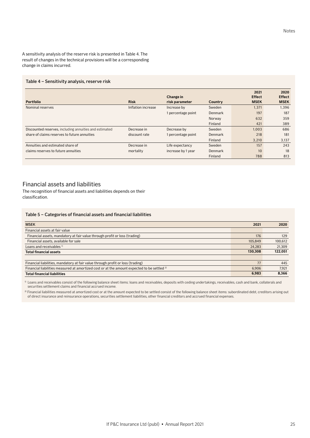A sensitivity analysis of the reserve risk is presented in Table 4. The result of changes in the technical provisions will be a corresponding change in claims incurred.

### Table 4 – Sensitivity analysis, reserve risk

| <b>Portfolio</b>                                       | <b>Risk</b>        | Change in<br>risk parameter | <b>Country</b> | 2021<br><b>Effect</b><br><b>MSEK</b> | 2020<br><b>Effect</b><br><b>MSEK</b> |
|--------------------------------------------------------|--------------------|-----------------------------|----------------|--------------------------------------|--------------------------------------|
| Nominal reserves                                       | Inflation increase | Increase by                 | Sweden         | 1.371                                | 1,396                                |
|                                                        |                    | 1 percentage point          | Denmark        | 197                                  | 187                                  |
|                                                        |                    |                             | Norway         | 632                                  | 359                                  |
|                                                        |                    |                             | Finland        | 421                                  | 389                                  |
| Discounted reserves, including annuities and estimated | Decrease in        | Decrease by                 | Sweden         | 1,003                                | 686                                  |
| share of claims reserves to future annuities           | discount rate      | 1 percentage point          | Denmark        | 218                                  | 181                                  |
|                                                        |                    |                             | Finland        | 3.210                                | 3,137                                |
| Annuities and estimated share of                       | Decrease in        | Life expectancy             | Sweden         | 157                                  | 243                                  |
| claims reserves to future annuities                    | mortality          | increase by 1 year          | Denmark        | 10                                   | 18                                   |
|                                                        |                    |                             | Finland        | 788                                  | 813                                  |

# Financial assets and liabilities

The recognition of financial assets and liabilities depends on their classification.

### Table 5 – Categories of financial assets and financial liabilities

| <b>MSEK</b>                                                                                            | 2021    | 2020    |
|--------------------------------------------------------------------------------------------------------|---------|---------|
| Financial assets at fair value                                                                         |         |         |
| Financial assets, mandatory at fair value through profit or loss (trading)                             | 176     | 129     |
| Financial assets, available for sale                                                                   | 105.849 | 100,612 |
| Loans and receivables <sup>1)</sup>                                                                    | 24,283  | 21.309  |
| <b>Total financial assets</b>                                                                          | 130,308 | 122,051 |
|                                                                                                        |         |         |
| Financial liabilities, mandatory at fair value through profit or loss (trading)                        | 77      | 445     |
| Financial liabilities measured at amortized cost or at the amount expected to be settled <sup>2)</sup> | 6.906   | 7.921   |
| <b>Total financial liabilities</b>                                                                     | 6.983   | 8.366   |

<sup>1)</sup> Loans and receivables consist of the following balance sheet items: loans and receivables, deposits with ceding undertakings, receivables, cash and bank, collaterals and securities settlement claims and financial accrued income.

<sup>2)</sup> Financial liabilities measured at amortized cost or at the amount expected to be settled consist of the following balance sheet items: subordinated debt, creditors arising out of direct insurance and reinsurance operations, securities settlement liabilities, other financial creditors and accrued financial expenses.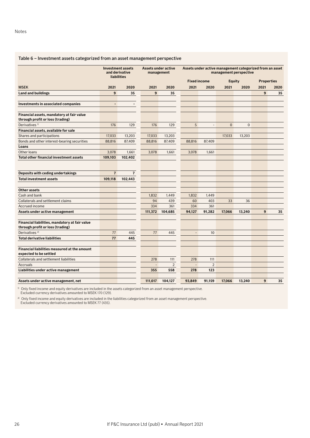# Table 6 – Investment assets categorized from an asset management perspective

|                                                                                    | <b>liabilities</b> | <b>Investment assets</b><br>and derivative | <b>Assets under active</b><br>management |                | Assets under active management categorized from an asset<br>management perspective |                |              |                |                   |      |
|------------------------------------------------------------------------------------|--------------------|--------------------------------------------|------------------------------------------|----------------|------------------------------------------------------------------------------------|----------------|--------------|----------------|-------------------|------|
|                                                                                    |                    |                                            |                                          |                | <b>Fixed income</b>                                                                |                | Equity       |                | <b>Properties</b> |      |
| <b>MSEK</b>                                                                        | 2021               | 2020                                       | 2021                                     | 2020           | 2021                                                                               | 2020           | 2021         | 2020           | 2021              | 2020 |
| <b>Land and buildings</b>                                                          | 9                  | 35                                         | 9                                        | 35             |                                                                                    |                |              |                | 9                 | 35   |
| Investments in associated companies                                                | ä,                 | $\overline{a}$                             |                                          |                |                                                                                    |                |              |                |                   |      |
|                                                                                    |                    |                                            |                                          |                |                                                                                    |                |              |                |                   |      |
| Financial assets, mandatory at fair value<br>through profit or loss (trading)      |                    |                                            |                                          |                |                                                                                    |                |              |                |                   |      |
| Derivatives <sup>1)</sup>                                                          | 176                | 129                                        | 176                                      | 129            | 5                                                                                  |                | $\mathbf{0}$ | $\overline{0}$ |                   |      |
| Financial assets, available for sale                                               |                    |                                            |                                          |                |                                                                                    |                |              |                |                   |      |
| Shares and participations                                                          | 17,033             | 13,203                                     | 17,033                                   | 13,203         |                                                                                    |                | 17,033       | 13,203         |                   |      |
| Bonds and other interest-bearing securities                                        | 88,816             | 87,409                                     | 88,816                                   | 87,409         | 88,816                                                                             | 87,409         |              |                |                   |      |
| Loans                                                                              |                    |                                            |                                          |                |                                                                                    |                |              |                |                   |      |
| Other loans                                                                        | 3,078              | 1,661                                      | 3,078                                    | 1,661          | 3,078                                                                              | 1,661          |              |                |                   |      |
| Total other financial investment assets                                            | 109,103            | 102,402                                    |                                          |                |                                                                                    |                |              |                |                   |      |
|                                                                                    |                    |                                            |                                          |                |                                                                                    |                |              |                |                   |      |
| Deposits with ceding undertakings                                                  | $\overline{7}$     | $\overline{7}$                             |                                          |                |                                                                                    |                |              |                |                   |      |
| <b>Total investment assets</b>                                                     | 109,118            | 102,443                                    |                                          |                |                                                                                    |                |              |                |                   |      |
| <b>Other assets</b>                                                                |                    |                                            |                                          |                |                                                                                    |                |              |                |                   |      |
| Cash and bank                                                                      |                    |                                            | 1,832                                    | 1,449          | 1,832                                                                              | 1,449          |              |                |                   |      |
| Collaterals and settlement claims                                                  |                    |                                            | 94                                       | 439            | 60                                                                                 | 403            | 33           | 36             |                   |      |
| Accrued income                                                                     |                    |                                            | 334                                      | 361            | 334                                                                                | 361            |              |                |                   |      |
| Assets under active management                                                     |                    |                                            | 111,372                                  | 104,685        | 94,127                                                                             | 91,282         | 17,066       | 13,240         | 9                 | 35   |
| Financial liabilities, mandatory at fair value<br>through profit or loss (trading) |                    |                                            |                                          |                |                                                                                    |                |              |                |                   |      |
| Derivatives <sup>2)</sup>                                                          | 77                 | 445                                        | 77                                       | 445            | $\overline{\phantom{a}}$                                                           | 10             |              |                |                   |      |
| <b>Total derivative liabilities</b>                                                | 77                 | 445                                        |                                          |                |                                                                                    |                |              |                |                   |      |
| Financial liabilities measured at the amount<br>expected to be settled             |                    |                                            |                                          |                |                                                                                    |                |              |                |                   |      |
| Collaterals and settlement liabilities                                             |                    |                                            | 278                                      | 111            | 278                                                                                | 111            |              |                |                   |      |
| <b>Accruals</b>                                                                    |                    |                                            | $\overline{a}$                           | $\overline{2}$ | $\overline{a}$                                                                     | $\overline{2}$ |              |                |                   |      |
| Liabilities under active management                                                |                    |                                            | 355                                      | 558            | 278                                                                                | 123            |              |                |                   |      |
| Assets under active management, net                                                |                    |                                            | 111,017                                  | 104,127        | 93,849                                                                             | 91,159         | 17,066       | 13,240         | 9                 | 35   |

 $10$  Only fixed income and equity derivatives are included in the assets categorized from an asset management perspective. Excluded currency derivatives amounted to MSEK 170 (129).

<sup>2)</sup> Only fixed income and equity derivatives are included in the liabilities categorized from an asset management perspective. Excluded currency derivatives amounted to MSEK 77 (435).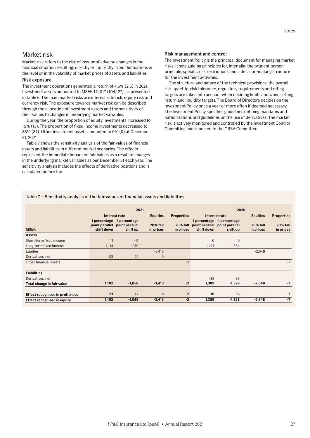# Market risk

Market risk refers to the risk of loss, or of adverse changes in the financial situation resulting, directly or indirectly, from fluctuations in the level or in the volatility of market prices of assets and liabilities.

### Risk exposure

The investment operations generated a return of 4.6% (2.5) in 2021. Investment assets amounted to MSEK 111,017 (104,127), as presented in table 6. The main market risks are interest rate risk, equity risk and currency risk. The exposure towards market risk can be described through the allocation of investment assets and the sensitivity of their values to changes in underlying market variables.

During the year, the proportion of equity investments increased to 15% (13). The proportion of fixed income investments decreased to 85% (87). Other investment assets amounted to 0% (0) at December 31, 2021.

Table 7 shows the sensitivity analysis of the fair values of financial assets and liabilities in different market scenarios. The effects represent the immediate impact on fair values as a result of changes in the underlying market variables as per December 31 each year. The sensitivity analysis includes the effects of derivative positions and is calculated before tax.

### Risk management and control

The Investment Policy is the principal document for managing market risks. It sets guiding principles for, inter alia, the prudent person principle, specific risk restrictions and a decision-making structure for the investment activities.

The structure and nature of the technical provisions, the overall risk appetite, risk tolerance, regulatory requirements and rating targets are taken into account when deciding limits and when setting return and liquidity targets. The Board of Directors decides on the Investment Policy once a year or more often if deemed necessary. The Investment Policy specifies guidelines defining mandates and authorizations and guidelines on the use of derivatives. The market risk is actively monitored and controlled by the Investment Control Committee and reported to the ORSA Committee.

### Table 7 – Sensitivity analysis of the fair values of financial assets and liabilities

|                                         |                                              | 2021                                       |                              |                              |                            | 2020                                                      |                              |                       |  |  |
|-----------------------------------------|----------------------------------------------|--------------------------------------------|------------------------------|------------------------------|----------------------------|-----------------------------------------------------------|------------------------------|-----------------------|--|--|
|                                         | Interest rate                                |                                            | <b>Equities</b>              | <b>Properties</b>            | Interest rate              |                                                           | <b>Equities</b>              | <b>Properties</b>     |  |  |
| <b>MSEK</b>                             | 1 percentage<br>point parallel<br>shift down | 1 percentage<br>point parallel<br>shift up | <b>20% fall</b><br>in prices | <b>20% fall</b><br>in prices | 1 percentage<br>shift down | 1 percentage<br>point parallel point parallel<br>shift up | <b>20% fall</b><br>in prices | 20% fall<br>in prices |  |  |
| <b>Assets</b>                           |                                              |                                            |                              |                              |                            |                                                           |                              |                       |  |  |
| Short-term fixed income                 | 11                                           | $-11$                                      |                              |                              | $\Omega$                   | $\mathbf 0$                                               |                              |                       |  |  |
| Long-term fixed income                  | 1,114                                        | $-1,070$                                   |                              |                              | 1,427                      | $-1,364$                                                  |                              |                       |  |  |
| Equities                                |                                              |                                            | $-3,413$                     |                              |                            |                                                           | $-2.648$                     |                       |  |  |
| Derivatives, net                        | $-23$                                        | 22                                         | $\overline{0}$               |                              |                            |                                                           |                              |                       |  |  |
| Other financial assets                  |                                              |                                            |                              | $-2$                         |                            |                                                           |                              | $-7$                  |  |  |
|                                         |                                              |                                            |                              |                              |                            |                                                           |                              |                       |  |  |
| <b>Liabilities</b>                      |                                              |                                            |                              |                              |                            |                                                           |                              |                       |  |  |
| Derivatives, net                        |                                              |                                            |                              |                              | $-38$                      | 36                                                        |                              |                       |  |  |
| Total change in fair value              | 1,102                                        | $-1,058$                                   | $-3,413$                     | $-2$                         | 1,389                      | $-1,328$                                                  | $-2,648$                     | $-7$                  |  |  |
|                                         |                                              |                                            |                              |                              |                            |                                                           |                              |                       |  |  |
| <b>Effect recognised in profit/loss</b> | $-23$                                        | 22                                         | $\bf{0}$                     | $-2$                         | $-38$                      | 36                                                        | $\overline{\phantom{a}}$     | $-7$                  |  |  |
| Effect recognised in equity             | 1,102                                        | $-1,058$                                   | $-3,413$                     | $-2$                         | 1,389                      | $-1,328$                                                  | $-2,648$                     | $-7$                  |  |  |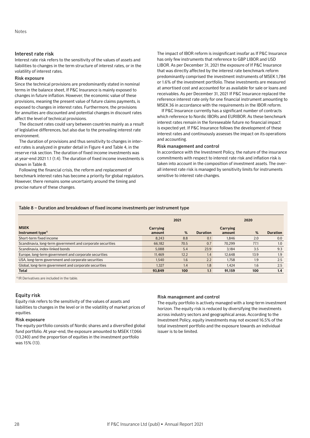## Interest rate risk

Interest rate risk refers to the sensitivity of the values of assets and liabilities to changes in the term structure of interest rates, or in the volatility of interest rates.

### Risk exposure

Since the technical provisions are predominantly stated in nominal terms in the balance sheet, If P&C Insurance is mainly exposed to changes in future inflation. However, the economic value of these provisions, meaning the present value of future claims payments, is exposed to changes in interest rates. Furthermore, the provisions for annuities are discounted and potential changes in discount rates affect the level of technical provisions.

The discount rates could vary between countries mainly as a result of legislative differences, but also due to the prevailing interest rate environment.

The duration of provisions and thus sensitivity to changes in interest rates is analyzed in greater detail in Figure 4 and Table 4, in the reserve risk section. The duration of fixed income investments was at year-end 2021 1.1 (1.4). The duration of fixed income investments is shown in Table 8.

Following the financial crisis, the reform and replacement of benchmark interest rates has become a priority for global regulators. However, there remains some uncertainty around the timing and precise nature of these changes.

The impact of IBOR reform is insignificant insofar as If P&C Insurance has only few instruments that reference to GBP LIBOR and USD LIBOR. As per December 31, 2021 the exposure of If P&C Insurance that was directly affected by the interest rate benchmark reform predominantly comprised the investment instruments of MSEK 1,784 or 1.6% of the investment portfolio. These investments are measured at amortised cost and accounted for as available for sale or loans and receivables. As per December 31, 2021 If P&C Insurance replaced the reference interest rate only for one financial instrument amounting to MSEK 36 in accordance with the requirements in the IBOR reform.

If P&C Insurance currently has a significant number of contracts which reference to Nordic IBORs and EURIBOR. As these benchmark interest rates remain in the foreseeable future no financial impact is expected yet. If P&C Insurance follows the development of these interest rates and continuously assesses the impact on its operations and accounting.

### Risk management and control

In accordance with the Investment Policy, the nature of the insurance commitments with respect to interest rate risk and inflation risk is taken into account in the composition of investment assets. The overall interest rate risk is managed by sensitivity limits for instruments sensitive to interest rate changes.

### Table 8 – Duration and breakdown of fixed income investments per instrument type

|                                                            | 2021               |      |                 |                    | 2020 |                 |  |
|------------------------------------------------------------|--------------------|------|-----------------|--------------------|------|-----------------|--|
| <b>MSEK</b><br>Instrument type <sup>1)</sup>               | Carrying<br>amount | %    | <b>Duration</b> | Carrying<br>amount | %    | <b>Duration</b> |  |
| Short-term fixed income                                    | 8.243              | 8.8  | 0.1             | 1.846              | 2.0  | 0.0             |  |
| Scandinavia, long-term government and corporate securities | 66,182             | 70.5 | 0.7             | 70.299             | 77.1 | 1.0             |  |
| Scandinavia, index-linked bonds                            | 5.088              | 5.4  | 23.9            | 3.184              | 3.5  | 9.3             |  |
| Europe, long-term government and corporate securities      | 11.469             | 12.2 | 1.4             | 12.648             | 13.9 | 1.9             |  |
| USA, long-term government and corporate securities         | 1.540              | 1.6  | 2.2             | 1.758              | 1.9  | 2.5             |  |
| Global, long-term government and corporate securities      | 1.327              | 1.4  | 1.8             | 1.424              | 1.6  | 2.5             |  |
| <b>Total</b>                                               | 93.849             | 100  | 1.1             | 91.159             | 100  | 1.4             |  |

1) IR Derivatives are included in the table.

## Equity risk

Equity risk refers to the sensitivity of the values of assets and liabilities to changes in the level or in the volatility of market prices of equities.

### Risk exposure

The equity portfolio consists of Nordic shares and a diversified global fund portfolio. At year-end, the exposure amounted to MSEK 17,066 (13,240) and the proportion of equities in the investment portfolio was 15% (13).

### Risk management and control

The equity portfolio is actively managed with a long-term investment horizon. The equity risk is reduced by diversifying the investments across industry sectors and geographical areas. According to the Investment Policy, equity investments may not exceed 16.5% of the total investment portfolio and the exposure towards an individual issuer is to be limited.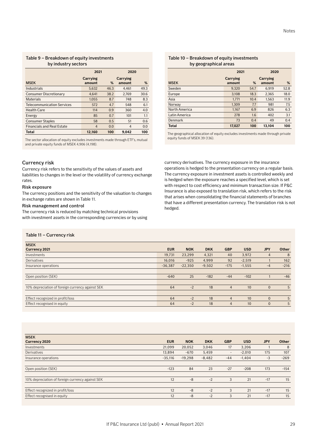### Table 9 – Breakdown of equity investments by industry sectors

|                                   | 2021               |      | 2020               |      |
|-----------------------------------|--------------------|------|--------------------|------|
| <b>MSEK</b>                       | Carrying<br>amount | %    | Carrying<br>amount | %    |
| Industrials                       | 5.632              | 46.3 | 4.461              | 49.3 |
| Consumer Discretionary            | 4.641              | 38.2 | 2.769              | 30.6 |
| <b>Materials</b>                  | 1.055              | 8.7  | 748                | 8.3  |
| <b>Telecommunication Services</b> | 572                | 4.7  | 548                | 6.1  |
| <b>Health Care</b>                | 114                | 0.9  | 360                | 4.0  |
| Energy                            | 85                 | 0.7  | 101                | 1.1  |
| <b>Consumer Staples</b>           | 58                 | 0.5  | 51                 | 0.6  |
| <b>Financials and Real Estate</b> | $\overline{4}$     | 0.0  | $\overline{4}$     | 0.0  |
| Total                             | 12.160             | 100  | 9.042              | 100  |

The sector allocation of equity excludes investments made through ETF's, mutual and private equity funds of MSEK 4,906 (4,198).

## Currency risk

Currency risk refers to the sensitivity of the values of assets and liabilities to changes in the level or the volatility of currency exchange rates.

### Risk exposure

The currency positions and the sensitivity of the valuation to changes in exchange rates are shown in Table 11.

### Risk management and control

The currency risk is reduced by matching technical provisions with investment assets in the corresponding currencies or by using

### Table 10 – Breakdown of equity investments by geographical areas

|               | 2021               |      | 2020   |      |  |
|---------------|--------------------|------|--------|------|--|
| <b>MSEK</b>   | Carrying<br>amount | %    | %      |      |  |
| Sweden        | 9.320              | 54.7 | 6.919  | 52.8 |  |
| Europe        | 3.108              | 18.3 | 2.365  | 18.0 |  |
| Asia          | 1.771              | 10.4 | 1.563  | 11.9 |  |
| Norway        | 1.309              | 7.7  | 981    | 7.5  |  |
| North America | 1.167              | 6.9  | 826    | 6.3  |  |
| Latin America | 278                | 1.6  | 402    | 3.1  |  |
| Denmark       | 73                 | 0.4  | 49     | 0.4  |  |
| <b>Total</b>  | 17,027             | 100  | 13.104 | 100  |  |

The geographical allocation of equity excludes investments made through private equity funds of MSEK 39 (136).

currency derivatives. The currency exposure in the insurance operations is hedged to the presentation currency on a regular basis. The currency exposure in investment assets is controlled weekly and is hedged when the exposure reaches a specified level, which is set with respect to cost efficiency and minimum transaction size. If P&C Insurance is also exposed to translation risk, which refers to the risk that arises when consolidating the financial statements of branches that have a different presentation currency. The translation risk is not hedged.

### Table 11 – Currency risk

| <b>MSEK</b>                                      |            |            |            |                |            |                |              |
|--------------------------------------------------|------------|------------|------------|----------------|------------|----------------|--------------|
| Currency 2021                                    | <b>EUR</b> | <b>NOK</b> | <b>DKK</b> | <b>GBP</b>     | <b>USD</b> | <b>JPY</b>     | <b>Other</b> |
| Investments                                      | 19.731     | 23,299     | 4,321      | 40             | 3.972      | $\overline{4}$ | 8            |
| <b>Derivatives</b>                               | 16.016     | $-925$     | 4,999      | 92             | $-2,519$   |                | 162          |
| Insurance operations                             | $-36,387$  | $-22,350$  | $-9,502$   | $-175$         | $-1,555$   | $-4$           | $-216$       |
|                                                  |            |            |            |                |            |                |              |
| Open position (SEK)                              | $-640$     | 25         | $-182$     | $-44$          | $-102$     |                | $-46$        |
|                                                  |            |            |            |                |            |                |              |
| 10% depreciation of foreign currency against SEK | 64         | $-2$       | 18         | $\overline{4}$ | 10         | $\mathbf{0}$   | 5            |
|                                                  |            |            |            |                |            |                |              |
| Effect recognized in profit/loss                 | 64         | $-2$       | 18         | $\overline{4}$ | 10         | $\Omega$       | 5            |
| Effect recognised in equity                      | 64         | $-2$       | 18         | $\overline{4}$ | 10         | $\mathbf{0}$   | 5            |

| <b>MSEK</b>                                      |            |            |            |                          |            |            |              |
|--------------------------------------------------|------------|------------|------------|--------------------------|------------|------------|--------------|
| Currency 2020                                    | <b>EUR</b> | <b>NOK</b> | <b>DKK</b> | <b>GBP</b>               | <b>USD</b> | <b>JPY</b> | <b>Other</b> |
| Investments                                      | 21.099     | 20,052     | 3,046      | 17                       | 3.206      |            | 8            |
| Derivatives                                      | 13.894     | $-670$     | 5,459      | $\overline{\phantom{a}}$ | $-2.010$   | 175        | 107          |
| Insurance operations                             | $-35,116$  | $-19,298$  | $-8,482$   | $-44$                    | $-1.404$   | $-3$       | $-269$       |
|                                                  |            |            |            |                          |            |            |              |
| Open position (SEK)                              | $-123$     | 84         | 23         | $-27$                    | $-208$     | 173        | $-154$       |
|                                                  |            |            |            |                          |            |            |              |
| 10% depreciation of foreign currency against SEK | 12         | $-8$       | $-2$       | 3                        | 21         | $-17$      | 15           |
|                                                  |            |            |            |                          |            |            |              |
| Effect recognized in profit/loss                 | 12         | $-8$       | $-2$       | 3                        | 21         | $-17$      | 15           |
| Effect recognised in equity                      | 12         | $-8$       | $-2$       | 3                        | 21         | $-17$      | 15           |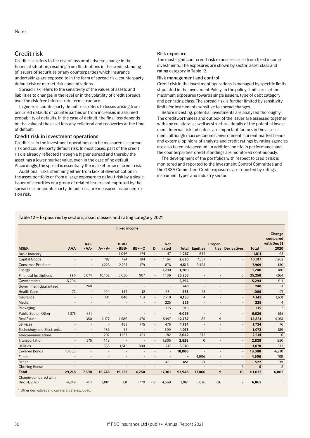# Credit risk

Credit risk refers to the risk of loss or of adverse change in the financial situation, resulting from fluctuations in the credit standing of issuers of securities or any counterparties which insurance undertakings are exposed to in the form of spread risk, counterparty default risk or market risk concentrations.

Spread risk refers to the sensitivity of the values of assets and liabilities to changes in the level or in the volatility of credit spreads over the risk-free interest rate term structure.

In general, counterparty default risk refers to losses arising from occurred defaults of counterparties or from increases in assumed probability of defaults. In the case of default, the final loss depends on the value of the asset less any collateral and recoveries at the time of default.

## Credit risk in investment operations

Credit risk in the investment operations can be measured as spread risk and counterparty default risk. In most cases, part of the credit risk is already reflected through a higher spread and thereby the asset has a lower market value, even in the case of no default. Accordingly, the spread is essentially the market price of credit risk.

Additional risks, stemming either from lack of diversification in the asset portfolio or from a large exposure to default risk by a single issuer of securities or a group of related issuers not captured by the spread risk or counterparty default risk, are measured as concentration risk.

### Risk exposure

The most significant credit risk exposures arise from fixed income investments. The exposures are shown by sector, asset class and rating category in Table 12.

### Risk management and control

Credit risk in the investment operations is managed by specific limits stipulated in the Investment Policy. In the policy, limits are set for maximum exposures towards single issuers, type of debt category and per rating class. The spread risk is further limited by sensitivity limits for instruments sensitive to spread changes.

Before investing, potential investments are analyzed thoroughly. The creditworthiness and outlook of the issuer are assessed together with any collateral as well as structural details of the potential investment. Internal risk indicators are important factors in the assessment, although macroeconomic environment, current market trends and external opinions of analysts and credit ratings by rating agencies are also taken into account. In addition, portfolio performance and the counterparties' credit standings are monitored continuously.

The development of the portfolios with respect to credit risk is monitored and reported to the Investment Control Committee and the ORSA Committee. Credit exposures are reported by ratings, instrument types and industry sector.

### Table 12 – Exposures by sectors, asset classes and rating category 2021

|                                      |                          |                          |                              | <b>Fixed income</b>      |                          |                          |                          |                |                          |                          |                          |                     | Change                          |
|--------------------------------------|--------------------------|--------------------------|------------------------------|--------------------------|--------------------------|--------------------------|--------------------------|----------------|--------------------------|--------------------------|--------------------------|---------------------|---------------------------------|
| <b>MSEK</b>                          | <b>AAA</b>               | $AA+$<br>$- AA-$         | $A + - A -$                  | BBB+<br>$-BBB-$          | $BB + -C$                | D                        | <b>Not</b><br>rated      | <b>Total</b>   | <b>Equities</b>          | Proper-<br>ties          | <b>Derivatives</b>       | Total <sup>1)</sup> | compared<br>with Dec 31<br>2020 |
| <b>Basic Industry</b>                | $\overline{a}$           | $\overline{a}$           | $\overline{a}$               | 1,046                    | 174                      | $\overline{\phantom{a}}$ | 47                       | 1,267          | 544                      | $\overline{a}$           |                          | 1,811               | 93                              |
| <b>Capital Goods</b>                 | $\overline{\phantom{a}}$ | $\overline{\phantom{a}}$ | 797                          | 474                      | 194                      | $\overline{\phantom{a}}$ | 1.164                    | 2,630          | 7,387                    | $\overline{\phantom{a}}$ | $\overline{a}$           | 10,017              | 3,262                           |
| <b>Consumer Products</b>             | $\overline{\phantom{m}}$ | $\overline{a}$           | 1,223                        | 2,237                    | 179                      | $\overline{\phantom{m}}$ | 876                      | 4,515          | 3,454                    | $\overline{\phantom{a}}$ |                          | 7.969               | 130                             |
| Energy                               | $\overline{a}$           |                          | $\overline{a}$               |                          |                          | $\overline{a}$           | 1,200                    | 1,200          | $\overline{a}$           | $\overline{\phantom{a}}$ | $\overline{\phantom{a}}$ | 1,200               | 180                             |
| <b>Financial Institutions</b>        | 389                      | 5,874                    | 10,162                       | 6,656                    | 987                      | $\overline{\phantom{a}}$ | 1,186                    | 25,253         | $\overline{a}$           | $\overline{\phantom{a}}$ | 5                        | 25,258              | $-264$                          |
| Governments                          | 5,294                    | ÷,                       | $\overline{a}$               |                          | $\overline{\phantom{a}}$ | $\overline{a}$           | $\overline{a}$           | 5,294          | $\overline{\phantom{a}}$ | $\overline{\phantom{a}}$ |                          | 5,294               | 1,911                           |
| <b>Government Guaranteed</b>         |                          | 248                      |                              |                          |                          |                          |                          | 248            |                          |                          |                          | 248                 | $-1$                            |
| <b>Health Care</b>                   | 72                       | $\overline{a}$           | 104                          | 144                      | 12                       | $\overline{\phantom{m}}$ | 631                      | 963            | 43                       | $\overline{\phantom{a}}$ | $\overline{\phantom{a}}$ | 1,006               | $-71$                           |
| Insurance                            | ÷                        | L,                       | 411                          | 848                      | 161                      | $\overline{\phantom{a}}$ | 2,718                    | 4,138          | 4                        | $\overline{\phantom{a}}$ |                          | 4,142               | 1,631                           |
| Media                                | $\overline{a}$           | $\overline{a}$           | $\overline{a}$               | ÷,                       | $\overline{a}$           | $\overline{\phantom{a}}$ | 225                      | 225            | $\overline{\phantom{a}}$ | $\overline{\phantom{a}}$ | $\overline{\phantom{a}}$ | 225                 | $-1$                            |
| Packaging                            | $\overline{a}$           | Ē,                       | $\overline{a}$               | $\overline{\phantom{a}}$ | $\overline{a}$           |                          | 115                      | 115            | $\overline{\phantom{a}}$ | $\overline{a}$           | $\overline{\phantom{a}}$ | 115                 | 3                               |
| Public Sector, Other                 | 5,375                    | 651                      | $\qquad \qquad \blacksquare$ | $\overline{a}$           | $\overline{\phantom{a}}$ | $\overline{\phantom{a}}$ | $\overline{\phantom{a}}$ | 6,026          | $\overline{\phantom{a}}$ | $\overline{\phantom{a}}$ | $\overline{\phantom{a}}$ | 6,026               | 515                             |
| <b>Real Estate</b>                   | $\overline{\phantom{a}}$ | 350                      | 2,177                        | 4.586                    | 476                      | $\overline{\phantom{a}}$ | 5,197                    | 12,787         | 85                       | $\overline{9}$           | $\overline{\phantom{a}}$ | 12,881              | 4,051                           |
| <b>Services</b>                      | $\overline{\phantom{0}}$ | $\overline{\phantom{a}}$ | $\qquad \qquad \blacksquare$ | 483                      | 775                      | $\overline{\phantom{a}}$ | 476                      | 1.734          | $\overline{\phantom{a}}$ | $\overline{\phantom{a}}$ | $\overline{\phantom{a}}$ | 1,734               | 76                              |
| <b>Technology and Electronics</b>    | $\overline{\phantom{0}}$ | $\overline{\phantom{a}}$ | 186                          | 77                       | $\overline{\phantom{a}}$ | $\overline{a}$           | 809                      | 1,073          | $\overline{a}$           | $\overline{\phantom{a}}$ | $\overline{\phantom{a}}$ | 1,073               | 189                             |
| Telecommunications                   | $\overline{\phantom{0}}$ | $\overline{a}$           | 202                          | 1.167                    | 491                      | $\overline{\phantom{m}}$ | 182                      | 2,042          | 572                      | $\overline{\phantom{a}}$ | $\overline{\phantom{a}}$ | 2,614               | $-6$                            |
| Transportation                       | $\overline{\phantom{a}}$ | 575                      | 448                          | $\overline{a}$           | $\overline{a}$           | $\overline{\phantom{m}}$ | 1,805                    | 2,828          | $\overline{0}$           | $\overline{\phantom{a}}$ |                          | 2,828               | 550                             |
| <b>Utilities</b>                     |                          | $\overline{\phantom{a}}$ | 538                          | 1,515                    | 800                      | $\overline{\phantom{a}}$ | 217                      | 3,070          | $\overline{\phantom{a}}$ | $\overline{\phantom{a}}$ | $\overline{\phantom{a}}$ | 3,070               | 573                             |
| <b>Covered Bonds</b>                 | 18.088                   | $\overline{a}$           | $\overline{a}$               | $\overline{a}$           | $\overline{\phantom{a}}$ | $\overline{\phantom{a}}$ | $\overline{\phantom{a}}$ | 18.088         | $\overline{a}$           | $\overline{\phantom{a}}$ | $\overline{\phantom{a}}$ | 18.088              | $-6.710$                        |
| <b>Funds</b>                         | $\overline{a}$           | $\overline{a}$           |                              |                          |                          |                          |                          |                | 4,906                    | $\overline{\phantom{a}}$ |                          | 4,906               | 709                             |
| Other                                | $\overline{a}$           | $\overline{a}$           | L,                           | $\overline{a}$           |                          | $\overline{a}$           | 451                      | 451            | 71                       | $\overline{\phantom{a}}$ |                          | 522                 | 39                              |
| <b>Clearing House</b>                |                          |                          |                              |                          |                          | $\overline{\phantom{a}}$ |                          | $\overline{a}$ |                          |                          | 5                        | 5                   | 5                               |
| <b>Total</b>                         | 29,218                   | 7.698                    | 16,248                       | 19,233                   | 4,250                    | $\overline{\phantom{a}}$ | 17,301                   | 93,948         | 17,066                   | 9                        | 10                       | 111,032             | 6,863                           |
| Change compared with<br>Dec 31, 2020 | $-4,249$                 | 401                      | 3,001                        | 131                      | $-779$                   | $-12$                    | 4,568                    | 3,061          | 3,826                    | $-26$                    | 2                        | 6,863               |                                 |

1) Other derivatives and collaterals are excluded.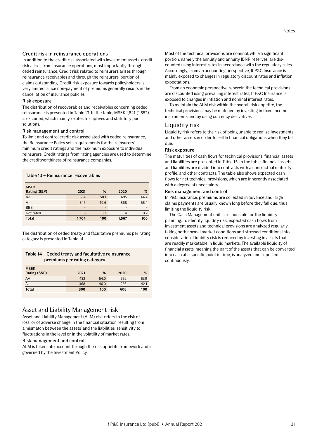### Credit risk in reinsurance operations

In addition to the credit risk associated with investment assets, credit risk arises from insurance operations, most importantly through ceded reinsurance. Credit risk related to reinsurers arises through reinsurance receivables and through the reinsurers' portion of claims outstanding. Credit risk exposure towards policyholders is very limited, since non-payment of premiums generally results in the cancellation of insurance policies.

## Risk exposure

The distribution of recoverables and receivables concerning ceded reinsurance is presented in Table 13. In the table, MSEK 1,841 (1,552) is excluded, which mainly relates to captives and statutory pool solutions.

### Risk management and control

To limit and control credit risk associated with ceded reinsurance, the Reinsurance Policy sets requirements for the reinsurers' minimum credit ratings and the maximum exposure to individual reinsurers. Credit ratings from rating agencies are used to determine the creditworthiness of reinsurance companies.

Table 13 – Reinsurance recoverables

| <b>MSEK</b><br><b>Rating (S&amp;P)</b> | 2021  | %    | 2020  | %    |
|----------------------------------------|-------|------|-------|------|
| AA                                     | 854   | 50.1 | 695   | 44.4 |
| Α                                      | 845   | 49.6 | 868   | 55.4 |
| <b>BBB</b>                             | -     | -    | -     |      |
| Not rated                              | 5     | 0.3  | 4     | 0.2  |
| <b>Total</b>                           | 1,704 | 100  | 1,567 | 100  |

The distribution of ceded treaty and facultative premiums per rating category is presented in Table 14.

## Table 14 – Ceded treaty and facultative reinsurance premiums per rating category

| <b>MSEK</b><br>Rating (S&P) | 2021 | %    | 2020 | %    |
|-----------------------------|------|------|------|------|
| AA                          | 432  | 54.0 | 352  | 57.9 |
| Α                           | 368  | 46.0 | 256  | 42.1 |
| <b>Total</b>                | 800  | 100  | 608  | 100  |

## Asset and Liability Management risk

Asset and Liability Management (ALM) risk refers to the risk of loss, or of adverse change in the financial situation resulting from a mismatch between the assets' and the liabilities' sensitivity to fluctuations in the level or in the volatility of market rates.

### Risk management and control

ALM is taken into account through the risk appetite framework and is governed by the Investment Policy.

Most of the technical provisions are nominal, while a significant portion, namely the annuity and annuity IBNR reserves, are discounted using interest rates in accordance with the regulatory rules. Accordingly, from an accounting perspective, If P&C Insurance is mainly exposed to changes in regulatory discount rates and inflation expectations.

From an economic perspective, wherein the technical provisions are discounted using prevailing interest rates, If P&C Insurance is exposed to changes in inflation and nominal interest rates.

To maintain the ALM risk within the overall risk appetite, the technical provisions may be matched by investing in fixed income instruments and by using currency derivatives.

# Liquidity risk

Liquidity risk refers to the risk of being unable to realize investments and other assets in order to settle financial obligations when they fall due.

### Risk exposure

The maturities of cash flows for technical provisions, financial assets and liabilities are presented in Table 15. In the table, financial assets and liabilities are divided into contracts with a contractual maturity profile, and other contracts. The table also shows expected cash flows for net technical provisions, which are inherently associated with a degree of uncertainty.

### Risk management and control

In P&C insurance, premiums are collected in advance and large claims payments are usually known long before they fall due, thus limiting the liquidity risk.

The Cash Management unit is responsible for the liquidity planning. To identify liquidity risk, expected cash flows from investment assets and technical provisions are analyzed regularly, taking both normal market conditions and stressed conditions into consideration. Liquidity risk is reduced by investing in assets that are readily marketable in liquid markets. The available liquidity of financial assets, meaning the part of the assets that can be converted into cash at a specific point in time, is analyzed and reported continuously.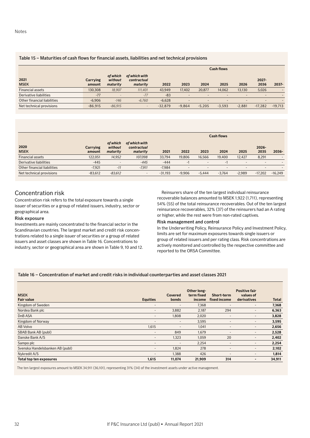## Table 15 – Maturities of cash flows for financial assets, liabilities and net technical provisions

|                             |                    |                                 |                                          | <b>Cash flows</b> |                          |                          |          |          |                          |           |  |
|-----------------------------|--------------------|---------------------------------|------------------------------------------|-------------------|--------------------------|--------------------------|----------|----------|--------------------------|-----------|--|
| 2021<br><b>MSEK</b>         | Carrying<br>amount | of which<br>without<br>maturity | of which with<br>contractual<br>maturity | 2022              | 2023                     | 2024                     | 2025     | 2026     | $2027 -$<br>2036         | $2037 -$  |  |
| <b>Financial assets</b>     | 130,308            | 18,907                          | 111.401                                  | 43,949            | 17,402                   | 20.877                   | 14,062   | 13,130   | 5,026                    |           |  |
| Derivative liabilities      | $-77$              |                                 | $-77$                                    | $-83$             | $\overline{\phantom{a}}$ | $\overline{\phantom{0}}$ | -        | -        | $\overline{\phantom{0}}$ |           |  |
| Other financial liabilities | $-6.906$           | $-146$                          | $-6.760$                                 | $-6.628$          |                          | $\overline{\phantom{0}}$ | -        |          | $\overline{\phantom{0}}$ |           |  |
| Net technical provisions    | $-86.915$          | $-86.915$                       | $\qquad \qquad$                          | $-32.879$         | $-9.864$                 | $-5.205$                 | $-3.593$ | $-2.881$ | $-17.282$                | $-19.713$ |  |

|                             |                    |                                 |                                          | <b>Cash flows</b> |                          |                          |                          |                          |                  |           |  |
|-----------------------------|--------------------|---------------------------------|------------------------------------------|-------------------|--------------------------|--------------------------|--------------------------|--------------------------|------------------|-----------|--|
| 2020<br><b>MSEK</b>         | Carrying<br>amount | of which<br>without<br>maturity | of which with<br>contractual<br>maturity | 2021              | 2022                     | 2023                     | 2024                     | 2025                     | $2026 -$<br>2035 | 2036-     |  |
| <b>Financial assets</b>     | 122.051            | 14,952                          | 107,098                                  | 33.794            | 19.806                   | 16.566                   | 19,400                   | 12.427                   | 8,291            |           |  |
| Derivative liabilities      | $-445$             | $\overline{\phantom{a}}$        | $-445$                                   | $-444$            | $-1$                     | $\overline{\phantom{a}}$ | - I                      | $\overline{\phantom{0}}$ | -                |           |  |
| Other financial liabilities | $-7.921$           | $-11$                           | $-7.911$                                 | $-7.984$          | $\overline{\phantom{0}}$ | $\overline{\phantom{a}}$ | $\overline{\phantom{a}}$ | $\overline{\phantom{0}}$ | -                |           |  |
| Net technical provisions    | $-83,612$          | $-83,612$                       | $\overline{\phantom{a}}$                 | $-31.193$         | $-9.906$                 | $-5.444$                 | $-3.764$                 | $-2.989$                 | $-17.202$        | $-16.249$ |  |

# Concentration risk

Concentration risk refers to the total exposure towards a single issuer of securities or a group of related issuers, industry, sector or geographical area.

### Risk exposure

Investments are mainly concentrated to the financial sector in the Scandinavian countries. The largest market and credit risk concentrations related to a single issuer of securities or a group of related issuers and asset classes are shown in Table 16. Concentrations to industry, sector or geographical area are shown in Table 9, 10 and 12.

Reinsurers share of the ten largest individual reinsurance recoverable balances amounted to MSEK 1,922 (1,711), representing 54% (55) of the total reinsurance recoverables. Out of the ten largest reinsurance recoverables, 32% (37) of the reinsurers had an A rating or higher, while the rest were from non-rated captives.

### Risk management and control

In the Underwriting Policy, Reinsurance Policy and Investment Policy, limits are set for maximum exposures towards single issuers or group of related issuers and per rating class. Risk concentrations are actively monitored and controlled by the respective committee and reported to the ORSA Committee.

## Table 16 – Concentration of market and credit risks in individual counterparties and asset classes 2021

| <b>MSEK</b>                     |                          | <b>Covered</b>           | Other long-<br>term fixed | Short-term               | <b>Positive fair</b><br>values of |              |
|---------------------------------|--------------------------|--------------------------|---------------------------|--------------------------|-----------------------------------|--------------|
| <b>Fair value</b>               | <b>Equities</b>          | bonds                    | income                    | fixed income             | derivatives                       | <b>Total</b> |
| Kingdom of Sweden               | -                        | $\overline{\phantom{0}}$ | 7,368                     | -                        | $\overline{\phantom{a}}$          | 7,368        |
| Nordea Bank plc                 | $\overline{\phantom{a}}$ | 3,882                    | 2,187                     | 294                      | -                                 | 6,363        |
| DnB ASA                         | -                        | 1,808                    | 2,020                     | $\qquad \qquad$          | $\overline{\phantom{a}}$          | 3,828        |
| Kingdom of Norway               | $\qquad \qquad$          | $\overline{\phantom{0}}$ | 3,595                     | -                        | $\overline{\phantom{a}}$          | 3,595        |
| AB Volvo                        | 1,615                    | $\qquad \qquad$          | 1,041                     | $\overline{\phantom{0}}$ | $\overline{\phantom{a}}$          | 2,656        |
| SBAB Bank AB (publ)             | $\overline{\phantom{a}}$ | 849                      | 1,679                     | $\overline{\phantom{0}}$ | $\overline{\phantom{a}}$          | 2,528        |
| Danske Bank A/S                 | -                        | 1,323                    | 1,059                     | 20                       | $\overline{\phantom{a}}$          | 2,402        |
| Sampo plc                       | $\qquad \qquad$          | -                        | 2,254                     | $\overline{\phantom{0}}$ | $\overline{\phantom{a}}$          | 2,254        |
| Svenska Handelsbanken AB (publ) | -                        | 1,824                    | 278                       | ۰                        | $\overline{\phantom{0}}$          | 2,102        |
| Nykredit A/S                    | -                        | 1.388                    | 426                       | ۰                        | $\overline{\phantom{0}}$          | 1,814        |
| <b>Total top ten exposures</b>  | 1,615                    | 11,074                   | 21,909                    | 314                      | $\overline{\phantom{0}}$          | 34,911       |

The ten largest exposures amount to MSEK 34,911 (36,101), representing 31% (34) of the investment assets under active management.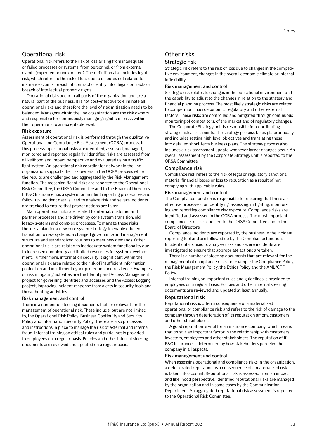# Operational risk

Operational risk refers to the risk of loss arising from inadequate or failed processes or systems, from personnel, or from external events (expected or unexpected). The definition also includes legal risk, which refers to the risk of loss due to disputes not related to insurance claims, breach of contract or entry into illegal contracts or breach of intellectual property rights.

Operational risks occur in all parts of the organization and are a natural part of the business. It is not cost-effective to eliminate all operational risks and therefore the level of risk mitigation needs to be balanced. Managers within the line organization are the risk owners and responsible for continuously managing significant risks within their operations to an acceptable level.

#### Risk exposure

Assessment of operational risk is performed through the qualitative Operational and Compliance Risk Assessment (OCRA) process. In this process, operational risks are identified, assessed, managed, monitored and reported regularly. Identified risks are assessed from a likelihood and impact perspective and evaluated using a traffic light system. An operational risk coordinator network in the line organization supports the risk owners in the OCRA process while the results are challenged and aggregated by the Risk Management function. The most significant risks are reported to the Operational Risk Committee, the ORSA Committee and to the Board of Directors. If P&C Insurance has a system for incident reporting procedures and follow-up. Incident data is used to analyze risk and severe incidents are tracked to ensure that proper actions are taken.

Main operational risks are related to internal, customer and partner processes and are driven by core system transition, old legacy systems and complex processes. To manage these risks there is a plan for a new core system strategy to enable efficient transition to new systems, a changed governance and management structure and standardized routines to meet new demands. Other operational risks are related to inadequate system functionality due to increased complexity and limited resources for system development. Furthermore, information security is significant within the operational risk area related to the risk of insufficient information protection and insufficient cyber protection and resilience. Examples of risk mitigating activities are the Identity and Access Management project for governing identities and accesses and the Access Logging project, improving incident response from alerts in security tools and threat hunting activities.

### Risk management and control

There is a number of steering documents that are relevant for the management of operational risk. These include, but are not limited to, the Operational Risk Policy, Business Continuity and Security Policy and Information Security Policy. There are also processes and instructions in place to manage the risk of external and internal fraud. Internal training on ethical rules and guidelines is provided to employees on a regular basis. Policies and other internal steering documents are reviewed and updated on a regular basis.

# Other risks

### Strategic risk

Strategic risk refers to the risk of loss due to changes in the competitive environment, changes in the overall economic climate or internal inflexibility.

### Risk management and control

Strategic risk relates to changes in the operational environment and the capability to adjust to the changes in relation to the strategy and financial planning process. The most likely strategic risks are related to competition, macroeconomic, regulatory and other external factors. These risks are controlled and mitigated through continuous monitoring of competitors, of the market and of regulatory changes.

The Corporate Strategy unit is responsible for coordinating strategic risk assessments. The strategy process takes place annually and includes setting high-level objectives and translating these into detailed short-term business plans. The strategy process also includes a risk assessment update whenever larger changes occur. An overall assessment by the Corporate Strategy unit is reported to the ORSA Committee.

## Compliance risk

Compliance risk refers to the risk of legal or regulatory sanctions, material financial losses or loss to reputation as a result of not complying with applicable rules.

### Risk management and control

The Compliance function is responsible for ensuring that there are effective processes for identifying, assessing, mitigating, monitoring and reporting compliance risk exposure. Compliance risks are identified and assessed in the OCRA process. The most important compliance risks are reported to the ORSA Committee and to the Board of Directors.

Compliance incidents are reported by the business in the incident reporting tool and are followed up by the Compliance function. Incident data is used to analyze risks and severe incidents are investigated to ensure that appropriate actions are taken.

There is a number of steering documents that are relevant for the management of compliance risks, for example the Compliance Policy, the Risk Management Policy, the Ethics Policy and the AML/CTF Policy.

Internal training on important rules and guidelines is provided to employees on a regular basis. Policies and other internal steering documents are reviewed and updated at least annually.

#### Reputational risk

Reputational risk is often a consequence of a materialized operational or compliance risk and refers to the risk of damage to the company through deterioration of its reputation among customers and other stakeholders.

A good reputation is vital for an insurance company, which means that trust is an important factor in the relationship with customers, investors, employees and other stakeholders. The reputation of If P&C Insurance is determined by how stakeholders perceive the company in all aspects.

### Risk management and control

When assessing operational and compliance risks in the organization, a deteriorated reputation as a consequence of a materialized risk is taken into account. Reputational risk is assessed from an impact and likelihood perspective. Identified reputational risks are managed by the organization and in some cases by the Communication Department. An aggregated reputational risk assessment is reported to the Operational Risk Committee.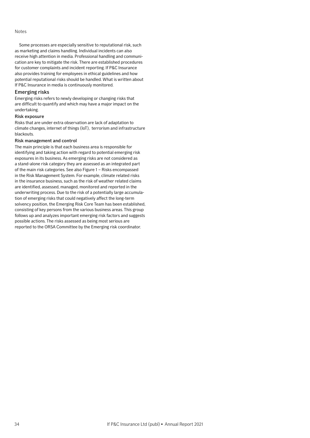#### Notes

Some processes are especially sensitive to reputational risk, such as marketing and claims handling. Individual incidents can also receive high attention in media. Professional handling and communication are key to mitigate the risk. There are established procedures for customer complaints and incident reporting. If P&C Insurance also provides training for employees in ethical guidelines and how potential reputational risks should be handled. What is written about If P&C Insurance in media is continuously monitored.

### Emerging risks

Emerging risks refers to newly developing or changing risks that are difficult to quantify and which may have a major impact on the undertaking.

### Risk exposure

Risks that are under extra observation are lack of adaptation to climate changes, internet of things (IoT), terrorism and infrastructure blackouts.

### Risk management and control

The main principle is that each business area is responsible for identifying and taking action with regard to potential emerging risk exposures in its business. As emerging risks are not considered as a stand-alone risk category they are assessed as an integrated part of the main risk categories. See also Figure 1 – Risks encompassed in the Risk Management System. For example, climate related risks in the insurance business, such as the risk of weather related claims are identified, assessed, managed, monitored and reported in the underwriting process. Due to the risk of a potentially large accumulation of emerging risks that could negatively affect the long-term solvency position, the Emerging Risk Core Team has been established, consisting of key persons from the various business areas. This group follows up and analyzes important emerging risk factors and suggests possible actions. The risks assessed as being most serious are reported to the ORSA Committee by the Emerging risk coordinator.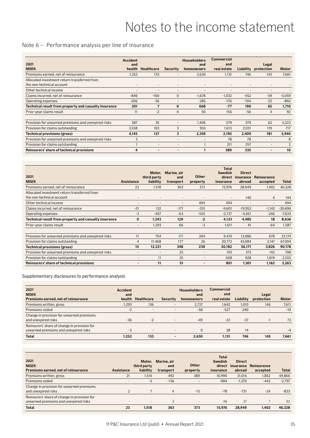# Notes to the income statement

# <span id="page-34-0"></span>Note 6 – Performance analysis per line of insurance

| 2021<br><b>MSEK</b>                                                       | <b>Accident</b><br>and<br>health | <b>Healthcare</b>        | Security                 | <b>Householders</b><br>and<br>homeowners | <b>Commercial</b><br>and<br>real estate | Liability | Legal<br>protection      | <b>Motor</b>   |
|---------------------------------------------------------------------------|----------------------------------|--------------------------|--------------------------|------------------------------------------|-----------------------------------------|-----------|--------------------------|----------------|
| Premiums earned, net of reinsurance                                       | 1.252                            | 133                      | $\qquad \qquad$          | 2,630                                    | 1.131                                   | 746       | 145                      | 7,661          |
| Allocated investment return transferred from<br>the non-technical account | $\overline{\phantom{a}}$         | $\overline{\phantom{a}}$ | $\overline{\phantom{a}}$ | $\overline{\phantom{a}}$                 | $\overline{\phantom{a}}$                |           | $\overline{a}$           |                |
| Other technical income                                                    |                                  | -                        |                          | ۰                                        | -                                       |           |                          |                |
| Claims incurred, net of reinsurance                                       | $-846$                           | $-100$                   | $\mathbf{0}$             | $-1,678$                                 | $-1,032$                                | $-452$    | $-59$                    | $-5,059$       |
| Operating expenses                                                        | $-206$                           | $-26$                    | -                        | $-285$                                   | $-176$                                  | $-104$    | $-22$                    | $-892$         |
| Technical result from property and casualty insurance                     | 201                              | 7                        | $\bf{0}$                 | 668                                      | $-77$                                   | 190       | 65                       | 1,710          |
| Prior-year claims result                                                  | 11                               | $-2$                     | $\Omega$                 | 50                                       | 156                                     | $-56$     | $\overline{4}$           | 92             |
| Provision for unearned premiums and unexpired risks                       | 587                              | 35                       |                          | 1,406                                    | 579                                     | 379       | 62                       | 5,223          |
| Provision for claims outstanding                                          | 3,558                            | 103                      | 3                        | 953                                      | 1,613                                   | 2,031     | 119                      | 717            |
| Technical provisions (gross)                                              | 4,145                            | 137                      | 3                        | 2,359                                    | 2,192                                   | 2,409     | 181                      | 5,940          |
| Provision for unearned premiums and unexpired risks                       | 3                                | $\overline{\phantom{a}}$ |                          | ۰                                        | 78                                      | 78        | $\overline{\phantom{a}}$ | 8              |
| Provision for claims outstanding                                          |                                  |                          |                          |                                          | 311                                     | 257       | $\overline{\phantom{a}}$ | $\overline{2}$ |
| Reinsurers' share of technical provisions                                 | 4                                | -                        |                          |                                          | 389                                     | 335       |                          | 10             |

| 2021<br><b>MSEK</b>                                                       | <b>Assistance</b>        | Motor.<br>third party<br>liability | Marine, air<br>and<br>transport | <b>Other</b><br>property | <b>Total</b><br><b>Swedish</b><br>direct<br>insurance | <b>Direct</b><br>insurance<br>abroad | Reinsurance<br>accepted | <b>Total</b> |
|---------------------------------------------------------------------------|--------------------------|------------------------------------|---------------------------------|--------------------------|-------------------------------------------------------|--------------------------------------|-------------------------|--------------|
| Premiums earned, net of reinsurance                                       | 23                       | 1.518                              | 363                             | 373                      | 15,976                                                | 28,949                               | 1.402                   | 46,328       |
| Allocated investment return transferred from<br>the non-technical account | $\overline{\phantom{a}}$ | $\overline{\phantom{a}}$           | $\overline{\phantom{a}}$        | $\overline{\phantom{a}}$ | $\overline{\phantom{a}}$                              | 140                                  | 4                       | 144          |
| Other technical income                                                    | ۰                        |                                    |                                 | 494                      | 494                                                   |                                      | -                       | 494          |
| Claims incurred, net of reinsurance                                       | $-21$                    | 132                                | $-171$                          | $-315$                   | $-9,601$                                              | $-19,953$                            | $-1,143$                | $-30,696$    |
| Operating expenses                                                        | -3                       | $-407$                             | $-63$                           | $-555$                   | $-2,737$                                              | $-4,651$                             | $-246$                  | $-7,634$     |
| Technical result from property and casualty insurance                     | $\bf{0}$                 | 1,243                              | 129                             | $-2$                     | 4,133                                                 | 4,485                                | 18                      | 8,636        |
| Prior-year claims result                                                  | $\overline{\phantom{0}}$ | 1,293                              | 66                              | $-3$                     | 1.611                                                 | 41                                   | -64                     | 1,587        |
|                                                                           |                          |                                    |                                 |                          |                                                       |                                      |                         |              |
| Provision for unearned premiums and unexpired risks                       | 11                       | 754                                | 171                             | 204                      | 9,410                                                 | 13,086                               | 678                     | 23,174       |
| Provision for claims outstanding                                          | 4                        | 11,468                             | 177                             | 26                       | 20,772                                                | 43,084                               | 3,147                   | 67,004       |
| Technical provisions (gross)                                              | 15                       | 12,221                             | 348                             | 230                      | 30,182                                                | 56,171                               | 3,826                   | 90,178       |
| Provision for unearned premiums and unexpired risks                       | ٠                        | $\overline{\phantom{a}}$           | 25                              | $\overline{\phantom{a}}$ | 193                                                   | 373                                  | 142                     | 708          |
| Provision for claims outstanding                                          | ۰                        | 11                                 | 25                              | $\overline{\phantom{a}}$ | 608                                                   | 928                                  | 1,019                   | 2,555        |
| Reinsurers' share of technical provisions                                 | $\overline{\phantom{0}}$ | 11                                 | 51                              | $\overline{\phantom{a}}$ | 801                                                   | 1,301                                | 1,162                   | 3,263        |

Supplementary disclosures to performance analysis

| 2021<br><b>MSEK</b><br>Premiums earned, net of reinsurance                            | <b>Accident</b><br>and<br>health | Healthcare | <b>Security</b> | <b>Householders</b><br>and<br>homeowners | Commercial<br>and<br>real estate | Liability | Legal<br>protection | <b>Motor</b> |
|---------------------------------------------------------------------------------------|----------------------------------|------------|-----------------|------------------------------------------|----------------------------------|-----------|---------------------|--------------|
| Premiums written, gross                                                               | 1.293                            | 136        |                 | 2.737                                    | 1.642                            | 1.010     | 146                 | 7,611        |
| Premiums ceded                                                                        | $-2$                             |            |                 | $-58$                                    | $-527$                           | $-240$    |                     | $-19$        |
| Change in provision for unearned premiums<br>and unexpired risks                      | $-36$                            | $-2$       | -               | $-49$                                    | $-22$                            | $-37$     | $-1$                | 73           |
| Reinsurers' share of change in provision for<br>unearned premiums and unexpired risks | $-3$                             |            |                 | $\Omega$                                 | 38                               | 14        | -                   | -4           |
| <b>Total</b>                                                                          | 1.252                            | 133        |                 | 2.630                                    | 1.131                            | 746       | 145                 | 7,661        |

| 2021<br><b>MSEK</b><br>Premiums earned, net of reinsurance                            | Assistance               | Motor.<br>third party<br>liability | Marine, air<br>and<br>transport | <b>Other</b><br>property | <b>Total</b><br><b>Swedish</b><br>direct<br>insurance | <b>Direct</b><br>insurance<br>abroad | Reinsurance<br>accepted | <b>Total</b> |
|---------------------------------------------------------------------------------------|--------------------------|------------------------------------|---------------------------------|--------------------------|-------------------------------------------------------|--------------------------------------|-------------------------|--------------|
| Premiums written, gross                                                               | 21                       | 1.514                              | 492                             | 389                      | 16.990                                                | 31.014                               | 1.862                   | 49,866       |
| Premiums ceded                                                                        | $\overline{\phantom{a}}$ | $-3$                               | $-136$                          |                          | $-984$                                                | $-1.370$                             | $-442$                  | $-2.797$     |
| Change in provision for unearned premiums<br>and unexpired risks                      |                          |                                    | $\overline{4}$                  | $-15$                    | $-78$                                                 | $-731$                               | $-24$                   | $-833$       |
| Reinsurers' share of change in provision for<br>unearned premiums and unexpired risks |                          | $\overline{\phantom{a}}$           | 3                               | $\overline{\phantom{a}}$ | 48                                                    | 37                                   |                         | 92           |
| <b>Total</b>                                                                          | 23                       | 1,518                              | 363                             | 373                      | 15.976                                                | 28.949                               | 1.402                   | 46.328       |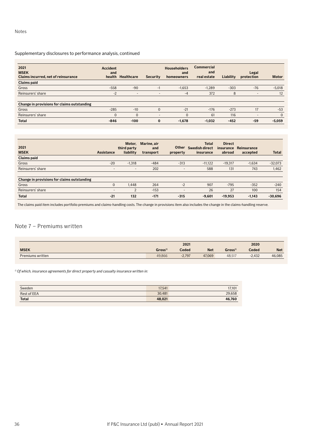## Supplementary disclosures to performance analysis, continued

| 2021<br><b>MSEK</b><br>Claims incurred, net of reinsurance | <b>Accident</b><br>and | health Healthcare | Security                 | <b>Householders</b><br>and<br>homeowners | <b>Commercial</b><br>and<br>real estate | Liability | Legal<br>protection      | <b>Motor</b> |
|------------------------------------------------------------|------------------------|-------------------|--------------------------|------------------------------------------|-----------------------------------------|-----------|--------------------------|--------------|
| <b>Claims paid</b>                                         |                        |                   |                          |                                          |                                         |           |                          |              |
| Gross                                                      | $-558$                 | $-90$             | $-1$                     | $-1.653$                                 | $-1.289$                                | $-303$    | $-76$                    | $-5,018$     |
| Reinsurers' share                                          | $-2$                   | ٠                 | $\overline{\phantom{a}}$ | $-4$                                     | 372                                     | 8         | $\overline{\phantom{a}}$ | 12           |
| Change in provisions for claims outstanding                |                        |                   |                          |                                          |                                         |           |                          |              |
| Gross                                                      | $-285$                 | $-10$             | $\Omega$                 | $-21$                                    | $-176$                                  | $-273$    | 17                       | $-53$        |
| Reinsurers' share                                          | $\Omega$               | $\Omega$          |                          | $\Omega$                                 | 61                                      | 116       | -                        | $\mathbf{0}$ |
| <b>Total</b>                                               | $-846$                 | $-100$            | $\bf{0}$                 | $-1,678$                                 | $-1,032$                                | $-452$    | $-59$                    | $-5,059$     |

| 2021<br><b>MSEK</b>                         | Assistance               | Motor.<br>third party<br>liability | Marine, air<br>and<br>transport | <b>Other</b><br>property | <b>Total</b><br><b>Swedish direct</b><br>insurance | <b>Direct</b><br>insurance<br>abroad | Reinsurance<br>accepted | <b>Total</b> |
|---------------------------------------------|--------------------------|------------------------------------|---------------------------------|--------------------------|----------------------------------------------------|--------------------------------------|-------------------------|--------------|
| <b>Claims paid</b>                          |                          |                                    |                                 |                          |                                                    |                                      |                         |              |
| Gross                                       | $-20$                    | $-1.318$                           | $-484$                          | $-313$                   | $-11.122$                                          | $-19.317$                            | $-1.634$                | $-32,073$    |
| Reinsurers' share                           | $\overline{\phantom{a}}$ | $\overline{\phantom{a}}$           | 202                             |                          | 588                                                | 131                                  | 743                     | 1,462        |
| Change in provisions for claims outstanding |                          |                                    |                                 |                          |                                                    |                                      |                         |              |
| Gross                                       | $\mathbf 0$              | 1.448                              | 264                             | $-2$                     | 907                                                | $-795$                               | $-352$                  | $-240$       |
| Reinsurers' share                           |                          | $\Omega$                           | $-153$                          |                          | 26                                                 | 27                                   | 100                     | 154          |
| <b>Total</b>                                | $-21$                    | 132                                | $-171$                          | $-315$                   | $-9.601$                                           | $-19,953$                            | $-1.143$                | $-30,696$    |

The claims paid item includes portfolio premiums and claims-handling costs. The change in provisions item also includes the change in the claims-handling reserve.

# Note 7 – Premiums written

|                  |                     | 2021     |            |                    | 2020     |            |
|------------------|---------------------|----------|------------|--------------------|----------|------------|
| <b>MSEK</b>      | Gross <sup>1)</sup> | Ceded    | <b>Net</b> | Gross <sup>1</sup> | Ceded    | <b>Net</b> |
| Premiums written | 49.866              | $-2.797$ | 47.069     | 48,517             | $-2.432$ | 46,085     |

*1) Of which, insurance agreements for direct property and casualty insurance written in:*

| Sweden             | 17,541 | 17,101 |
|--------------------|--------|--------|
| <b>Rest of EEA</b> | 30.481 | 29,658 |
| <b>Total</b>       | 48,021 | 46,760 |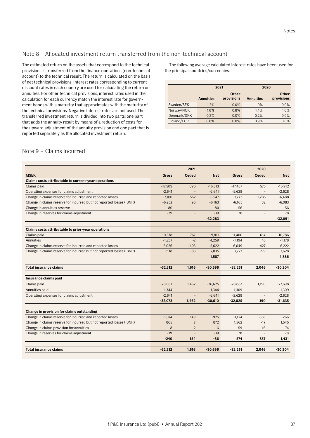# Note 8 – Allocated investment return transferred from the non-technical account

The estimated return on the assets that correspond to the technical provisions is transferred from the finance operations (non-technical account) to the technical result. The return is calculated on the basis of net technical provisions. Interest rates corresponding to current discount rates in each country are used for calculating the return on annuities. For other technical provisions, interest rates used in the calculation for each currency match the interest rate for government bonds with a maturity that approximates with the maturity of the technical provisions. Negative interest rates are not used. The transferred investment return is divided into two parts; one part that adds the annuity result by means of a reduction of costs for the upward adjustment of the annuity provision and one part that is reported separately as the allocated investment return.

The following average calculated interest rates have been used for the principal countries/currencies:

|             |                  | 2021                       | 2020             |                     |
|-------------|------------------|----------------------------|------------------|---------------------|
|             | <b>Annuities</b> | <b>Other</b><br>provisions | <b>Annuities</b> | Other<br>provisions |
| Sweden/SEK  | 1.2%             | $0.0\%$                    | 1.0%             | $0.0\%$             |
| Norway/NOK  | 1.8%             | 0.8%                       | 1.4%             | 1.0%                |
| Denmark/DKK | 0.2%             | $0.0\%$                    | 0.2%             | 0.0%                |
| Finland/EUR | 0.8%             | 0.0%                       | 0.9%             | 0.0%                |

# Note 9 – Claims incurred

|                                                                      |              | 2021           |                 |           | 2020         |            |
|----------------------------------------------------------------------|--------------|----------------|-----------------|-----------|--------------|------------|
| <b>MSEK</b>                                                          | <b>Gross</b> | <b>Ceded</b>   | <b>Net</b>      | Gross     | <b>Ceded</b> | <b>Net</b> |
| Claims costs attributable to current-year operations                 |              |                |                 |           |              |            |
| Claims paid                                                          | $-17,509$    | 696            | $-16,813$       | $-17,487$ | 575          | $-16,912$  |
| Operating expenses for claims adjustment                             | $-2,641$     |                | $-2,641$        | $-2,628$  |              | $-2,628$   |
| Change in claims reserve for incurred and reported losses            | $-7.100$     | 552            | $-6.547$        | $-7.773$  | 1,285        | $-6,488$   |
| Change in claims reserve for incurred but not reported losses (IBNR) | $-6,252$     | 90             | $-6,163$        | $-6.165$  | 82           | $-6,083$   |
| Change in annuities reserve                                          | $-80$        |                | $-80$           | $-56$     |              | $-56$      |
| Change in reserves for claims adjustment                             | $-39$        |                | $-39$           | 78        |              | 78         |
|                                                                      |              |                | $-32,283$       |           |              | $-32,091$  |
| Claims costs attributable to prior-year operations                   |              |                |                 |           |              |            |
| Claims paid                                                          | $-10.578$    | 767            | $-9.811$        | $-11,400$ | 614          | $-10.786$  |
| Annuities                                                            | $-1,257$     | $-2$           | $-1,259$        | $-1.194$  | 16           | $-1,178$   |
| Change in claims reserve for incurred and reported losses            | 6,026        | $-403$         | 5,622           | 6,649     | $-427$       | 6,222      |
| Change in claims reserve for incurred but not reported losses (IBNR) | 7,118        | $-83$          | 7,035           | 7,727     | $-99$        | 7,628      |
|                                                                      |              |                | 1,587           |           |              | 1,886      |
|                                                                      |              |                |                 |           |              |            |
| <b>Total insurance claims</b>                                        | $-32,312$    | 1,616          | $-30,696$       | $-32,251$ | 2.046        | $-30,204$  |
|                                                                      |              |                |                 |           |              |            |
| Insurance claims paid                                                |              |                |                 |           |              |            |
| Claims paid                                                          | $-28.087$    | 1.462          | $-26,625$       | $-28,887$ | 1,190        | $-27.698$  |
| Annuities paid                                                       | $-1,344$     |                | $-1,344$        | $-1,309$  |              | $-1,309$   |
| Operating expenses for claims adjustment                             | $-2.641$     |                | $-2,641$        | $-2.628$  |              | $-2.628$   |
|                                                                      | $-32,073$    | 1,462          | $-30,610$       | $-32,825$ | 1,190        | $-31,635$  |
|                                                                      |              |                |                 |           |              |            |
| Change in provision for claims outstanding                           |              |                |                 |           |              |            |
| Change in claims reserve for incurred and reported losses            | $-1.074$     | 149            | $-925$          | $-1.124$  | 858          | $-266$     |
| Change in claims reserve for incurred but not reported losses (IBNR) | 865          | $\overline{7}$ | 872             | 1.562     | $-17$        | 1,545      |
| Change in claims provision for annuities                             | 8            | $-2$           | $6\overline{6}$ | 59        | 16           | 74         |
| Change in reserves for claims adjustment                             | $-39$        |                | $-39$           | 78        |              | 78         |
|                                                                      | $-240$       | 154            | $-86$           | 574       | 857          | 1,431      |
|                                                                      |              |                |                 |           |              |            |
| <b>Total insurance claims</b>                                        | $-32,312$    | 1,616          | $-30,696$       | $-32,251$ | 2,046        | $-30,204$  |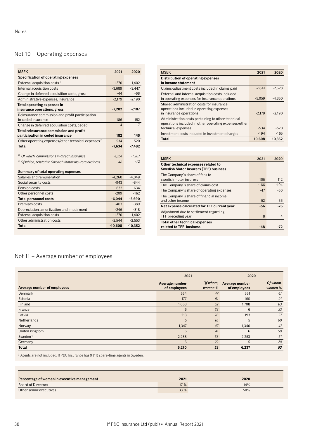# Not 10 – Operating expenses

| <b>MSEK</b>                                                           | 2021      | 2020      |
|-----------------------------------------------------------------------|-----------|-----------|
| Specification of operating expenses                                   |           |           |
| External acquisition costs <sup>1)</sup>                              | $-1.370$  | $-1,402$  |
| Internal acquisition costs                                            | $-3,689$  | $-3,447$  |
| Change in deferred acquisition costs, gross                           | $-44$     | $-68$     |
| Administrative expenses, insurance                                    | $-2,179$  | $-2,190$  |
| Total operating expenses in                                           |           |           |
| insurance operations, gross                                           | $-7,282$  | $-7,107$  |
| Reinsurance commission and profit participation<br>in ceded insurance | 186       | 152       |
| Change in deferred acquisition costs, ceded                           | $-4$      | $-7$      |
| Total reinsurance commission and profit                               |           |           |
| participation in ceded insurance                                      | 182       | 145       |
| Other operating expenses/other technical expenses <sup>2)</sup>       | $-534$    | $-520$    |
| <b>Total</b>                                                          | $-7,634$  | $-7.482$  |
|                                                                       |           |           |
| <sup>1)</sup> Of which, commissions in direct insurance               | $-1.251$  | $-1.287$  |
| <sup>2)</sup> Of which, related to Swedish Motor Insurers business    | $-48$     | $-72$     |
| Summary of total operating expenses                                   |           |           |
| Salaries and remuneration                                             | $-4,260$  | $-4,049$  |
| Social security costs                                                 | $-943$    | $-844$    |
| Pension costs                                                         | $-632$    | $-634$    |
| Other personnel costs                                                 | $-209$    | $-162$    |
| <b>Total personnel costs</b>                                          | $-6,044$  | $-5,690$  |
| Premises costs                                                        | $-403$    | $-389$    |
| Depreciation, amortization and impairment                             | $-246$    | $-318$    |
| <b>External acquisition costs</b>                                     | $-1.370$  | $-1,402$  |
| Other administration costs                                            | $-2,544$  | $-2,553$  |
| <b>Total</b>                                                          | $-10.608$ | $-10.352$ |

| <b>MSEK</b>                                                                                                                       | 2021      | 2020      |
|-----------------------------------------------------------------------------------------------------------------------------------|-----------|-----------|
| Distribution of operating expenses<br>in income statement                                                                         |           |           |
| Claims-adjustment costs included in claims paid                                                                                   | $-2.641$  | $-2.628$  |
| External and internal acquisition costs included<br>in operating expenses for insurance operations                                | $-5.059$  | $-4.850$  |
| Shared administration costs for insurance<br>operations included in operating expenses<br>in insurance operations                 | $-2.179$  | $-2.190$  |
| Administration costs pertaining to other technical<br>operations included in other operating expenses/other<br>technical expenses | $-534$    | $-520$    |
| Investment costs included in investment charges                                                                                   | $-194$    | $-165$    |
| <b>Total</b>                                                                                                                      | $-10.608$ | $-10.352$ |

| <b>MSEK</b>                                                                         | 2021   | 2020   |
|-------------------------------------------------------------------------------------|--------|--------|
| Other technical expenses related to<br><b>Swedish Motor Insurers (TFF) business</b> |        |        |
| The Company's share of fees to                                                      |        |        |
| swedish motor insurers                                                              | 105    | 112    |
| The Company's share of claims cost                                                  | $-166$ | $-194$ |
| The Company's share of operating expenses                                           | $-47$  | $-50$  |
| The Company's share of financial income                                             |        |        |
| and other income                                                                    | 52     | 56     |
| Net expense calculated for TFF current year                                         | -56    | -76    |
| Adjustment due to settlement regarding                                              |        |        |
| TFF preceding year                                                                  | 8      | 4      |
| <b>Total other technical expenses</b>                                               |        |        |
| related to TFF business                                                             | -48    |        |

# Not 11 – Average number of employees

|                             | 2021                           |                     | 2020                           |                     |  |
|-----------------------------|--------------------------------|---------------------|--------------------------------|---------------------|--|
| Average number of employees | Average number<br>of employees | Of whom,<br>women % | Average number<br>of employees | Of whom,<br>women % |  |
| Denmark                     | 554                            | 47                  | 561                            | 47                  |  |
| Estonia                     | 177                            | 91                  | 160                            | 91                  |  |
| Finland                     | 1,668                          | 62                  | 1,708                          | 63                  |  |
| France                      | 6                              | 33                  | 6                              | 33                  |  |
| Latvia                      | 213                            | 28                  | 193                            | 27                  |  |
| Netherlands                 | 5                              | 61                  | 5                              | 60                  |  |
| Norway                      | 1,347                          | 47                  | 1,340                          | 47                  |  |
| United kingdom              | 6                              | 41                  | 6                              | 50                  |  |
| Sweden <sup>1)</sup>        | 2,288                          | 53                  | 2,253                          | 51                  |  |
| Germany                     | 6                              | 22                  | 5                              | 20                  |  |
| <b>Total</b>                | 6,270                          | 53                  | 6,237                          | 53                  |  |

1) Agents are not included. If P&C Insurance has 9 (11) spare-time agents in Sweden.

| Percentage of women in executive management | 2021 | 2020 |  |
|---------------------------------------------|------|------|--|
| Board of Directors                          | 17 % | 14%  |  |
| Other senior executives                     | 33 % | 50%  |  |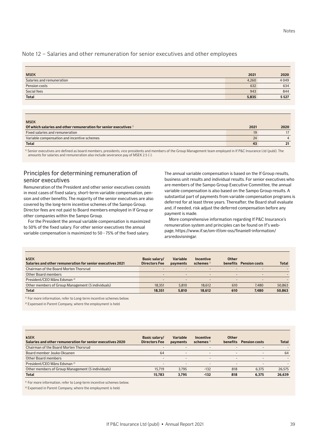# Note 12 – Salaries and other remuneration for senior executives and other employees

| <b>MSEK</b>               | 2021  | 2020 |
|---------------------------|-------|------|
| Salaries and remuneration | 4,260 | 4049 |
| Pension costs             | 632   | 634  |
| Social fees               | 943   | 844  |
| <b>Total</b>              | 5,835 | 5527 |
|                           |       |      |

| <b>MSEK</b>                                                                 |      |      |
|-----------------------------------------------------------------------------|------|------|
| Of which salaries and other remuneration for senior executives <sup>1</sup> | 2021 | 2020 |
| Fixed salaries and remuneration                                             | 19   |      |
| Variable compensation and incentive schemes                                 | 24   |      |
| <b>Total</b>                                                                | 43   |      |

<sup>1)</sup> Senior executives are defined as board members, presidents, vice presidents and members of the Group Management team employed in If P&C Insurance Ltd (publ). The amounts for salaries and remuneration also include severance pay of MSEK 2.5 (-).

# Principles for determining remuneration of senior executives

Remuneration of the President and other senior executives consists in most cases of fixed salary, short-term variable compensation, pension and other benefits. The majority of the senior executives are also covered by the long-term incentive schemes of the Sampo Group. Director fees are not paid to Board members employed in If Group or other companies within the Sampo Group.

For the President the annual variable compensation is maximized to 50% of the fixed salary. For other senior executives the annual variable compensation is maximized to 50 - 75% of the fixed salary.

The annual variable compensation is based on the If Group results, business unit results and individual results. For senior executives who are members of the Sampo Group Executive Committee, the annual variable compensation is also based on the Sampo Group results. A substantial part of payments from variable compensation programs is deferred for at least three years. Thereafter, the Board shall evaluate and, if needed, risk adjust the deferred compensation before any payment is made.

More comprehensive information regarding If P&C Insurance's remuneration system and principles can be found on If's webpage, https://www.if.se/om-if/om-oss/finaniell-information/ arsredovisningar.

| <b>kSEK</b><br>Salaries and other remuneration for senior executives 2021 | Basic salary/<br><b>Directors Fee</b> | <b>Variable</b><br>payments | Incentive<br>schemes $1$ | Other<br><b>benefits</b> | <b>Pension costs</b>     | <b>Total</b> |
|---------------------------------------------------------------------------|---------------------------------------|-----------------------------|--------------------------|--------------------------|--------------------------|--------------|
| Chairman of the Board Morten Thorsrud                                     | $\sim$                                | $\overline{\phantom{a}}$    | $\overline{\phantom{a}}$ | $\overline{\phantom{0}}$ | $\overline{\phantom{0}}$ |              |
| Other Board members                                                       | $\sim$                                | $\overline{\phantom{a}}$    | -                        | $\overline{\phantom{0}}$ | $\overline{\phantom{0}}$ |              |
| President/CEO Måns Edsman <sup>2)</sup>                                   | $\sim$                                | $\overline{\phantom{a}}$    | $\overline{\phantom{a}}$ | $\overline{\phantom{0}}$ |                          |              |
| Other members of Group Management (5 individuals)                         | 18.351                                | 5.810                       | 18.612                   | 610                      | 7.480                    | 50,863       |
| <b>Total</b>                                                              | 18.351                                | 5.810                       | 18.612                   | 610                      | 7.480                    | 50.863       |

<sup>1)</sup> For more information, refer to Long-term incentive schemes below.

2) Expensed in Parent Company, where the employment is held.

| <b>kSEK</b><br>Salaries and other remuneration for senior executives 2020 | Basic salary/<br><b>Directors Fee</b> | Variable<br>payments     | Incentive<br>schemes $1$ | Other<br><b>benefits</b> | <b>Pension costs</b>     | <b>Total</b> |
|---------------------------------------------------------------------------|---------------------------------------|--------------------------|--------------------------|--------------------------|--------------------------|--------------|
| Chairman of the Board Morten Thorsrud                                     | -                                     | $\overline{\phantom{a}}$ | $\overline{\phantom{a}}$ | -                        |                          |              |
| Board member Jouko Oksanen                                                | 64                                    | $\overline{\phantom{0}}$ | -                        | $\overline{\phantom{0}}$ | $\overline{\phantom{0}}$ | 64           |
| Other Board members                                                       | -                                     | $\overline{a}$           |                          | -                        |                          |              |
| President/CEO Måns Edsman <sup>2)</sup>                                   | -                                     | $\overline{\phantom{0}}$ |                          | -                        |                          |              |
| Other members of Group Management (5 individuals)                         | 15.719                                | 3.795                    | $-132$                   | 818                      | 6.375                    | 26,575       |
| <b>Total</b>                                                              | 15.783                                | 3.795                    | $-132$                   | 818                      | 6.375                    | 26,639       |

<sup>1)</sup> For more information, refer to Long-term incentive schemes below

<sup>2)</sup> Expensed in Parent Company, where the employment is held.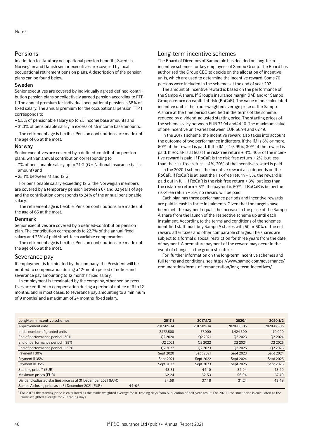# Pensions

In addition to statutory occupational pension benefits, Swedish, Norwegian and Danish senior executives are covered by local occupational retirement pension plans. A description of the pension plans can be found below.

### Sweden

Senior executives are covered by individually agreed defined-contribution pension plans or collectively agreed pension according to FTP 1. The annual premium for individual occupational pension is 38% of fixed salary. The annual premium for the occupational pension FTP 1 corresponds to

– 5.5% of pensionable salary up to 7.5 income base amounts and

– 31.3% of pensionable salary in excess of 7.5 income base amounts.

The retirement age is flexible. Pension contributions are made until the age of 65 at the most.

### Norway

Senior executives are covered by a defined-contribution pension plans, with an annual contribution corresponding to

- 7% of pensionable salary up to 7.1 G (G = National Insurance basic amount) and
- 25.1% between 7.1 and 12 G.

For pensionable salary exceeding 12 G, the Norwegian members are covered by a temporary pension between 67 and 82 years of age and the contribution corresponds to 24% of the annual pensionable salary.

The retirement age is flexible. Pension contributions are made until the age of 65 at the most.

### Denmark

Senior executives are covered by a defined-contribution pension plan. The contribution corresponds to 22.7% of the annual fixed salary and 25% of paid short-term variable compensation.

The retirement age is flexible. Pension contributions are made until the age of 65 at the most.

### Severance pay

If employment is terminated by the company, the President will be entitled to compensation during a 12-month period of notice and severance pay amounting to 12 months' fixed salary.

In employment is terminated by the company, other senior executives are entitled to compensation during a period of notice of 6 to 12 months, and in most cases, to severance pay amounting to a minimum of 9 months' and a maximum of 24 months' fixed salary.

# Long-term incentive schemes

The Board of Directors of Sampo plc has decided on long-term incentive schemes for key employees of Sampo Group. The Board has authorised the Group CEO to decide on the allocation of incentive units, which are used to determine the incentive reward. Some 70 persons were included in the schemes at the end of year 2021.

The amount of incentive reward is based on the performance of the Sampo A share, If Group's insurance margin (IM) and/or Sampo Group's return on capital at risk (RoCaR), The value of one calculated incentive unit is the trade-weighted average price of the Sampo A share at the time period specified in the terms of the scheme, reduced by dividend-adjusted starting price. The starting prices of the schemes vary between EUR 32.94 and44.10. The maximum value of one incentive unit varies between EUR 56.94 and 67.49.

In the 2017:1 scheme, the incentive reward also takes into account the outcome of two performance indicators. If the IM is 6% or more, 60% of the reward is paid. If the IM is 4-5.99%, 30% of the reward is paid. If RoCaR is at least the risk-free return + 4%, 40% of the incentive reward is paid. If RoCaR is the risk-free return + 2%, but less than the risk-free return + 4%, 20% of the incentive reward is paid.

In the 2020:1 scheme, the incentive reward also depends on the RoCaR. if RoCaR is at least the risk-free return + 5%, the reward is paid out in full. If RoCaR is the risk-free return + 3%, but less than the risk-free return + 5%, the pay-out is 50%. If RoCaR is below the risk-free return + 3%, no reward will be paid.

Each plan has three performance periods and incentive rewards are paid in cash in three instalments. Given that the targets have been met, the payment equals the increase in the price of the Sampo A share from the launch of the respective scheme up until each instalment. According to the terms and conditions of the schemes, identified staff must buy Sampo A shares with 50 or 60% of the net reward after taxes and other comparable charges. The shares are subject to a formal disposal restriction for three years from the date of payment. A premature payment of the reward may occur in the event of changes in the group structure.

For further information on the long-term incentive schemes and full terms and conditions, see https://www.sampo.com/governance/ remuneration/forms-of-remuneration/long-term-incentives/.

| Long-term incentive schemes                                   | 2017:1     | 2017:1/2   | 2020:1     | 2020:1/2   |
|---------------------------------------------------------------|------------|------------|------------|------------|
| Approvement date                                              | 2017-09-14 | 2017-09-14 | 2020-08-05 | 2020-08-05 |
| Initial number of granted units                               | 2.172.500  | 57,000     | 1.424.500  | 170 000    |
| End of performance period I 30%                               | Q2 2020    | 02 2021    | 02 2023    | Q2 2024    |
| End of performance period II 35%                              | 02 2021    | 02 2022    | 02 2024    | 02 2025    |
| End of performance period III 35%                             | Q2 2022    | 02 2023    | 02 2025    | Q2 2026    |
| Payment 130%                                                  | Sept 2020  | Sept 2021  | Sept 2023  | Sept 2024  |
| Payment II 35%                                                | Sept 2021  | Sept 2022  | Sept 2024  | Sept 2025  |
| Payment III 35%                                               | Sept 2022  | Sept 2023  | Sept 2025  | Sept 2026  |
| Starting price <sup>1</sup> (EUR)                             | 43.81      | 44.10      | 32.94      | 43.49      |
| Maximum prices (EUR)                                          | 62,24      | 62.53      | 56,94      | 67.49      |
| Dividend-adjusted starting price as at 31 December 2021 (EUR) | 34.59      | 37.48      | 31.24      | 43.49      |
| Sampo A closing price as at 31 December 2021 (EUR)            | $44 - 06$  |            |            |            |

 $\beta$  For 2017:1 the starting price is calculated as the trade-weighted average for 10 trading days from publication of half-year result. For 2020:1 the start price is calculated as the trade-weighted average for 25 trading days.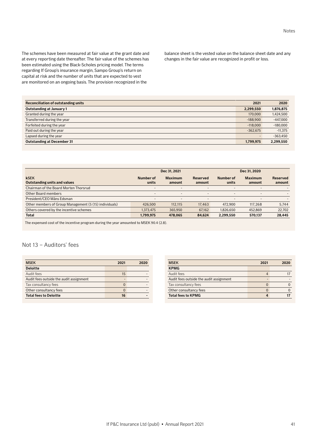regarding If Group's insurance margin, Sampo Group's return on capital at risk and the number of units that are expected to vest are monitored on an ongoing basis. The provision recognized in the balance sheet is the vested value on the balance sheet date and any changes in the fair value are recognized in profit or loss.

| Reconciliation of outstanding units | 2021       | 2020       |
|-------------------------------------|------------|------------|
| Outstanding at January 1            | 2.299.550  | 1,876,875  |
| Granted during the year             | 170,000    | 1,424,500  |
| Transferred during the year         | $-188.900$ | $-447,000$ |
| Forfeited during the year           | $-118,000$ | $-180,000$ |
| Paid out during the year            | $-362.675$ | $-11,375$  |
| Lapsed during the year              | -          | $-363,450$ |
| <b>Outstanding at December 31</b>   | 1.799.975  | 2,299,550  |

|                                                        | Dec 31, 2021       |                          |                          | Dec 31, 2020             |                          |                    |  |
|--------------------------------------------------------|--------------------|--------------------------|--------------------------|--------------------------|--------------------------|--------------------|--|
| <b>kSEK</b><br><b>Outstanding units and values</b>     | Number of<br>units | <b>Maximum</b><br>amount | Reserved<br>amount       | Number of<br>units       | <b>Maximum</b><br>amount | Reserved<br>amount |  |
| Chairman of the Board Morten Thorsrud                  | -                  | $\overline{\phantom{0}}$ | $\overline{\phantom{a}}$ | $\overline{\phantom{a}}$ | $\overline{\phantom{a}}$ |                    |  |
| Other Board members                                    | -                  | -                        | $\overline{\phantom{0}}$ | $\overline{\phantom{a}}$ | $\overline{\phantom{a}}$ |                    |  |
| President/CEO Måns Edsman                              | -                  |                          | $\overline{\phantom{a}}$ | $\overline{\phantom{a}}$ | -                        |                    |  |
| Other members of Group Management (5 (15) individuals) | 426,500            | 112.115                  | 17.463                   | 472,900                  | 117,268                  | 5,744              |  |
| Others covered by the incentive schemes                | 1.373.475          | 365,950                  | 67.162                   | 1.826.650                | 452.869                  | 22,702             |  |
| <b>Total</b>                                           | 1,799,975          | 478.065                  | 84.624                   | 2,299,550                | 570.137                  | 28,445             |  |

The expensed cost of the incentive program during the year amounted to MSEK 90.4 (2.8).

# Not 13 – Auditors' fees

| <b>MSEK</b>                             | 2021 | 2020 |
|-----------------------------------------|------|------|
| <b>Deloitte</b>                         |      |      |
| Audit fees                              | 15   |      |
| Audit fees outside the audit assignment |      |      |
| Tax consultancy fees                    |      |      |
| Other consultancy fees                  |      |      |
| <b>Total fees to Deloitte</b>           | 16   |      |

| <b>MSEK</b>                             | 2021 | 2020 |
|-----------------------------------------|------|------|
| <b>KPMG</b>                             |      |      |
| Audit fees                              |      |      |
| Audit fees outside the audit assignment |      |      |
| Tax consultancy fees                    |      |      |
| Other consultancy fees                  |      |      |
| <b>Total fees to KPMG</b>               |      |      |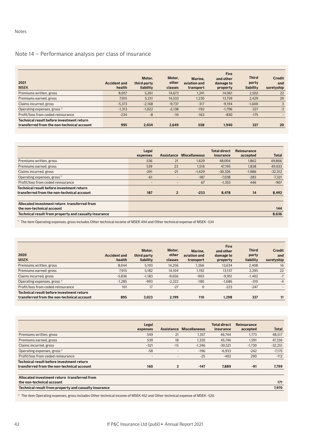# Note 14 – Performance analysis per class of insurance

| 2021<br><b>MSEK</b>                                                                     | <b>Accident and</b><br>health | Motor,<br>third party<br>liability | Motor,<br>other<br>classes | Marine.<br>aviation and<br>transport | <b>Fire</b><br>and other<br>damage to<br>property | <b>Third</b><br>party<br>liability | <b>Credit</b><br>and<br>suretyship |
|-----------------------------------------------------------------------------------------|-------------------------------|------------------------------------|----------------------------|--------------------------------------|---------------------------------------------------|------------------------------------|------------------------------------|
| Premiums written, gross                                                                 | 8.057                         | 5,261                              | 14.673                     | 1.241                                | 14.061                                            | 2,502                              | 22                                 |
| Premiums earned, gross                                                                  | 7.915                         | 5,231                              | 14,533                     | 1,230                                | 13.759                                            | 2.429                              | 20                                 |
| Claims incurred, gross                                                                  | $-5,373$                      | $-2.168$                           | $-9.737$                   | $-317$                               | $-9.194$                                          | $-1.600$                           |                                    |
| Operating expenses, gross <sup>1)</sup>                                                 | $-1.313$                      | $-1,022$                           | $-2,138$                   | $-192$                               | $-1.796$                                          | $-327$                             | $-3$                               |
| Profit/loss from ceded reinsurance                                                      | $-234$                        | $-8$                               | $-10$                      | $-163$                               | $-830$                                            | $-175$                             |                                    |
| Technical result before investment return<br>transferred from the non-technical account | 995                           | 2.034                              | 2.649                      | 558                                  | 1.940                                             | 327                                | 20                                 |

|                                                                                         | Legal<br>expenses        | Assistance     | <b>Miscellaneous</b> | <b>Total direct</b><br>insurance | Reinsurance<br>accepted | <b>Total</b> |
|-----------------------------------------------------------------------------------------|--------------------------|----------------|----------------------|----------------------------------|-------------------------|--------------|
| Premiums written, gross                                                                 | 536                      | 21             | 1,629                | 48,004                           | 1.862                   | 49,866       |
| Premiums earned, gross                                                                  | 539                      | 23             | 1.516                | 47.195                           | 1.838                   | 49,033       |
| Claims incurred, gross                                                                  | $-291$                   | $-21$          | $-1,629$             | $-30.326$                        | $-1,986$                | $-32,312$    |
| Operating expenses, gross <sup>1)</sup>                                                 | $-61$                    | -              | $-187$               | $-7.038$                         | $-283$                  | $-7,321$     |
| Profit/loss from ceded reinsurance                                                      | $\overline{\phantom{a}}$ |                | 67                   | $-1,353$                         | 446                     | $-907$       |
| Technical result before investment return<br>transferred from the non-technical account | 187                      | $\overline{2}$ | $-233$               | 8,478                            | 14                      | 8,492        |
| Allocated investment return transferred from<br>the non-technical account               |                          |                |                      |                                  |                         | 144          |
| Technical result from property and casualty insurance                                   |                          |                |                      |                                  |                         | 8.636        |

<sup>1)</sup> The item Operating expenses, gross includes Other technical income of MSEK 494 and Other technical expense of MSEK -534

| 2020<br><b>MSEK</b>                                                                     | <b>Accident and</b><br>health | Motor.<br>third party<br>liability | Motor,<br>other<br>classes | Marine,<br>aviation and<br>transport | <b>Fire</b><br>and other<br>damage to<br>property | <b>Third</b><br>party<br>liability | <b>Credit</b><br>and<br>suretyship |
|-----------------------------------------------------------------------------------------|-------------------------------|------------------------------------|----------------------------|--------------------------------------|---------------------------------------------------|------------------------------------|------------------------------------|
| Premiums written, gross                                                                 | 8.044                         | 5,193                              | 14.256                     | 1.266                                | 13.634                                            | 2.408                              | 16                                 |
| Premiums earned, gross                                                                  | 7.915                         | 5,182                              | 14.104                     | 1.192                                | 13.157                                            | 2,295                              | 22                                 |
| Claims incurred, gross                                                                  | $-5,836$                      | $-1,183$                           | $-9.656$                   | $-903$                               | $-9,951$                                          | $-1.402$                           | $-7$                               |
| Operating expenses, gross <sup>1)</sup>                                                 | $-1,285$                      | $-993$                             | $-2,222$                   | $-180$                               | $-1.686$                                          | $-310$                             | $-4$                               |
| Profit/loss from ceded reinsurance                                                      | 101                           | 17                                 | $-27$                      | $\mathbf{0}$                         | $-223$                                            | $-247$                             |                                    |
| Technical result before investment return<br>transferred from the non-technical account | 895                           | 3,023                              | 2.199                      | 110                                  | 1.298                                             | 337                                | 11                                 |

|                                                                                         | Legal<br>expenses | <b>Assistance</b> | <b>Miscellaneous</b> | <b>Total direct</b><br>insurance | Reinsurance<br>accepted | <b>Total</b> |
|-----------------------------------------------------------------------------------------|-------------------|-------------------|----------------------|----------------------------------|-------------------------|--------------|
| Premiums written, gross                                                                 | 549               | 21                | 1,357                | 46.744                           | 1,773                   | 48,517       |
| Premiums earned, gross                                                                  | 539               | 18                | 1,320                | 45,746                           | 1,591                   | 47,336       |
| Claims incurred, gross                                                                  | $-321$            | $-15$             | $-1.246$             | $-30,521$                        | $-1,730$                | $-32,251$    |
| Operating expenses, gross <sup>1)</sup>                                                 | $-58$             |                   | $-196$               | $-6.933$                         | $-242$                  | $-7,175$     |
| Profit/loss from ceded reinsurance                                                      |                   |                   | $-25$                | $-402$                           | 290                     | $-112$       |
| Technical result before investment return<br>transferred from the non-technical account | 160               | 3                 | $-147$               | 7,889                            | $-91$                   | 7,799        |
| Allocated investment return transferred from<br>the non-technical account               |                   |                   |                      |                                  |                         | 171          |
| Technical result from property and casualty insurance                                   |                   |                   |                      |                                  |                         | 7,970        |

<sup>1)</sup> The item Operating expenses, gross includes Other technical income of MSEK 452 and Other technical expense of MSEK -520.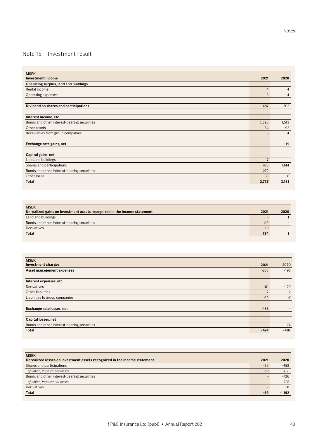# Note 15 – Investment result

| <b>MSEK</b>                                 |                          |                          |
|---------------------------------------------|--------------------------|--------------------------|
| <b>Investment income</b>                    | 2021                     | 2020                     |
| Operating surplus, land and buildings       |                          |                          |
| Rental income                               | $\overline{4}$           | 4                        |
| Operating expenses                          | $-3$                     | $-4$                     |
|                                             |                          |                          |
| Dividend on shares and participations       | 487                      | 302                      |
|                                             |                          |                          |
| Interest income, etc.                       |                          |                          |
| Bonds and other interest-bearing securities | 1,398                    | 1,513                    |
| Other assets                                | 64                       | 92                       |
| Receivables from group companies            | 3                        | $\overline{4}$           |
|                                             |                          |                          |
| Exchange rate gains, net                    | $\overline{\phantom{0}}$ | 119                      |
|                                             |                          |                          |
| Capital gains, net                          |                          |                          |
| Land and buildings                          | $\overline{7}$           | $\overline{\phantom{a}}$ |
| Shares and participations                   | 473                      | 1,144                    |
| Bonds and other interest-bearing securities | 272                      |                          |
| Other loans                                 | 33                       | 6                        |
| <b>Total</b>                                | 2,737                    | 3,181                    |

| <b>MSEK</b>                                                              |      |      |
|--------------------------------------------------------------------------|------|------|
| Unrealized gains on investment assets recognized in the income statement | 2021 | 2020 |
| Land and buildings                                                       |      |      |
| Bonds and other interest-bearing securities                              | 119  |      |
| Derivatives                                                              | 16   |      |
| <b>Total</b>                                                             | 134  |      |

| <b>MSEK</b>                                 |        |        |
|---------------------------------------------|--------|--------|
| <b>Investment charges</b>                   | 2021   | 2020   |
| Asset management expenses                   | $-238$ | $-195$ |
|                                             |        |        |
| Interest expenses, etc.                     |        |        |
| <b>Derivatives</b>                          | $-81$  | $-129$ |
| Other liabilities                           | $-2$   | $-2$   |
| Liabilities to group companies              | $-14$  | $-7$   |
|                                             |        |        |
| Exchange rate losses, net                   | $-138$ |        |
|                                             |        |        |
| Capital losses, net                         |        |        |
| Bonds and other interest-bearing securities | $\sim$ | $-74$  |
| <b>Total</b>                                | $-474$ | $-407$ |

| <b>MSEK</b><br>Unrealized losses on investment assets recognized in the income statement | 2021  | 2020    |
|------------------------------------------------------------------------------------------|-------|---------|
| Shares and participations                                                                | $-59$ | $-458$  |
| of which, impairment losses                                                              | $-59$ | $-458$  |
| Bonds and other interest-bearing securities                                              |       | $-726$  |
| of which, impairment losses                                                              |       | $-726$  |
| <b>Derivatives</b>                                                                       |       | -8      |
| <b>Total</b>                                                                             | -59   | $-1192$ |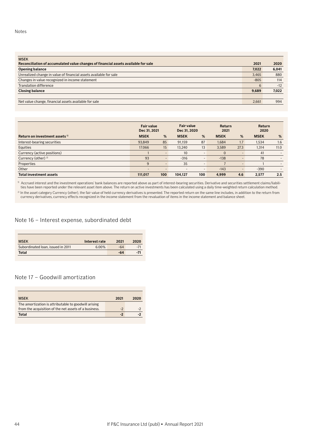| <b>MSEK</b>                                                                        |        |       |
|------------------------------------------------------------------------------------|--------|-------|
| Reconciliation of accumulated value changes of financial assets available for sale | 2021   | 2020  |
| <b>Opening balance</b>                                                             | 7,022  | 6,041 |
| Unrealized change in value of financial assets available for sale                  | 3.465  | 880   |
| Changes in value recognized in income statement                                    | $-805$ | 114   |
| Translation difference                                                             | 6      | $-12$ |
| <b>Closing balance</b>                                                             | 9,689  | 7,022 |
|                                                                                    |        |       |
| Net value change, financial assets available for sale                              | 2.661  | 994   |

|                                           | <b>Fair value</b><br>Dec 31, 2021 |                          | <b>Fair value</b><br>Dec 31, 2020 |                          | <b>Return</b><br>2021 |                          | Return<br>2020 |                          |
|-------------------------------------------|-----------------------------------|--------------------------|-----------------------------------|--------------------------|-----------------------|--------------------------|----------------|--------------------------|
| Return on investment assets <sup>1)</sup> | <b>MSEK</b>                       | %                        | <b>MSEK</b>                       | %                        | <b>MSEK</b>           | %                        | <b>MSEK</b>    | %                        |
| Interest-bearing securities               | 93,849                            | 85                       | 91.159                            | 87                       | 1.684                 | 1.7                      | 1,534          | 1.6                      |
| Equities                                  | 17.066                            | 15                       | 13.240                            | 13                       | 3.589                 | 27.3                     | 1,314          | 11.0                     |
| Currency (active positions)               |                                   | $\overline{a}$           | 10                                | $\overline{\phantom{a}}$ | 0                     | $\overline{\phantom{0}}$ | 41             | $\overline{\phantom{a}}$ |
| Currency (other) $^{2)}$                  | 93                                | $\overline{\phantom{a}}$ | $-316$                            |                          | $-138$                |                          | 78             |                          |
| Properties                                | 9                                 | $\overline{\phantom{a}}$ | 35                                | $\overline{\phantom{a}}$ |                       | $\overline{\phantom{0}}$ |                | $\overline{\phantom{a}}$ |
| Other                                     | $\overline{\phantom{0}}$          | $\overline{\phantom{a}}$ | $\sim$                            | -                        | $-143$                | $\overline{\phantom{0}}$ | $-390$         |                          |
| <b>Total investment assets</b>            | 111.017                           | 100                      | 104.127                           | 100                      | 4.999                 | 4.6                      | 2.577          | 2.5                      |

 $^{\rm 0}$  Accrued interest and the investment operations' bank balances are reported above as part of interest-bearing securities. Derivative and securities settlement claims/liabilities have been reported under the relevant asset item above. The return on active investments has been calculated using a daily time-weighted return calculation method.

<sup>2)</sup> In the asset category Currency (other), the fair value of held currency derivatives is presented. The reported return on the same line includes, in addition to the return from currency derivatives, currency effects recognized in the income statement from the revaluation of items in the income statement and balance sheet.

Note 16 – Interest expense, subordinated debt

| Interest rate | 2021  | 2020  |
|---------------|-------|-------|
| 6.00%         | $-64$ | $-71$ |
|               | -64   | -71   |
|               |       |       |

## Note 17 – Goodwill amortization

| <b>MSEK</b>                                           | 2021 | 2020 |
|-------------------------------------------------------|------|------|
| The amortization is attributable to goodwill arising  |      |      |
| from the acquisition of the net assets of a business. | $-2$ |      |
| Total                                                 |      |      |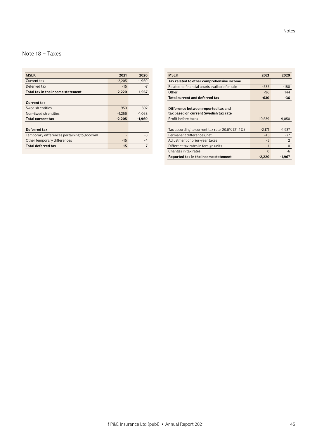# Note 18 – Taxes

| <b>MSFK</b>                                  | 2021     | 2020     |
|----------------------------------------------|----------|----------|
| Current tax                                  | $-2.205$ | $-1.960$ |
| Deferred tax                                 | $-15$    | $-7$     |
| Total tax in the income statement            | $-2,220$ | $-1,967$ |
|                                              |          |          |
| Current tax                                  |          |          |
| Swedish entities                             | $-950$   | $-892$   |
| Non-Swedish entities                         | $-1.256$ | $-1.068$ |
| <b>Total current tax</b>                     | $-2,205$ | $-1,960$ |
|                                              |          |          |
| Deferred tax                                 |          |          |
| Temporary differences pertaining to goodwill |          | $-3$     |
| Other temporary differences                  | $-15$    | $-4$     |
| Total deferred tax                           | $-15$    | -7       |

| <b>MSEK</b>                                      | 2021     | 2020           |
|--------------------------------------------------|----------|----------------|
| Tax related to other comprehensive income        |          |                |
| Related to financial assets available for sale   | $-535$   | $-180$         |
| Other                                            | $-96$    | 144            |
| <b>Total current and deferred tax</b>            | $-630$   | -36            |
|                                                  |          |                |
| Difference between reported tax and              |          |                |
| tax based on current Swedish tax rate            |          |                |
| Profit before taxes                              | 10,539   | 9,050          |
|                                                  |          |                |
| Tax according to current tax rate, 20.6% (21.4%) | $-2,171$ | $-1,937$       |
| Permanent differences, net                       | $-45$    | $-27$          |
| Adjustment of prior-year taxes                   | -5       | $\overline{2}$ |
| Different tax rates in foreign units             | 1        | $\mathbf{0}$   |
| Changes in tax rates                             | $\Omega$ | -6             |
| Reported tax in the income statement             | $-2,220$ | -1,967         |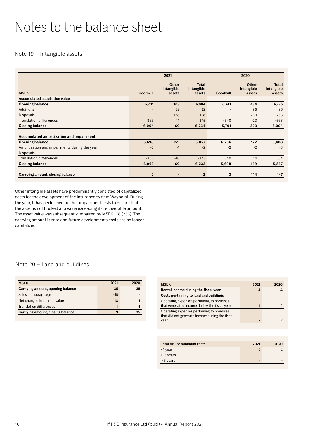# <span id="page-45-0"></span>Notes to the balance sheet

Note 19 – Intangible assets

|                                              |                          | 2021                                 |                                      |                          | 2020                                 |                                      |
|----------------------------------------------|--------------------------|--------------------------------------|--------------------------------------|--------------------------|--------------------------------------|--------------------------------------|
| <b>MSEK</b>                                  | Goodwill                 | <b>Other</b><br>intangible<br>assets | <b>Total</b><br>intangible<br>assets | Goodwill                 | <b>Other</b><br>intangible<br>assets | <b>Total</b><br>intangible<br>assets |
| Accumulated acquisition value                |                          |                                      |                                      |                          |                                      |                                      |
| <b>Opening balance</b>                       | 5,701                    | 303                                  | 6,004                                | 6,241                    | 484                                  | 6,725                                |
| Additions                                    | $\overline{\phantom{a}}$ | 32                                   | 32                                   | $\overline{\phantom{a}}$ | 96                                   | 96                                   |
| <b>Disposals</b>                             | $\overline{\phantom{a}}$ | $-178$                               | $-178$                               | ٠                        | $-253$                               | $-253$                               |
| <b>Translation differences</b>               | 363                      | 11                                   | 375                                  | $-540$                   | $-23$                                | $-563$                               |
| <b>Closing balance</b>                       | 6,064                    | 169                                  | 6,234                                | 5,701                    | 303                                  | 6,004                                |
| Accumulated amortization and impairment      |                          |                                      |                                      |                          |                                      |                                      |
| <b>Opening balance</b>                       | $-5,698$                 | $-159$                               | $-5,857$                             | $-6,236$                 | $-172$                               | $-6,408$                             |
| Amortization and impairments during the year | $-2$                     | $-1$                                 | $-2$                                 | $-2$                     | $-2$                                 | $-3$                                 |
| <b>Disposals</b>                             | $\overline{\phantom{0}}$ | $\overline{\phantom{a}}$             | $\overline{\phantom{a}}$             | ۳                        | $\overline{\phantom{a}}$             |                                      |
| <b>Translation differences</b>               | $-363$                   | $-10$                                | $-373$                               | 540                      | 14                                   | 554                                  |
| <b>Closing balance</b>                       | $-6,063$                 | $-169$                               | $-6,232$                             | $-5,698$                 | $-159$                               | $-5,857$                             |
|                                              |                          |                                      |                                      |                          |                                      |                                      |
| Carrying amount, closing balance             | $\overline{2}$           | $\qquad \qquad \blacksquare$         | $\overline{2}$                       | 3                        | 144                                  | 147                                  |

Other intangible assets have predominantly consisted of capitalized costs for the development of the insurance system Waypoint. During the year, If has performed further impairment tests to ensure that the asset is not booked at a value exceeding its recoverable amount. The asset value was subsequently impaired by MSEK 178 (253). The carrying amount is zero and future developments costs are no longer capitalized.

# Note 20 – Land and buildings

| <b>MSEK</b>                      | 2021  | 2020 |
|----------------------------------|-------|------|
| Carrying amount, opening balance | 35    | 35   |
| Sales and scrappage              | $-45$ |      |
| Net changes in current value     | 18    |      |
| <b>Translation differences</b>   |       | -    |
| Carrying amount, closing balance |       |      |

| <b>MSEK</b>                                    | 2021 | 2020 |
|------------------------------------------------|------|------|
| Rental income during the fiscal year           |      |      |
| Costs pertaining to land and buildings         |      |      |
| Operating expenses pertaining to premises      |      |      |
| that generated income during the fiscal year   |      |      |
| Operating expenses pertaining to premises      |      |      |
| that did not generate income during the fiscal |      |      |
| year                                           | C    |      |

| Total future minimum rents | 2021 | 2020 |
|----------------------------|------|------|
| $<$ 1 year                 |      |      |
| $1-5$ years                |      |      |
| $> 5$ years                |      |      |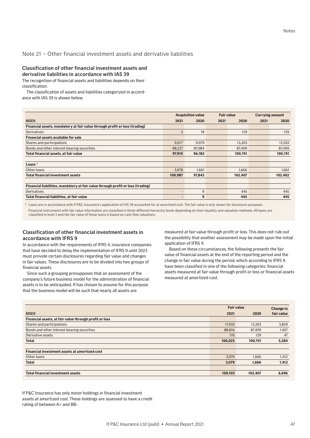# Note 21 – Other financial investment assets and derivative liabilities

## Classification of other financial investment assets and derivative liabilities in accordance with IAS 39

The recognition of financial assets and liabilities depends on their classification.

The classification of assets and liabilities categorized in accordance with IAS 39 is shown below.

|                                                                                 | <b>Acquisition value</b> |        |      | <b>Fair value</b> | <b>Carrying amount</b> |         |
|---------------------------------------------------------------------------------|--------------------------|--------|------|-------------------|------------------------|---------|
| <b>MSEK</b>                                                                     | 2021                     | 2020   | 2021 | 2020              | 2021                   | 2020    |
| Financial assets, mandatory at fair value through profit or loss (trading)      |                          |        |      |                   |                        |         |
| Derivatives                                                                     | 5                        | 18     |      | 129               |                        | 129     |
| Financial assets available for sale                                             |                          |        |      |                   |                        |         |
| Shares and participations                                                       | 9,677                    | 9,079  |      | 13,203            |                        | 13,203  |
| Bonds and other interest-bearing securities                                     | 88,227                   | 87,084 |      | 87,409            |                        | 87,409  |
| Total financial assets, at fair value                                           | 97,910                   | 96,182 |      | 100,741           |                        | 100,741 |
|                                                                                 |                          |        |      |                   |                        |         |
| Loans $1$                                                                       |                          |        |      |                   |                        |         |
| Other loans                                                                     | 3,078                    | 1.661  |      | 1.666             |                        | 1,661   |
| <b>Total financial investment assets</b>                                        | 100,987                  | 97,843 |      | 102,407           |                        | 102,402 |
|                                                                                 |                          |        |      |                   |                        |         |
| Financial liabilities, mandatory at fair value through profit or loss (trading) |                          |        |      |                   |                        |         |
| Derivatives                                                                     | $\overline{\phantom{0}}$ | 9      |      | 445               |                        | 445     |
| Total financial liabilities, at fair value                                      | -                        | 9      |      | 445               |                        | 445     |

 $<sup>1</sup>$  Loans are in accordance with If P&C Insurance's application of IAS 39 accounted for at amortized cost. The fair value is only shown for disclosure purposes.</sup> Financial instruments with fair value information are classified in three different hierarchy levels depending on their liquidity and valuation methods. All loans are classified in level 3 and the fair value of these loans is based on cash flow valuations.

## Classification of other financial investment assets in accordance with IFRS 9

In accordance with the requirements of IFRS 4, insurance companies that have decided to delay the implementation of IFRS 9 until 2023 must provide certain disclosures regarding fair value and changes in fair values. These disclosures are to be divided into two groups of financial assets.

Since such a grouping presupposes that an assessment of the company's future business model for the administration of financial assets is to be anticipated, If has chosen to assume for this purpose that the business model will be such that nearly all assets are

measured at fair value through profit or loss. This does not rule out the possibility that another assessment may be made upon the initial application of IFRS 9.

Based on these circumstances, the following presents the fair value of financial assets at the end of the reporting period and the change in fair value during the period, which according to IFRS 9, have been classified in one of the following categories: financial assets measured at fair value through profit or loss or financial assets measured at amortized cost.

|                                                        | <b>Fair value</b> | Change in |            |
|--------------------------------------------------------|-------------------|-----------|------------|
| <b>MSEK</b>                                            | 2021              | 2020      | fair value |
| Financial assets, at fair value through profit or loss |                   |           |            |
| Shares and participations                              | 17,033            | 13,203    | 3,829      |
| Bonds and other interest-bearing securities            | 88,816            | 87,409    | 1,407      |
| Derivative assets                                      | 176               | 129       | 47         |
| <b>Total</b>                                           | 106.025           | 100.741   | 5,284      |
|                                                        |                   |           |            |
| Financial investment assets at amortized cost          |                   |           |            |
| Other loans                                            | 3,079             | 1.666     | 1,412      |
| <b>Total</b>                                           | 3,079             | 1,666     | 1,412      |
|                                                        |                   |           |            |
| <b>Total financial investment assets</b>               | 109.103           | 102.407   | 6,696      |

If P&C Insurance has only minor holdings in financial investment assets at amortized cost. These holdings are assessed to have a credit rating of between A+ and BB-.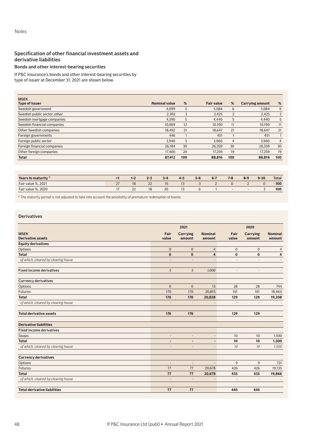# Specification of other financial investment assets and derivative liabilities

# Bonds and other interest-bearing securities

If P&C Insurance's bonds and other interest-bearing securities by

type of issuer at December 31, 2021 are shown below.

| <b>MSEK</b>                  |                      |     |                   |                |                        |                |
|------------------------------|----------------------|-----|-------------------|----------------|------------------------|----------------|
| <b>Type of issuer</b>        | <b>Nominal value</b> | %   | <b>Fair value</b> | %              | <b>Carrying amount</b> | %              |
| Swedish government           | 4.099                | 5   | 5.084             | 6              | 5.084                  | 6              |
| Swedish public sector, other | 2,392                | 3   | 2,425             | 3              | 2,425                  | 3              |
| Swedish mortgage companies   | 4,390                | 5   | 4.440             | 5              | 4.440                  | 5              |
| Swedish financial companies  | 10.069               | 12  | 10.190            | 11             | 10.190                 | 11             |
| Other Swedish companies      | 18.492               | 21  | 18.647            | 21             | 18.647                 | 21             |
| Foreign governments          | 446                  |     | 451               |                | 451                    |                |
| Foreign public sector        | 3.940                | 5   | 3.960             | $\overline{4}$ | 3.960                  | $\overline{4}$ |
| Foreign financial companies  | 26.184               | 30  | 26.359            | 30             | 26.359                 | 30             |
| Other foreign companies      | 17.400               | 20  | 17.259            | 19             | 17.259                 | 19             |
| <b>Total</b>                 | 87,412               | 100 | 88.816            | 100            | 88,816                 | 100            |

| Years to maturity $1$ |                | $2 - 3$         | $3 - 4$ | $4 - 5$ | $5 - 6$ | $6 - 7$ | $7 - R$ | $8-9$ | $9 - 30$ | Total |
|-----------------------|----------------|-----------------|---------|---------|---------|---------|---------|-------|----------|-------|
| Fair value %, 2021    | 18             | $\Omega$<br>. . |         | IJ      |         |         |         |       |          | 100   |
| Fair value %, 2020    | $\Omega$<br>∠∠ |                 | 20      | 13      |         |         |         |       |          | 100   |

<sup>1)</sup> The maturity period is not adjusted to take into account the possibility of premature redemption of bonds.

## Derivatives

|                                         |                          | 2021                      |                          |                          | 2020               |                          |
|-----------------------------------------|--------------------------|---------------------------|--------------------------|--------------------------|--------------------|--------------------------|
| <b>MSEK</b><br><b>Derivative assets</b> | Fair<br>value            | <b>Carrying</b><br>amount | <b>Nominal</b><br>amount | Fair<br>value            | Carrying<br>amount | <b>Nominal</b><br>amount |
| <b>Equity derivatives</b>               |                          |                           |                          |                          |                    |                          |
| Options                                 | $\mathbf 0$              | $\mathbf 0$               | $\overline{4}$           | $\mathbf 0$              | $\mathbf 0$        | 4                        |
| <b>Total</b>                            | $\bf{0}$                 | $\bf{0}$                  | 4                        | $\pmb{0}$                | $\mathbf 0$        | 4                        |
| of which, cleared by clearing house     | $\overline{\phantom{m}}$ | $\overline{\phantom{a}}$  | $\overline{\phantom{a}}$ | $\overline{\phantom{a}}$ |                    |                          |
| <b>Fixed income derivatives</b>         | $\sqrt{5}$               | $\sqrt{5}$                | 1,000                    | $\overline{\phantom{a}}$ | $\overline{a}$     |                          |
| <b>Currency derivatives</b>             |                          |                           |                          |                          |                    |                          |
| Options                                 | $\mathbf{0}$             | $\mathbf{0}$              | 13                       | 28                       | 28                 | 744                      |
| <b>Futures</b>                          | 170                      | 170                       | 20,815                   | 101                      | 101                | 18,464                   |
| <b>Total</b>                            | 170                      | 170                       | 20,828                   | 129                      | 129                | 19,208                   |
| of which, cleared by clearing house     | $\overline{\phantom{a}}$ | $\overline{\phantom{a}}$  | $\overline{\phantom{a}}$ | $\overline{\phantom{0}}$ | $\overline{a}$     |                          |
| <b>Total derivative assets</b>          | 176                      | 176                       |                          | 129                      | 129                |                          |
| <b>Derivative liabilities</b>           |                          |                           |                          |                          |                    |                          |
| <b>Fixed income derivatives</b>         |                          |                           |                          |                          |                    |                          |
| Swaps                                   | $\overline{\phantom{a}}$ | $\overline{\phantom{m}}$  | $\overline{\phantom{a}}$ | 10                       | 10                 | 1,500                    |
| <b>Total</b>                            | ٠                        | $\overline{\phantom{a}}$  | $\blacksquare$           | 10                       | 10                 | 1,500                    |
| of which, cleared by clearing house     | $\overline{\phantom{a}}$ | $\overline{\phantom{a}}$  | $\overline{\phantom{a}}$ | 10                       | 10                 | 1,500                    |
| <b>Currency derivatives</b>             |                          |                           |                          |                          |                    |                          |
| Options                                 | $\overline{\phantom{a}}$ | $\overline{\phantom{a}}$  | $\overline{a}$           | 9                        | 9                  | 731                      |
| Futures                                 | 77                       | 77                        | 20,678                   | 426                      | 426                | 19,135                   |
| <b>Total</b>                            | 77                       | 77                        | 20,678                   | 435                      | 435                | 19,866                   |
| of which, cleared by clearing house     | $\overline{a}$           | $\overline{a}$            | $\overline{\phantom{m}}$ | $\overline{a}$           | $\overline{a}$     |                          |
| <b>Total derivative liabilities</b>     | 77                       | 77                        |                          | 445                      | 445                |                          |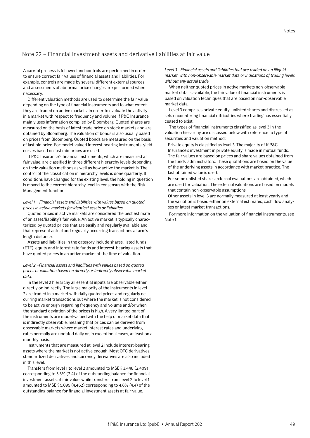# Note 22 – Financial investment assets and derivative liabilities at fair value

A careful process is followed and controls are performed in order to ensure correct fair values of financial assets and liabilities. For example, controls are made by several different external sources and assessments of abnormal price changes are performed when necessary.

Different valuation methods are used to determine the fair value depending on the type of financial instruments and to what extent they are traded on active markets. In order to evaluate the activity in a market with respect to frequency and volume If P&C Insurance mainly uses information compiled by Bloomberg. Quoted shares are measured on the basis of latest trade price on stock markets and are obtained by Bloomberg. The valuation of bonds is also usually based on prices from Bloomberg. Quoted bonds are measured on the basis of last bid price. For model-valued interest bearing instruments, yield curves based on last mid prices are used.

If P&C Insurance's financial instruments, which are measured at fair value, are classified in three different hierarchy levels depending on their valuation methods as well as how active the market is. The control of the classification in hierarchy levels is done quarterly. If conditions have changed for the existing level, the holding in question is moved to the correct hierarchy level in consensus with the Risk Management function.

## *Level 1 – Financial assets and liabilities with values based on quoted prices in active markets for identical assets or liabilities.*

Quoted prices in active markets are considered the best estimate of an asset/liability's fair value. An active market is typically characterized by quoted prices that are easily and regularly available and that represent actual and regularly occurring transactions at arm's length distance.

Assets and liabilities in the category include shares, listed funds (ETF), equity and interest rate funds and interest-bearing assets that have quoted prices in an active market at the time of valuation.

### *Level 2 –Financial assets and liabilities with values based on quoted prices or valuation based on directly or indirectly observable market data.*

In the level 2 hierarchy all essential inputs are observable either directly or indirectly. The large majority of the instruments in level 2 are traded in a market with daily quoted prices and regularly occurring market transactions but where the market is not considered to be active enough regarding frequency and volume and/or when the standard deviation of the prices is high. A very limited part of the instruments are model-valued with the help of market data that is indirectly observable, meaning that prices can be derived from observable markets where market interest rates and underlying rates normally are updated daily or, in exceptional cases, at least on a monthly basis.

Instruments that are measured at level 2 include interest-bearing assets where the market is not active enough. Most OTC derivatives, standardized derivatives and currency derivatives are also included in this level.

Transfers from level 1 to level 2 amounted to MSEK 3,448 (2,409) corresponding to 3.3% (2.4) of the outstanding balance for financial investment assets at fair value, while transfers from level 2 to level 1 amounted to MSEK 5,095 (4,462) corresponding to 4.8% (4.4) of the outstanding balance for financial investment assets at fair value.

*Level 3 - Financial assets and liabilities that are traded on an illiquid market, with non-observable market data or indications of trading levels without any actual trade.* 

When neither quoted prices in active markets non-observable market data is available, the fair value of financial instruments is based on valuation techniques that are based on non-observable market data.

Level 3 comprises private equity, unlisted shares and distressed assets encountering financial difficulties where trading has essentially ceased to exist.

The types of financial instruments classified as level 3 in the valuation hierarchy are discussed below with reference to type of securities and valuation method:

- Private equity is classified as level 3. The majority of If P&C Insurance's investment in private equity is made in mutual funds. The fair values are based on prices and share values obtained from the funds' administrators. These quotations are based on the value of the underlying assets in accordance with market practice. The last obtained value is used.
- For some unlisted shares external evaluations are obtained, which are used for valuation. The external valuations are based on models that contain non-observable assumptions.
- –Other assets in level 3 are normally measured at least yearly and the valuation is based either on external estimates, cash flow analyses or latest market transactions.

For more information on the valuation of financial instruments, see Note 1.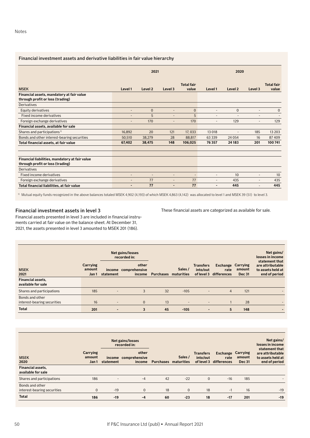## Financial investment assets and derivative liabilities in fair value hierarchy

|                                                                                    | 2021                     |                    |                          | 2020                       |                          |                          |                          |                            |
|------------------------------------------------------------------------------------|--------------------------|--------------------|--------------------------|----------------------------|--------------------------|--------------------------|--------------------------|----------------------------|
| <b>MSEK</b>                                                                        | Level 1                  | Level <sub>2</sub> | Level 3                  | <b>Total fair</b><br>value | Level 1                  | Level 2                  | Level 3                  | <b>Total fair</b><br>value |
| Financial assets, mandatory at fair value<br>through profit or loss (trading)      |                          |                    |                          |                            |                          |                          |                          |                            |
| Derivatives                                                                        |                          |                    |                          |                            |                          |                          |                          |                            |
| Equity derivatives                                                                 | $\overline{a}$           | $\mathbf{0}$       | $\overline{a}$           | $\overline{0}$             | $\overline{a}$           | $\mathbf{0}$             | $\overline{a}$           | $\mathbf{0}$               |
| Fixed income derivatives                                                           | $\overline{\phantom{0}}$ | 5                  | $\overline{a}$           | 5                          | $\overline{a}$           | $\overline{\phantom{a}}$ | -                        |                            |
| Foreign exchange derivatives                                                       | $\overline{\phantom{0}}$ | 170                | $\overline{\phantom{0}}$ | 170                        | $\overline{\phantom{0}}$ | 129                      | $\overline{\phantom{0}}$ | 129                        |
| Financial assets, available for sale                                               |                          |                    |                          |                            |                          |                          |                          |                            |
| Shares and participations <sup>1)</sup>                                            | 16,892                   | 20                 | 121                      | 17,033                     | 13 018                   | $\overline{\phantom{a}}$ | 185                      | 13 20 3                    |
| Bonds and other interest-bearing securities                                        | 50,510                   | 38,279             | 28                       | 88.817                     | 63 3 3 9                 | 24 0 54                  | 16                       | 87 409                     |
| Total financial assets, at fair value                                              | 67,402                   | 38,475             | 148                      | 106,025                    | 76 357                   | 24 183                   | 201                      | 100741                     |
|                                                                                    |                          |                    |                          |                            |                          |                          |                          |                            |
|                                                                                    |                          |                    |                          |                            |                          |                          |                          |                            |
| Financial liabilities, mandatory at fair value<br>through profit or loss (trading) |                          |                    |                          |                            |                          |                          |                          |                            |
| <b>Derivatives</b>                                                                 |                          |                    |                          |                            |                          |                          |                          |                            |
| Fixed income derivatives                                                           | $\overline{\phantom{0}}$ | $\overline{a}$     | ÷                        | $\overline{a}$             | $\overline{a}$           | 10                       | $\overline{\phantom{a}}$ | 10 <sup>10</sup>           |
| Foreign exchange derivatives                                                       | $\overline{\phantom{0}}$ | 77                 | -                        | 77                         | $\overline{\phantom{a}}$ | 435                      | $\overline{\phantom{a}}$ | 435                        |
| Total financial liabilities, at fair value                                         | $\overline{\phantom{0}}$ | 77                 | -                        | 77                         | $\blacksquare$           | 445                      | $\overline{\phantom{a}}$ | 445                        |

1) Mutual equity funds recognized in the above balances totaled MSEK 4,902 (4,193) of which MSEK 4,863 (4,142) was allocated to level 1 and MSEK 39 (51) to level 3.

## Financial investment assets in level 3

These financial assets are categorized as available for sale.

Financial assets presented in level 3 are included in financial instruments carried at fair value on the balance sheet. At December 31, 2021, the assets presented in level 3 amounted to MSEK 201 (186).

| <b>MSEK</b><br>2021                            | Carrying<br>amount<br>Jan 1 | statement                | <b>Net gains/losses</b><br>recorded in:<br>other<br>income comprehensive<br>income | <b>Purchases maturities</b> | Sales /                  | <b>Transfers</b><br>into/out<br>of level 3 | <b>Exchange</b><br>rate<br>differences | <b>Carrying</b><br>amount<br><b>Dec 31</b> | Net gains/<br>losses in income<br>statement that<br>are attributable<br>to assets held at<br>end of period |
|------------------------------------------------|-----------------------------|--------------------------|------------------------------------------------------------------------------------|-----------------------------|--------------------------|--------------------------------------------|----------------------------------------|--------------------------------------------|------------------------------------------------------------------------------------------------------------|
| <b>Financial assets,</b><br>available for sale |                             |                          |                                                                                    |                             |                          |                                            |                                        |                                            |                                                                                                            |
| Shares and participations                      | 185                         | $\overline{\phantom{a}}$ | 3                                                                                  | 32                          | $-105$                   | $\overline{\phantom{a}}$                   | $\overline{4}$                         | 121                                        |                                                                                                            |
| Bonds and other<br>interest-bearing securities | 16                          | $\overline{\phantom{a}}$ | $\mathbf{0}$                                                                       | 13                          | $\overline{\phantom{a}}$ | $\overline{\phantom{a}}$                   |                                        | 28                                         |                                                                                                            |
| <b>Total</b>                                   | 201                         |                          | 3                                                                                  | 45                          | $-105$                   | $\overline{\phantom{0}}$                   | 5                                      | 148                                        |                                                                                                            |

| <b>MSEK</b><br>2020                            | Carrying<br>amount<br>Jan 1 | statement                | <b>Net gains/losses</b><br>recorded in:<br>other<br>income comprehensive<br>income | <b>Purchases maturities</b> | Sales /      | <b>Transfers</b><br>into/out<br>of level 3 | Exchange<br>rate<br>differences | <b>Carrying</b><br>amount<br><b>Dec 31</b> | Net gains/<br>losses in income<br>statement that<br>are attributable<br>to assets held at<br>end of period |
|------------------------------------------------|-----------------------------|--------------------------|------------------------------------------------------------------------------------|-----------------------------|--------------|--------------------------------------------|---------------------------------|--------------------------------------------|------------------------------------------------------------------------------------------------------------|
| <b>Financial assets,</b><br>available for sale |                             |                          |                                                                                    |                             |              |                                            |                                 |                                            |                                                                                                            |
| Shares and participations                      | 186                         | $\overline{\phantom{a}}$ | $-4$                                                                               | 42                          | $-22$        | $\overline{0}$                             | $-16$                           | 185                                        |                                                                                                            |
| Bonds and other<br>interest-bearing securities | 0                           | $-19$                    | $\mathbf{0}$                                                                       | 18                          | $\mathbf{0}$ | 18                                         | $-1$                            | 16                                         | $-19$                                                                                                      |
| <b>Total</b>                                   | 186                         | $-19$                    | -4                                                                                 | 60                          | $-23$        | 18                                         | $-17$                           | 201                                        | $-19$                                                                                                      |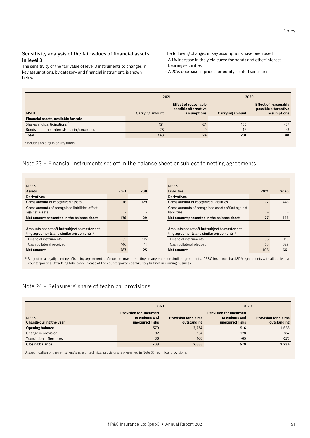## Sensitivity analysis of the fair values of financial assets in level 3

The sensitivity of the fair value of level 3 instruments to changes in key assumptions, by category and financial instrument, is shown below.

The following changes in key assumptions have been used:

- A 1% increase in the yield curve for bonds and other interestbearing securities.
- A 20% decrease in prices for equity related securities.

|                                             | 2021            |                                                                    | 2020            |                                                             |
|---------------------------------------------|-----------------|--------------------------------------------------------------------|-----------------|-------------------------------------------------------------|
| <b>MSEK</b>                                 | Carrying amount | <b>Effect of reasonably</b><br>possible alternative<br>assumptions | Carrying amount | Effect of reasonably<br>possible alternative<br>assumptions |
| Financial assets, available for sale        |                 |                                                                    |                 |                                                             |
| Shares and participations <sup>1)</sup>     | 121             | $-24$                                                              | 185             | $-37$                                                       |
| Bonds and other interest-bearing securities | 28              |                                                                    | 16              | $-3$                                                        |
| <b>Total</b>                                | 148             | $-24$                                                              | 201             | $-40$                                                       |

<sup>1</sup> Includes holding in equity funds.

# Note 23 – Financial instruments set off in the balance sheet or subject to netting agreements

| <b>MSEK</b>                                                                                            |      |        |
|--------------------------------------------------------------------------------------------------------|------|--------|
| <b>Assets</b>                                                                                          | 2021 | 200    |
| <b>Derivatives</b>                                                                                     |      |        |
| Gross amount of recognized assets                                                                      | 176  | 129    |
| Gross amounts of recognized liabilities offset                                                         |      |        |
| against assets                                                                                         |      |        |
| Net amount presented in the balance sheet                                                              | 176  | 129    |
|                                                                                                        |      |        |
| Amounts not set off but subject to master net-<br>ting agreements and similar agreements <sup>1)</sup> |      |        |
|                                                                                                        |      |        |
| <b>Financial instruments</b>                                                                           | -35  | $-115$ |
| Cash collateral received                                                                               | 146  | 11     |
| Net amount                                                                                             | 287  | 25     |

| 2021  | 2020   |
|-------|--------|
|       |        |
| 77    | 445    |
|       |        |
|       |        |
| 77    | 445    |
|       |        |
|       |        |
|       |        |
| $-35$ | $-115$ |
| 63    | 329    |
| 105   | 661    |
|       |        |

<sup>1)</sup> Subject to a legally binding offsetting agreement, enforceable master netting arrangement or similar agreements. If P&C Insurance has ISDA agreements with all derivative counterparties. Offsetting take place in case of the counterparty's bankruptcy but not in running business.

# Note 24 – Reinsurers' share of technical provisions

|                                       | 2021                                                             |                                            | 2020                                                             |                                            |
|---------------------------------------|------------------------------------------------------------------|--------------------------------------------|------------------------------------------------------------------|--------------------------------------------|
| <b>MSEK</b><br>Change during the year | <b>Provision for unearned</b><br>premiums and<br>unexpired risks | <b>Provision for claims</b><br>outstanding | <b>Provision for unearned</b><br>premiums and<br>unexpired risks | <b>Provision for claims</b><br>outstanding |
| <b>Opening balance</b>                | 579                                                              | 2,234                                      | 516                                                              | 1,653                                      |
| Change in provision                   | 92                                                               | 154                                        | 128                                                              | 857                                        |
| <b>Translation differences</b>        | 36                                                               | 168                                        | $-65$                                                            | $-275$                                     |
| <b>Closing balance</b>                | 708                                                              | 2,555                                      | 579                                                              | 2,234                                      |

A specification of the reinsurers' share of technical provisions is presented in Note 33 Technical provisions.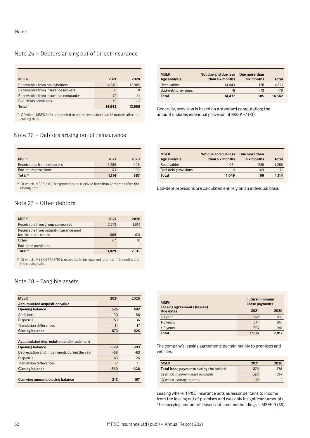### Notes

# Note 25 – Debtors arising out of direct insurance

| <b>MSEK</b>                          | 2021     | 2020   |
|--------------------------------------|----------|--------|
| Receivables from policyholders       | 14.549   | 13,985 |
| Receivables from insurance brokers   | $\Omega$ |        |
| Receivables from insurance companies | 72       | 51     |
| Bad-debts provisions                 | $-79$    | $-81$  |
| Total $1$                            | 14.542   | 13.955 |

<sup>1)</sup> Of which, MSEK 3 (6) is expected to be received later than 12 months after the closing date.

#### MSEK **Age analysis Not due and due less than six months Due more than six months Total** Receivables 14,443 178 14,621 Bad-debt provisions -6 -73 -79 **Total 14,437 105 14,542**

Generally, provision is based on a standard computation; the amount includes individual provision of MSEK -2 (-3).

# Note 26 – Debtors arising out of reinsurance

| <b>MSEK</b>                 | 2021   | 2020   |
|-----------------------------|--------|--------|
| Receivables from reinsurers | 1.285  | 996    |
| Bad-debts provisions        | $-171$ | $-109$ |
| Total $1$                   | 1.114  | 887    |

 $1)$  Of which, MSEK 3 (0) is expected to be received later than 12 months after the closing date.

# Note 27 – Other debtors

| <b>MSEK</b>                            | 2021  | 2020  |
|----------------------------------------|-------|-------|
| Receivable from group companies        | 2,273 | 1,614 |
| Receivable from patient-insurance pool |       |       |
| for the public sector                  | 689   | 631   |
| Other                                  | 67    | 70    |
| Bad-debt provisions                    | -     |       |
| Total <sup>1)</sup>                    | 3.029 | 2.315 |

<sup>1)</sup> Of which, MSEK 644 (579) is expected to be received later than 12 months after the closing date.

# Note 28 – Tangible assets

| <b>MSEK</b>                                  | 2021   | 2020   |
|----------------------------------------------|--------|--------|
| <b>Accumulated acquisition value</b>         |        |        |
| <b>Opening balance</b>                       | 525    | 492    |
| Additions                                    | 90     | 86     |
| <b>Disposals</b>                             | $-53$  | $-36$  |
| <b>Translation differences</b>               | 11     | $-17$  |
| <b>Closing balance</b>                       | 573    | 525    |
|                                              |        |        |
| Accumulated depreciation and impairment      |        |        |
| <b>Opening balance</b>                       | $-328$ | -303   |
| Depreciation and impairments during the year | $-68$  | $-63$  |
| <b>Disposals</b>                             | 43     | 26     |
| <b>Translation differences</b>               | $-7$   | 11     |
| <b>Closing balance</b>                       | $-360$ | $-328$ |
|                                              |        |        |
| Carrying amount, closing balance             | 213    | 197    |

| <b>MSEK</b><br>Age analysis | Not due and due less<br>than six months | Due more than<br>six months | Total  |
|-----------------------------|-----------------------------------------|-----------------------------|--------|
| Receivables                 | 1.051                                   | 235                         | 1.285  |
| Bad-debt provisions         | -2                                      | $-169$                      | $-171$ |
| <b>Total</b>                | 1.049                                   | 66                          | 1.114  |

Bad-debt provisions are calculated entirely on an individual basis.

| <b>MSEK</b><br>Leasing agreements (lessee) | <b>Future minimum</b><br>lease payments |       |
|--------------------------------------------|-----------------------------------------|-------|
| Due dates                                  | 2021                                    | 2020  |
| $<$ 1 year                                 | 262                                     | 260   |
| 1-5 years                                  | 871                                     | 816   |
| $> 5$ years                                | 773                                     | 941   |
| <b>Total</b>                               | 1906                                    | 2.017 |

The company's leasing agreements pertain mainly to premises and vehicles.

| <b>MSEK</b><br>2021                    |     | 2020 |
|----------------------------------------|-----|------|
| Total lease payments during the period | 274 | 278  |
| Of which, minimum lease payments       | 262 | 267  |
| Of which, contingent rents             | 12  |      |

Leasing where If P&C Insurance acts as lessor pertains to income from the leasing out of premises and was only insignificant amounts. The carrying amount of leased-out land and buildings is MSEK 9 (35).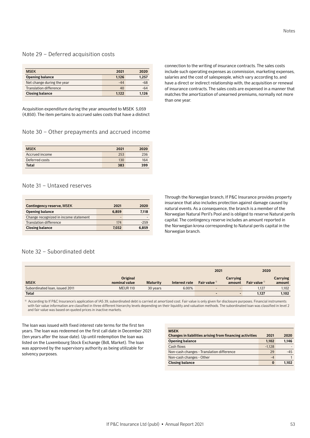# Note 29 – Deferred acquisition costs

| <b>MSEK</b>                   | 2021  | 2020  |
|-------------------------------|-------|-------|
| <b>Opening balance</b>        | 1.126 | 1.257 |
| Net change during the year    | $-44$ | -68   |
| <b>Translation difference</b> | 40    | $-64$ |
| <b>Closing balance</b>        | 1.122 | 1.126 |

Acquisition expenditure during the year amounted to MSEK 5,059 (4,850). The item pertains to accrued sales costs that have a distinct

# Note 30 – Other prepayments and accrued income

| <b>MSEK</b>    | 2021 | 2020 |
|----------------|------|------|
| Accrued income | 253  | 236  |
| Deferred costs | 130  | 164  |
| <b>Total</b>   | 383  | 399  |

# Note 31 – Untaxed reserves

| <b>Contingency reserve, MSEK</b>      | 2021  | 2020   |
|---------------------------------------|-------|--------|
| <b>Opening balance</b>                | 6.859 | 7.118  |
| Change recognized in income statement | -     |        |
| <b>Translation difference</b>         | 174   | $-259$ |
| <b>Closing balance</b>                | 7.032 | 6.859  |

# Note 32 – Subordinated debt

|                                |                           |                 |               | 2021           |                    | 2020           |                    |
|--------------------------------|---------------------------|-----------------|---------------|----------------|--------------------|----------------|--------------------|
| <b>MSEK</b>                    | Original<br>nominal value | <b>Maturity</b> | Interest rate | Fair value $1$ | Carrying<br>amount | Fair value $1$ | Carrying<br>amount |
| Subordinated Ioan, issued 2011 | <b>MEUR 110</b>           | 30 years        | 6.00%         |                |                    | 1,127          | 1,102              |
| <b>Total</b>                   |                           |                 |               |                |                    | 1,127          | 1,102              |

<sup>1)</sup> According to If P&C Insurance's application of IAS 39, subordinated debt is carried at amortized cost. Fair value is only given for disclosure purposes. Financial instruments with fair value information are classified in three different hierarchy levels depending on their liquidity and valuation methods. The subordinated loan was classified in level 2 and fair value was based on quoted prices in inactive markets.

**MSEK**

The loan was issued with fixed interest rate terms for the first ten years. The loan was redeemed on the first call date in December 2021 (ten years after the issue date). Up until redemption the loan was listed on the Luxembourg Stock Exchange (BdL Market). The loan was approved by the supervisory authority as being utilizable for solvency purposes.

|                                           | $-1.128$ |       |
|-------------------------------------------|----------|-------|
| Non-cash changes - Translation difference | 29       | $-45$ |
| Non-cash changes - Other                  | $-4$     |       |
| <b>Closing balance</b>                    | 0        | 1.102 |

**Changes in liabilities arising from financing activities 2021 2020 Opening balance 1,102 1,146**

### connection to the writing of insurance contracts. The sales costs include such operating expenses as commission, marketing expenses, salaries and the cost of salespeople, which vary according to, and have a direct or indirect relationship with, the acquisition or renewal of insurance contracts. The sales costs are expensed in a manner that matches the amortization of unearned premiums, normally not more than one year.

Through the Norwegian branch, If P&C Insurance provides property insurance that also includes protection against damage caused by natural events. As a consequence, the branch is a member of the Norwegian Natural Peril's Pool and is obliged to reserve Natural perils capital. The contingency reserve includes an amount reported in the Norwegian krona corresponding to Natural perils capital in the Norwegian branch.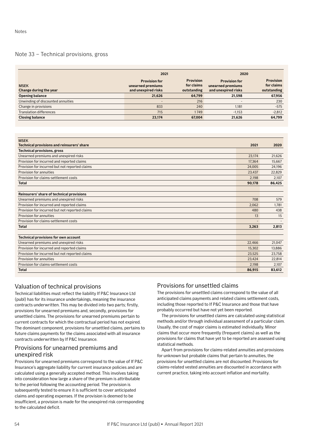# Note 33 – Technical provisions, gross

|                                       | 2021                                                             |                                               | 2020                                                             |                                               |  |
|---------------------------------------|------------------------------------------------------------------|-----------------------------------------------|------------------------------------------------------------------|-----------------------------------------------|--|
| <b>MSEK</b><br>Change during the year | <b>Provision for</b><br>unearned premiums<br>and unexpired risks | <b>Provision</b><br>for claims<br>outstanding | <b>Provision for</b><br>unearned premiums<br>and unexpired risks | <b>Provision</b><br>for claims<br>outstanding |  |
| <b>Opening balance</b>                | 21,626                                                           | 64,799                                        | 21.598                                                           | 67,956                                        |  |
| Unwinding of discounted annuities     | $\qquad \qquad$                                                  | 216                                           |                                                                  | 230                                           |  |
| Change in provisions                  | 833                                                              | 240                                           | 1.181                                                            | $-575$                                        |  |
| <b>Translation differences</b>        | 715                                                              | 1749                                          | $-1.153$                                                         | $-2,812$                                      |  |
| <b>Closing balance</b>                | 23.174                                                           | 67.004                                        | 21.626                                                           | 64,799                                        |  |

| <b>MSEK</b><br>Technical provisions and reinsurers' share | 2021   | 2020   |
|-----------------------------------------------------------|--------|--------|
| <b>Technical provisions, gross</b>                        |        |        |
| Unearned premiums and unexpired risks                     | 23.174 | 21,626 |
| Provision for incurred and reported claims                | 17.364 | 15,667 |
| Provision for incurred but not reported claims            | 24,005 | 24,196 |
| Provision for annuities                                   | 23,437 | 22,829 |
| Provision for claims-settlement costs                     | 2.198  | 2,107  |
| <b>Total</b>                                              | 90,178 | 86,425 |
|                                                           |        |        |
| Reinsurers' share of technical provisions                 |        |        |
| Unearned premiums and unexpired risks                     | 708    | 579    |
| Provision for incurred and reported claims                | 2,062  | 1.781  |
| Provision for incurred but not reported claims            | 480    | 438    |
| Provision for annuities                                   | 13     | 15     |
| Provision for claims-settlement costs                     |        |        |
| <b>Total</b>                                              | 3,263  | 2,813  |
|                                                           |        |        |
| <b>Technical provisions for own account</b>               |        |        |
| Unearned premiums and unexpired risks                     | 22,466 | 21,047 |
| Provision for incurred and reported claims                | 15.302 | 13,886 |
| Provision for incurred but not reported claims            | 23,525 | 23,758 |
| Provision for annuities                                   | 23,424 | 22,814 |
| Provision for claims-settlement costs                     | 2,198  | 2,107  |
| <b>Total</b>                                              | 86.915 | 83,612 |

# Valuation of technical provisions

Technical liabilities must reflect the liability If P&C Insurance Ltd (publ) has for its insurance undertakings, meaning the insurance contracts underwritten. This may be divided into two parts; firstly, provisions for unearned premiums and, secondly, provisions for unsettled claims. The provisions for unearned premiums pertain to current contracts for which the contractual period has not expired. The dominant component, provisions for unsettled claims, pertains to future claims payments for the claims associated with all insurance contracts underwritten by If P&C Insurance.

# Provisions for unearned premiums and unexpired risk

Provisions for unearned premiums correspond to the value of If P&C Insurance's aggregate liability for current insurance policies and are calculated using a generally accepted method. This involves taking into consideration how large a share of the premium is attributable to the period following the accounting period. The provision is subsequently tested to ensure it is sufficient to cover anticipated claims and operating expenses. If the provision is deemed to be insufficient, a provision is made for the unexpired risk corresponding to the calculated deficit.

# Provisions for unsettled claims

The provisions for unsettled claims correspond to the value of all anticipated claims payments and related claims settlement costs, including those reported to If P&C Insurance and those that have probably occurred but have not yet been reported.

The provisions for unsettled claims are calculated using statistical methods and/or through individual assessment of a particular claim. Usually, the cost of major claims is estimated individually. Minor claims that occur more frequently (frequent claims) as well as the provisions for claims that have yet to be reported are assessed using statistical methods.

Apart from provisions for claims-related annuities and provisions for unknown but probable claims that pertain to annuities, the provisions for unsettled claims are not discounted. Provisions for claims-related vested annuities are discounted in accordance with current practice, taking into account inflation and mortality.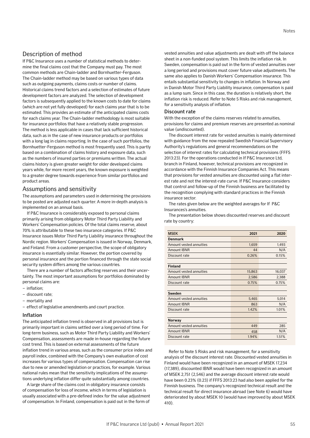# Description of method

If P&C Insurance uses a number of statistical methods to determine the final claims cost that the Company must pay. The most common methods are Chain-ladder and Bornhuetter-Ferguson. The Chain-ladder method may be based on various types of data such as outgoing payments, claims costs or number of claims. Historical claims trend factors and a selection of estimates of future development factors are analyzed. The selection of development factors is subsequently applied to the known costs to date for claims (which are not yet fully developed) for each claims year that is to be estimated. This provides an estimate of the anticipated claims costs for each claims year. The Chain-ladder methodology is most suitable for insurance portfolios that have a relatively stable progression. The method is less applicable in cases that lack sufficient historical data, such as in the case of new insurance products or portfolios with a long lag in claims reporting. In the case of such portfolios, the Bornhuetter-Ferguson method is most frequently used. This is partly based on a combination of claims history and exposure data, such as the numbers of insured parties or premiums written. The actual claims history is given greater weight for older developed claims years while, for more recent years, the known exposure is weighted to a greater degree towards experience from similar portfolios and product areas.

### Assumptions and sensitivity

The assumptions and parameters used in determining the provisions to be posted are adjusted each quarter. A more in-depth analysis is implemented on an annual basis.

If P&C Insurance is considerably exposed to personal claims primarily arising from obligatory Motor Third Party Liability and Workers' Compensation policies. Of the total claims reserve, about 70% is attributable to these two insurance categories. If P&C Insurance issues Motor Third Party Liability insurance throughout the Nordic region. Workers' Compensation is issued in Norway, Denmark, and Finland. From a customer perspective, the scope of obligatory insurance is essentially similar. However, the portion covered by personal insurance and the portion financed through the state social security system differs among the various countries.

There are a number of factors affecting reserves and their uncertainty. The most important assumptions for portfolios dominated by personal claims are:

- inflation;
- discount rate;
- mortality and
- effect of legislative amendments and court practice.

### Inflation

The anticipated inflation trend is observed in all provisions but is primarily important in claims settled over a long period of time. For long-term business, such as Motor Third Party Liability and Workers' Compensation, assessments are made in-house regarding the future cost trend. This is based on external assessments of the future inflation trend in various areas, such as the consumer price index and payroll index, combined with the Company's own evaluation of cost increases for various types of compensation. Compensation can rise due to new or amended legislation or practices, for example. Various national rules mean that the sensitivity implications of the assumptions underlying inflation differ quite substantially among countries.

A large share of the claims cost in obligatory insurance consists of compensation for loss of income, which in terms of legislation is usually associated with a pre-defined index for the value adjustment of compensation. In Finland, compensation is paid out in the form of

vested annuities and value adjustments are dealt with off the balance sheet in a non-funded pool system. This limits the inflation risk. In Sweden, compensation is paid out in the form of vested annuities over a long period and provisions must cover future value adjustments. The same also applies to Danish Workers' Compensation insurance. This entails substantial sensitivity to changes in inflation. In Norway and in Danish Motor Third Party Liability insurance, compensation is paid as a lump sum. Since in this case, the duration is relatively short, the inflation risk is reduced. Refer to Note 5 Risks and risk management, for a sensitivity analysis of inflation.

#### Discount rate

With the exception of the claims reserves related to annuities, provisions for claims and premium reserves are presented as nominal value (undiscounted).

The discount interest rate for vested annuities is mainly determined with guidance from the now repealed Swedish Financial Supervisory Authority's regulations and general recommendations on the selection of interest rates for calculating technical provisions (FFFS 2013:23). For the operations conducted in If P&C Insurance Ltd, branch in Finland, however, technical provisions are recognized in accordance with the Finnish Insurance Companies Act. This means that provisions for vested annuities are discounted using a flat interest rate and not the interest-rate curve. If P&C Insurance considers that control and follow-up of the Finnish business are facilitated by the recognition complying with standard practices in the Finnish insurance sector.

The rates given below are the weighted averages for If P&C Insurances's annuities.

The presentation below shows discounted reserves and discount rate by country:

| <b>MSEK</b>             | 2021   | 2020   |
|-------------------------|--------|--------|
| <b>Denmark</b>          |        |        |
| Amount vested annuities | 1,659  | 1,493  |
| <b>Amount IBNR</b>      | 44     | N/A    |
| Discount rate           | 0.26%  | 0.15%  |
| <b>Finland</b>          |        |        |
| Amount vested annuities | 15,863 | 16,037 |
| <b>Amount IBNR</b>      | 2,586  | 2,388  |
| Discount rate           | 0.75%  | 0.75%  |
| Sweden                  |        |        |
| Amount vested annuities | 5,465  | 5,014  |
| Amount IBNR             | 863    | N/A    |
| Discount rate           | 1.42%  | 1.01%  |
| Norway                  |        |        |
| Amount vested annuities | 449    | 285    |
| <b>Amount IBNR</b>      | 458    | N/A    |
| Discount rate           | 1.94%  | 1.51%  |

Refer to Note 5 Risks and risk management, for a sensitivity analysis of the discount interest rate. Discounted vested annuities in Finland would have been recognized in an amount of MSEK 17,234 (17,389), discounted IBNR would have been recognized in an amount of MSEK 2,751 (2,546) and the average discount interest rate would have been 0.23% (0.23) if FFFS 2013:23 had also been applied for the Finnish business. The company's recognized technical result and the technical result for direct insurance abroad (see Note 6) would have deteriorated by about MSEK 10 (would have improved by about MSEK 410).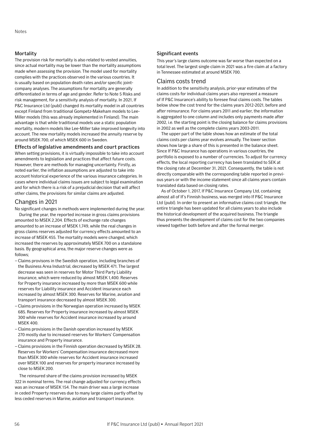## Mortality

The provision risk for mortality is also related to vested annuities, since actual mortality may be lower than the mortality assumptions made when assessing the provision. The model used for mortality complies with the practices observed in the various countries. It is usually based on population death rates and/or specific jointcompany analyses. The assumptions for mortality are generally differentiated in terms of age and gender. Refer to Note 5 Risks and risk management, for a sensitivity analysis of mortality. In 2021, If P&C Insurance Ltd (publ) changed its mortality model in all countries except Finland from traditional Gompetz-Makeham models to Lee-Miller models (this was already implemented in Finland). The main advantage is that while traditional models use a static population mortality, modern models like Lee-Miller take improved longevity into account. The new mortality models increased the annuity reserve by around MSEK 700, of which MSEK 600 in Sweden.

### Effects of legislative amendments and court practices

When setting provisions, it is virtually impossible to take into account amendments to legislation and practices that affect future costs. However, there are methods for managing uncertainty. Firstly, as noted earlier, the inflation assumptions are adjusted to take into account historical experience of the various insurance categories. In cases where individual claims issues are subject to legal examination and for which there is a risk of a prejudicial decision that will affect other claims, the provisions for similar claims are adjusted.

# Changes in 2021

No significant changes in methods were implemented during the year.

During the year, the reported increase in gross claims provisions amounted to MSEK 2,204. Effects of exchange rate changes amounted to an increase of MSEK 1,749, while the real changes in gross claims reserves adjusted for currency effects amounted to an increase of MSEK 455. The mortality models were changed, which increased the reserves by approximately MSEK 700 on a standalone basis. By geographical area, the major reserve changes were as follows;

- Claims provisons in the Swedish operation, including branches of the Business Area Industrial, decreased by MSEK 471. The largest decrease was seen in reserves for Motor Third Party Liability insurance, which were reduced by almost MSEK 1,400. Reserves for Property insurance increased by more than MSEK 600 while reserves for Liability insurance and Accident insurance each increased by almost MSEK 300. Reserves for Marine, aviation and transport insurance decreased by almost MSEK 300.
- Claims provisions in the Norwegian operation increased by MSEK 685. Reserves for Property insurance increased by almost MSEK 300 while reserves for Accident insurance increased by around **MSEK 400**
- Claims provisions in the Danish operation increased by MSEK 270 mostly due to increased reserves for Workers' Compensation insurance and Property insurance.
- Claims provisions in the Finnish operation decreased by MSEK 28. Reserves for Workers' Compensation insurance decreased more than MSEK 300 while reserves for Accident insurance increased over MSEK 100 and reserves for property insurance increased by close to MSEK 200.

The reinsured share of the claims provision increased by MSEK 322 in nominal terms. The real change adjusted for currency effects was an increase of MSEK 154. The main driver was a large increase in ceded Property reserves due to many large claims partly offset by less ceded reserves in Marine, aviation and transport insurance.

## Significant events

This year's large claims outcome was far worse than expected on a total level. The largest single claim in 2021 was a fire claim at a factory in Tennessee estimated at around MSEK 700.

## Claims costs trend

In addition to the sensitivity analysis, prior-year estimates of the claims costs for individual claims years also represent a measure of If P&C Insurance's ability to foresee final claims costs. The tables below show the cost trend for the claims years 2012-2021, before and after reinsurance. For claims years 2011 and earlier, the information is aggregated to one column and includes only payments made after 2002, i.e. the starting point is the closing balance for claims provisions in 2002 as well as the complete claims years 2003-2011.

The upper part of the table shows how an estimate of the total claims costs per claims year evolves annually. The lower section shows how large a share of this is presented in the balance sheet. Since If P&C Insurance has operations in various countries, the portfolio is exposed to a number of currencies. To adjust for currency effects, the local reporting currency has been translated to SEK at the closing rate at December 31, 2021. Consequently, the table is not directly comparable with the corresponding table reported in previous years or with the income statement since all claims years contain translated data based on closing rates.

As of October 1, 2017, If P&C Insurance Company Ltd, containing almost all of If's Finnish business, was merged into If P&C Insurance Ltd (publ). In order to present an informative claims cost triangle, the entire triangle has been updated for all claims years to also include the historical development of the acquired business. The triangle thus presents the development of claims cost for the two companies viewed together both before and after the formal merger.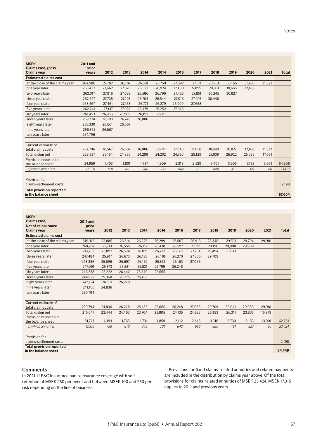| <b>MSEK</b>                                             | <b>2011 and</b> |        |        |        |        |        |        |        |        |        |        |              |
|---------------------------------------------------------|-----------------|--------|--------|--------|--------|--------|--------|--------|--------|--------|--------|--------------|
| Claims cost, gross                                      | prior           |        |        |        |        |        |        |        |        |        |        |              |
| <b>Claims year</b>                                      | vears           | 2012   | 2013   | 2014   | 2014   | 2016   | 2017   | 2018   | 2019   | 2020   | 2021   | <b>Total</b> |
| <b>Estimated claims cost</b>                            |                 |        |        |        |        |        |        |        |        |        |        |              |
| at the close of the claims year                         | 264,586         | 27,782 | 26.787 | 26,601 | 26,750 | 27,092 | 27,511 | 28,901 | 30,165 | 31,760 | 31,322 |              |
| one year later                                          | 263,432         | 27.662 | 27.026 | 26,523 | 26.924 | 27,400 | 27.899 | 29,931 | 30.655 | 32.168 |        |              |
| two years later                                         | 263,017         | 27,816 | 27,039 | 26,586 | 26,796 | 27,423 | 27,851 | 30,245 | 30,827 |        |        |              |
| three years later                                       | 262,527         | 27,735 | 27,103 | 26,704 | 26,544 | 27,015 | 27,907 | 30,440 |        |        |        |              |
| four years later                                        | 263,467         | 27,461 | 27,158 | 26,771 | 26,279 | 26,909 | 27,658 |        |        |        |        |              |
| five years later                                        | 262,241         | 27,137 | 27,028 | 26,479 | 26,252 | 27,048 |        |        |        |        |        |              |
| six years later                                         | 261,453         | 26,956 | 26,909 | 26,192 | 26,111 |        |        |        |        |        |        |              |
| seven years later                                       | 259,724         | 26,793 | 26,748 | 26,086 |        |        |        |        |        |        |        |              |
| eight years later                                       | 258,330         | 26,661 | 26,687 |        |        |        |        |        |        |        |        |              |
| nine years later                                        | 256,361         | 26,567 |        |        |        |        |        |        |        |        |        |              |
| ten years later                                         | 254.796         |        |        |        |        |        |        |        |        |        |        |              |
| Current estimate of                                     |                 |        |        |        |        |        |        |        |        |        |        |              |
| total claims costs                                      | 254,796         | 26,567 | 26,687 | 26,086 | 26,111 | 27,048 | 27,658 | 30,440 | 30,827 | 32,168 | 31,322 |              |
| <b>Total disbursed</b>                                  | 229,837         | 25,164 | 24,885 | 24,298 | 24,202 | 24,730 | 25,129 | 27,039 | 26.922 | 25,035 | 17.661 |              |
| Provision reported in                                   |                 |        |        |        |        |        |        |        |        |        |        |              |
| the balance sheet                                       | 24,959          | 1,403  | 1,801  | 1.787  | 1,909  | 2,318  | 2,529  | 3,401  | 3,905  | 7,133  | 13,661 | 64,806       |
| of which annuities                                      | 17,328          | 758    | 810    | 748    | 721    | 642    | 653    | 880    | 491    | 327    | 80     | 23,437       |
| Provision for                                           |                 |        |        |        |        |        |        |        |        |        |        |              |
| claims-settlement costs                                 |                 |        |        |        |        |        |        |        |        |        |        | 2,198        |
| <b>Total provision reported</b><br>in the balance sheet |                 |        |        |        |        |        |        |        |        |        |        | 67.004       |

| <b>MSEK</b><br>Claims cost,                             | <b>2011 and</b> |        |        |        |        |        |        |        |        |        |        |              |
|---------------------------------------------------------|-----------------|--------|--------|--------|--------|--------|--------|--------|--------|--------|--------|--------------|
| <b>Net of reinsurance</b>                               | prior           |        |        |        |        |        |        |        |        |        |        |              |
| <b>Claims</b> year                                      | vears           | 2012   | 2013   | 2014   | 2014   | 2016   | 2017   | 2018   | 2019   | 2020   | 2021   | <b>Total</b> |
| <b>Estimated claims cost</b>                            |                 |        |        |        |        |        |        |        |        |        |        |              |
| at the close of the claims year                         | 249,315         | 25,885 | 26,314 | 26,226 | 26,299 | 26,507 | 26,915 | 28,348 | 29,531 | 29,794 | 29,981 |              |
| one year later                                          | 248,207         | 25,741 | 26,555 | 26,112 | 26,438 | 26,597 | 27,351 | 29,190 | 29,908 | 29,989 |        |              |
| two years later                                         | 247,753         | 25.892 | 26.594 | 26,021 | 26,277 | 26,581 | 27.254 | 29,494 | 30.041 |        |        |              |
| three years later                                       | 247,484         | 25,917 | 26,673 | 26,130 | 26,118 | 26,270 | 27,306 | 29,709 |        |        |        |              |
| four years later                                        | 248,286         | 25,696 | 26.697 | 26,152 | 25.831 | 26,163 | 27.066 |        |        |        |        |              |
| five years later                                        | 247,091         | 25,373 | 26,581 | 25,831 | 25,799 | 26,248 |        |        |        |        |        |              |
| six years later                                         | 246,338         | 25,222 | 26,442 | 25,549 | 25,665 |        |        |        |        |        |        |              |
| seven years later                                       | 244,622         | 25,060 | 26,275 | 25,435 |        |        |        |        |        |        |        |              |
| eight years later                                       | 243,124         | 24,931 | 26,228 |        |        |        |        |        |        |        |        |              |
| nine years later                                        | 241,185         | 24,836 |        |        |        |        |        |        |        |        |        |              |
| ten years later                                         | 239,794         |        |        |        |        |        |        |        |        |        |        |              |
| Current estimate of                                     |                 |        |        |        |        |        |        |        |        |        |        |              |
| total claims costs                                      | 239,794         | 24,836 | 26,228 | 25,435 | 25,665 | 26,248 | 27,066 | 29,709 | 30,041 | 29,989 | 29,981 |              |
| <b>Total disbursed</b>                                  | 215,047         | 23,444 | 24,463 | 23,704 | 23,805 | 24,135 | 24,623 | 26,393 | 26,311 | 23,835 | 16,979 |              |
| Provision reported in                                   |                 |        |        |        |        |        |        |        |        |        |        |              |
| the balance sheet                                       | 24,747          | 1,393  | 1,765  | 1,731  | 1,859  | 2,112  | 2,443  | 3,316  | 3,730  | 6,153  | 13,001 | 62,251       |
| of which annuities                                      | 17,315          | 758    | 810    | 748    | 721    | 642    | 653    | 880    | 491    | 327    | 80     | 23,424       |
| Provision for                                           |                 |        |        |        |        |        |        |        |        |        |        |              |
| claims-settlement costs                                 |                 |        |        |        |        |        |        |        |        |        |        | 2,198        |
| <b>Total provision reported</b><br>in the balance sheet |                 |        |        |        |        |        |        |        |        |        |        | 64.449       |

## **Comments**

In 2021, If P&C Insurance had reinsurance coverage with selfretention of MSEK 250 per event and between MSEK 100 and 250 per risk depending on the line of business.

Provisions for fixed claims-related annuities and related payments are included in the distribution by claims year above. Of the total provisions for claims-related annuities of MSEK 23,424, MSEK 17,315 applies to 2011 and previous years.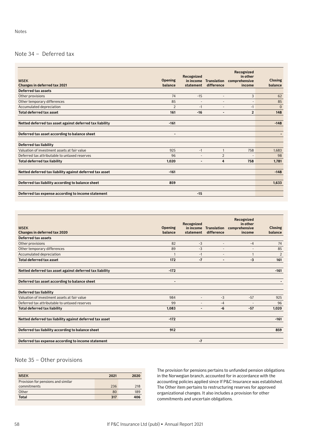# Note 34 – Deferred tax

| <b>MSEK</b><br>Changes in deferred tax 2021              | <b>Opening</b><br>balance | Recognized<br>in income<br>statement | <b>Translation</b><br>difference | Recognized<br>in other<br>comprehensive<br>income | <b>Closing</b><br>balance |
|----------------------------------------------------------|---------------------------|--------------------------------------|----------------------------------|---------------------------------------------------|---------------------------|
| Deferred tax assets                                      |                           |                                      |                                  |                                                   |                           |
| Other provisions                                         | 74                        | $-15$                                | $\overline{a}$                   | 3                                                 | 62                        |
| Other temporary differences                              | 85                        | ٠                                    |                                  |                                                   | 85                        |
| Accumulated depreciation                                 | $\overline{2}$            | $-1$                                 | ٠                                | $-1$                                              | $\mathbf{0}$              |
| <b>Total deferred tax asset</b>                          | 161                       | $-16$                                | $\overline{\phantom{a}}$         | $\overline{2}$                                    | 148                       |
| Netted deferred tax asset against deferred tax liability | $-161$                    |                                      |                                  |                                                   | $-148$                    |
| Deferred tax asset according to balance sheet            | $\blacksquare$            |                                      |                                  |                                                   |                           |
| Deferred tax liability                                   |                           |                                      |                                  |                                                   |                           |
| Valuation of investment assets at fair value             | 925                       | $-1$                                 | $\mathbf{1}$                     | 758                                               | 1,683                     |
| Deferred tax attributable to untaxed reserves            | 96                        |                                      | $\overline{2}$                   |                                                   | 98                        |
| <b>Total deferred tax liability</b>                      | 1,020                     |                                      | 4                                | 758                                               | 1,781                     |
| Netted deferred tax liability against deferred tax asset | $-161$                    |                                      |                                  |                                                   | $-148$                    |
| Deferred tax liability according to balance sheet        | 859                       |                                      |                                  |                                                   | 1.633                     |
| Deferred tax expense according to income statement       |                           | $-15$                                |                                  |                                                   |                           |

| <b>MSEK</b><br>Changes in deferred tax 2020              | <b>Opening</b><br>balance | Recognized<br>in income<br>statement | <b>Translation</b><br>difference | Recognized<br>in other<br>comprehensive<br>income | <b>Closing</b><br>balance |
|----------------------------------------------------------|---------------------------|--------------------------------------|----------------------------------|---------------------------------------------------|---------------------------|
| Deferred tax assets                                      |                           |                                      |                                  |                                                   |                           |
| Other provisions                                         | 82                        | $-3$                                 | $\overline{a}$                   | $-4$                                              | 74                        |
| Other temporary differences                              | 89                        | -3                                   | $\overline{\phantom{a}}$         |                                                   | 85                        |
| Accumulated depreciation                                 |                           | $-1$                                 |                                  |                                                   | $\overline{2}$            |
| <b>Total deferred tax asset</b>                          | 172                       | $-7$                                 | $\overline{\phantom{0}}$         | $-3$                                              | 161                       |
| Netted deferred tax asset against deferred tax liability | $-172$                    |                                      |                                  |                                                   | $-161$                    |
| Deferred tax asset according to balance sheet            | $\overline{\phantom{a}}$  |                                      |                                  |                                                   |                           |
| Deferred tax liability                                   |                           |                                      |                                  |                                                   |                           |
| Valuation of investment assets at fair value             | 984                       | $\overline{\phantom{a}}$             | $-3$                             | $-57$                                             | 925                       |
| Deferred tax attributable to untaxed reserves            | 99                        | -                                    | $-4$                             |                                                   | 96                        |
| <b>Total deferred tax liability</b>                      | 1.083                     | $\blacksquare$                       | -6                               | $-57$                                             | 1,020                     |
| Netted deferred tax liability against deferred tax asset | $-172$                    |                                      |                                  |                                                   | $-161$                    |
| Deferred tax liability according to balance sheet        | 912                       |                                      |                                  |                                                   | 859                       |
| Deferred tax expense according to income statement       |                           | $-7$                                 |                                  |                                                   |                           |

# Note 35 – Other provisions

| <b>MSEK</b>                        | 2021 | 2020 |
|------------------------------------|------|------|
| Provision for pensions and similar |      |      |
| commitments                        | 236  | 218  |
| Other                              | 80   | 189  |
| <b>Total</b>                       | 317  | 406  |

The provision for pensions pertains to unfunded pension obligations in the Norwegian branch, accounted for in accordance with the accounting policies applied since If P&C Insurance was established. The Other item pertains to restructuring reserves for approved organizational changes. It also includes a provision for other commitments and uncertain obligations.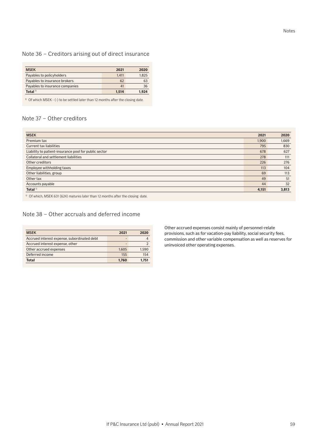# Note 36 – Creditors arising out of direct insurance

| <b>MSEK</b>                     | 2021  | 2020  |
|---------------------------------|-------|-------|
| Payables to policyholders       | 1.411 | 1.825 |
| Payables to insurance brokers   | 62    | 63    |
| Payables to insurance companies | 41    | 36    |
| Total $1$ <sup>1)</sup>         | 1.514 | 1.924 |

 $1)$  Of which MSEK - (-) to be settled later than 12 months after the closing date.

# Note 37 – Other creditors

| <b>MSEK</b>                                           | 2021  | 2020  |
|-------------------------------------------------------|-------|-------|
| Premium tax                                           | 1,900 | 1,669 |
| Current tax liabilities                               | 795   | 830   |
| Liability to patient-insurance pool for public sector | 678   | 627   |
| Collateral and settlement liabilities                 | 278   | 111   |
| Other creditors                                       | 226   | 276   |
| Employee withholding taxes                            | 113   | 104   |
| Other liabilities, group                              | 69    | 113   |
| Other tax                                             | 49    | 51    |
| Accounts payable                                      | 44    | 32    |
| Total <sup>1)</sup>                                   | 4,151 | 3,813 |

 $1)$  Of which, MSEK 631 (624) matures later than 12 months after the closing date.

# Note 38 – Other accruals and deferred income

| <b>MSEK</b>                                 | 2021  | 2020  |
|---------------------------------------------|-------|-------|
| Accrued interest expense, subordinated debt |       |       |
| Accrued interest expense, other             |       |       |
| Other accrued expenses                      | 1.605 | 1.590 |
| Deferred income                             | 155   | 154   |
| Total                                       | 1.760 | 1.751 |

Other accrued expenses consist mainly of personnel-relate provisions, such as for vacation-pay liability, social security fees, commission and other variable compensation as well as reserves for uninvoiced other operating expenses.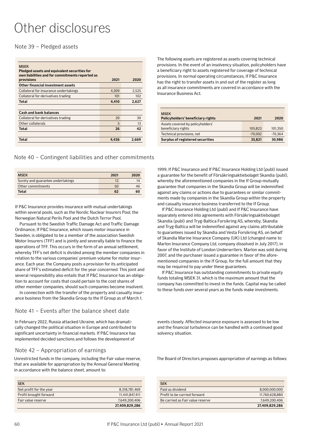# <span id="page-59-0"></span>Other disclosures

Note 39 – Pledged assets

| <b>MSEK</b><br>Pledged assets and equivalent securities for<br>own liabilities and for commitments reported as<br>provisions | 2021  | 2020  |
|------------------------------------------------------------------------------------------------------------------------------|-------|-------|
| Other financial investment assets                                                                                            |       |       |
| Collateral for insurance undertakings                                                                                        | 4.309 | 2.525 |
| Collateral for derivatives trading                                                                                           | 101   | 102   |
| Total                                                                                                                        | 4.410 | 2,627 |
|                                                                                                                              |       |       |
| <b>Cash and bank balances</b>                                                                                                |       |       |
| Collateral for derivatives trading                                                                                           | 20    | 30    |
| Other collaterals                                                                                                            | 5     | 13    |
| Total                                                                                                                        | 26    | 42    |
|                                                                                                                              |       |       |
| Total                                                                                                                        | 4.436 | 2.669 |

Note 40 – Contingent liabilities and other commitments

| <b>MSEK</b>                       | 2021 | 2020 |
|-----------------------------------|------|------|
| Surety and guarantee undertakings |      | 14   |
| Other commitments                 | 50   |      |
| Total                             | 62   | 60   |

If P&C Insurance provides insurance with mutual undertakings within several pools, such as the Nordic Nuclear Insurers Pool, the Norwegian Natural Perils Pool and the Dutch Terror Pool.

Pursuant to the Swedish Traffic Damage Act and Traffic Damage Ordinance, If P&C Insurance, which issues motor insurance in Sweden, is obligated to be a member of the association Swedish Motor Insurers (TFF) and is jointly and severally liable to finance the operations of TFF. This occurs in the form of an annual settlement, whereby TFF's net deficit is divided among the member companies in relation to the various companies' premium volume for motor insurance. Each year, the Company posts a provision for its anticipated share of TFF's estimated deficit for the year concerned. This joint and several responsibility also entails that If P&C Insurance has an obligation to account for costs that could pertain to the cost shares of other member companies, should such companies become insolvent.

In connection with the transfer of the property and casualty insurance business from the Skandia Group to the If Group as of March 1,

# Note 41 – Events after the balance sheet date

In February 2022, Russia attacked Ukraine, which has dramatically changed the political situation in Europe and contributed to significant uncertainty in financial markets. If P&C Insurance has implemented decided sanctions and follows the development of

# Note 42 – Appropriation of earnings

Unrestricted funds in the company, including the Fair value reserve, that are available for appropriation by the Annual General Meeting in accordance with the balance sheet, amount to:

| <b>SEK</b>              |                |
|-------------------------|----------------|
| Net profit for the year | 8.318.781.469  |
| Profit brought forward  | 11.441.847.411 |
| Fair value reserve      | 7,649,200,406  |
|                         | 27,409,829,286 |

The following assets are registered as assets covering technical provisions. In the event of an insolvency situation, policyholders have a beneficiary right to assets registered for coverage of technical provisions. In normal operating circumstances, If P&C Insurance has the right to transfer assets in and out of the register as long as all insurance commitments are covered in accordance with the Insurance Business Act.

| <b>MSEK</b><br>Policyholders' beneficiary rights | 2021      | 2020      |
|--------------------------------------------------|-----------|-----------|
| Assets covered by policyholders'                 |           |           |
| beneficiary rights                               | 105.823   | 101.350   |
| Technical provisions, net                        | $-70.002$ | $-70.364$ |
| Surplus of registered securities                 | 35,821    | 30,986    |

1999, If P&C Insurance and If P&C Insurance Holding Ltd (publ) issued a guarantee for the benefit of Försäkringsaktiebolaget Skandia (publ), whereby the aforementioned companies in the If Group mutually guarantee that companies in the Skandia Group will be indemnified against any claims or actions due to guarantees or similar commitments made by companies in the Skandia Group within the property and casualty insurance business transferred to the If Group.

If P&C Insurance Holding Ltd (publ) and If P&C Insurance have separately entered into agreements with Försäkringsaktiebolaget Skandia (publ) and Tryg-Baltica Forsikring AS, whereby, Skandia and Tryg-Baltica will be indemnified against any claims attributable to guarantees issued by Skandia and Vesta Forsikring AS, on behalf of Skandia Marine Insurance Company (UK) Ltd (changed name to Marlon Insurance Company Ltd, company dissolved in July 2017), in favor of the Institute of London Underwriters. Marlon was sold during 2007, and the purchaser issued a guarantee in favor of the aforementioned companies in the If Group, for the full amount that they may be required to pay under these guarantees.

If P&C Insurance has outstanding commitments to private equity funds totaling MSEK 31, which is the maximum amount that the company has committed to invest in the funds. Capital may be called to these funds over several years as the funds make investments.

events closely. Affected insurance exposure is assessed to be low and the financial turbulence can be handled with a continued good solvency situation.

The Board of Directors proposes appropriation of earnings as follows:

| <b>SEK</b>                       |                |
|----------------------------------|----------------|
| Paid as dividend                 | 8.000.000.000  |
| Profit to be carried forward     | 11.760.628.880 |
| Be carried as Fair value reserve | 7.649.200.406  |
|                                  | 27,409,829,286 |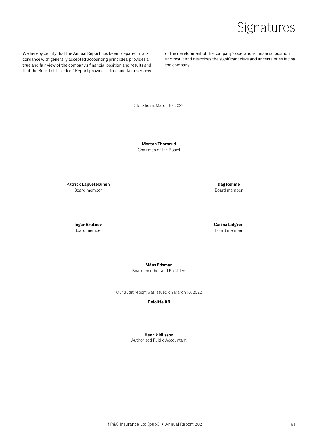# Signatures

<span id="page-60-0"></span>We hereby certify that the Annual Report has been prepared in accordance with generally accepted accounting principles, provides a true and fair view of the company's financial position and results and that the Board of Directors' Report provides a true and fair overview

of the development of the company's operations, financial position and result and describes the significant risks and uncertainties facing the company.

Stockholm, March 10, 2022

**Morten Thorsrud** Chairman of the Board

Patrick Lapveteläinen **Dag Rehme** Board member Board member Board member

**Ingar Brotnov Carina Lidgren** Board member **Board member** Board member

**Måns Edsman**

Board member and President

Our audit report was issued on March 10, 2022

**Deloitte AB**

**Henrik Nilsson** Authorized Public Accountant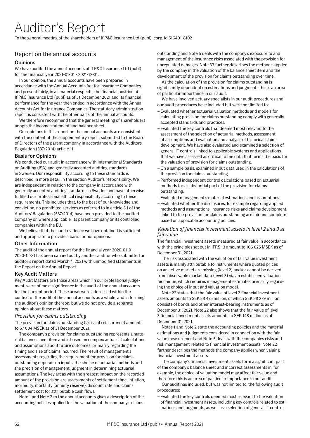# <span id="page-61-0"></span>Auditor's Report

To the general meeting of the shareholders of If P&C Insurance Ltd (publ), corp. id 516401-8102

# Report on the annual accounts

## **Opinions**

We have audited the annual accounts of If P&C Insurance Ltd (publ) for the financial year 2021-01-01 - 2021-12-31.

In our opinion, the annual accounts have been prepared in accordance with the Annual Accounts Act for Insurance Companies and present fairly, in all material respects, the financial position of If P&C Insurance Ltd (publ) as of 31 December 2021 and its financial performance for the year then ended in accordance with the Annual Accounts Act for Insurance Companies. The statutory administration report is consistent with the other parts of the annual accounts.

We therefore recommend that the general meeting of shareholders adopts the income statement and balance sheet.

Our opinions in this report on the annual accounts are consistent with the content of the supplementary report submitted to the Board of Directors of the parent company in accordance with the Auditors' Regulation (537/2014) article 11.

### Basis for Opinions

We conducted our audit in accordance with International Standards on Auditing (ISA) and generally accepted auditing standards in Sweden. Our responsibility according to these standards is described in more detail in the section Auditor's responsibility. We are independent in relation to the company in accordance with generally accepted auditing standards in Sweden and have otherwise fulfilled our professional ethical responsibility according to these requirements. This includes that, to the best of our knowledge and conviction, no prohibited services as referred to in article 5.1 of the Auditors' Regulation (537/2014) have been provided to the audited company or, where applicable, its parent company or its controlled companies within the EU.

We believe that the audit evidence we have obtained is sufficient and appropriate to provide a basis for our opinions.

### Other Information

The audit of the annual report for the financial year 2020-01-01 - 2020-12-31 has been carried out by another auditor who submitted an auditor's report dated March 4, 2021 with unmodified statements in the Report on the Annual Report.

## Key Audit Matters

Key Audit Matters are those areas which, in our professional judgement, were of most significance in the audit of the annual accounts for the current period. These areas were addressed within the context of the audit of the annual accounts as a whole, and in forming the auditor's opinion thereon, but we do not provide a separate opinion about these matters.

## *Provision for claims outstanding*

The provision for claims outstanding (gross of reinsurance) amounts to 67 004 MSEK as of 31 December 2021.

The company's provision for claims outstanding represents a material balance sheet item and is based on complex actuarial calculations and assumptions about future outcomes, primarily regarding the timing and size of claims incurred. The result of management's assessments regarding the requirement for provision for claims outstanding depends on inputs, the choice of actuarial methods and the precision of management judgment in determining actuarial assumptions. The key areas with the greatest impact on the recorded amount of the provision are assessments of settlement time, inflation, morbidity, mortality (annuity reserve), discount rate and claims settlement cost for attributable cash flows.

Note 1 and Note 2 to the annual accounts gives a description of the accounting policies applied for the valuation of the company's claims

outstanding and Note 5 deals with the company's exposure to and management of the insurance risks associated with the provision for unregulated damages. Note 33 further describes the methods applied by the company in the valuation of the balance sheet item and the development of the provision for claims outstanding over time.

As the calculation of the provision for claims outstanding is significantly dependent on estimations and judgments this is an area of particular importance in our audit.

We have involved actuary specialists in our audit procedures and our audit procedures have included but were not limited to:

- Evaluated whether actuarial valuation methods and models for calculating provision for claims outstanding comply with generally accepted standards and practices.
- Evaluated the key controls that deemed most relevant to the assessment of the selection of actuarial methods, assessment of assumptions and evaluation and analysis of historical claims development. We have also evaluated and examined a selection of general IT controls linked to applicable systems and applications that we have assessed as critical to the data that forms the basis for the valuation of provision for claims outstanding.
- –On a sample basis, examined input data used in the calculations of the provision for claims outstanding.
- Performed independent control calculations based on actuarial methods for a substantial part of the provision for claims outstanding.
- Evaluated management's material estimations and assumptions.
- Evaluated whether the disclosures, for example regarding applied methods and assumptions, insurance risks and claims development, linked to the provision for claims outstanding are fair and complete based on applicable accounting policies.

## *Valuation of financial investment assets in level 2 and 3 at fair value*

The financial investment assets measured at fair value in accordance with the principles set out in IFRS 13 amount to 106 025 MSEK as of December 31, 2021.

The risk associated with the valuation of fair value investment assets is mainly attributable to instruments where quoted prices on an active market are missing (level 2) and/or cannot be derived from observable market data (level 3) via an established valuation technique, which requires management estimates primarily regarding the choice of input and valuation model.

Note 22 states that the fair value of level 2 financial investment assets amounts to SEK 38 475 million, of which SEK 38 279 million consists of bonds and other interest-bearing instruments as of December 31, 2021. Note 22 also shows that the fair value of level 3 financial investment assets amounts to SEK 148 million as of December 31, 2021.

Notes 1 and Note 2 state the accounting policies and the material estimations and judgments considered in connection with the fair value measurement and Note 5 deals with the companies risks and risk management related to financial investment assets. Note 22 further describes the methods the company applies when valuing financial investment assets.

The company's financial investment assets form a significant part of the company's balance sheet and incorrect assessments in, for example, the choice of valuation model may affect fair value and therefore this is an area of particular importance in our audit.

Our audit has included, but was not limited to, the following audit procedures:

– Evaluated the key controls deemed most relevant to the valuation of financial investment assets, including key controls related to estimations and judgments, as well as a selection of general IT controls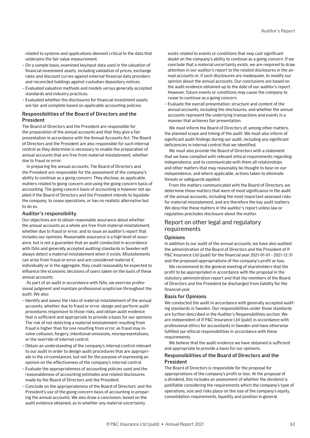related to systems and applications deemed critical to the data that underpins the fair value measurement.

- –On a sample basis, examined keyinput data used in the valuation of financial investment assets, including validation of prices, exchange rates and discount curves against external financial data providers and reconciled holdings against custodian depository notices.
- Evaluated valuation methods and models versus generally accepted standards and industry practices.
- Evaluated whether the disclosures for financial investment assets are fair and complete based on applicable accounting policies.

## Responsibilities of the Board of Directors and the President

The Board of Directors and the President are responsible for the preparation of the annual accounts and that they give a fair presentation in accordance with the Annual Accounts Act. The Board of Directors and the President are also responsible for such internal control as they determine is necessary to enable the preparation of annual accounts that are free from material misstatement, whether due to fraud or error.

In preparing the annual accounts, The Board of Directors and the President are responsible for the assessment of the company's ability to continue as a going concern. They disclose, as applicable, matters related to going concern and using the going concern basis of accounting. The going concern basis of accounting is however not applied if the Board of Directors and the President intends to liquidate the company, to cease operations, or has no realistic alternative but to do so.

### Auditor's responsibility

Our objectives are to obtain reasonable assurance about whether the annual accounts as a whole are free from material misstatement, whether due to fraud or error, and to issue an auditor's report that includes our opinions. Reasonable assurance is a high level of assurance, but is not a guarantee that an audit conducted in accordance with ISAs and generally accepted auditing standards in Sweden will always detect a material misstatement when it exists. Misstatements can arise from fraud or error and are considered material if, individually or in the aggregate, they could reasonably be expected to influence the economic decisions of users taken on the basis of these annual accounts.

As part of an audit in accordance with ISAs, we exercise professional judgment and maintain professional scepticism throughout the audit. We also:

- Identify and assess the risks of material misstatement of the annual accounts, whether due to fraud or error, design and perform audit procedures responsive to those risks, and obtain audit evidence that is sufficient and appropriate to provide a basis for our opinions. The risk of not detecting a material misstatement resulting from fraud is higher than for one resulting from error, as fraud may involve collusion, forgery, intentional omissions, misrepresentations, or the override of internal control.
- –Obtain an understanding of the company's internal control relevant to our audit in order to design audit procedures that are appropriate in the circumstances, but not for the purpose of expressing an opinion on the effectiveness of the company's internal control.
- Evaluate the appropriateness of accounting policies used and the reasonableness of accounting estimates and related disclosures made by the Board of Directors and the President.
- Conclude on the appropriateness of the Board of Directors' and the President's use of the going concern basis of accounting in preparing the annual accounts. We also draw a conclusion, based on the audit evidence obtained, as to whether any material uncertainty

exists related to events or conditions that may cast significant doubt on the company's ability to continue as a going concern. If we conclude that a material uncertainty exists, we are required to draw attention in our auditor's report to the related disclosures in the annual accounts or, if such disclosures are inadequate, to modify our opinion about the annual accounts. Our conclusions are based on the audit evidence obtained up to the date of our auditor's report. However, future events or conditions may cause the company to cease to continue as a going concern.

– Evaluate the overall presentation, structure and content of the annual accounts, including the disclosures, and whether the annual accounts represent the underlying transactions and events in a manner that achieves fair presentation.

We must inform the Board of Directors of, among other matters, the planned scope and timing of the audit. We must also inform of significant audit findings during our audit, including any significant deficiencies in internal control that we identified.

We must also provide the Board of Directors with a statement that we have complied with relevant ethical requirements regarding independence, and to communicate with them all relationships and other matters that may reasonably be thought to bear on our independence, and where applicable, actions taken to eliminate threats or safeguards applied.

From the matters communicated with the Board of Directors, we determine those matters that were of most significance in the audit of the annual accounts, including the most important assessed risks for material misstatement, and are therefore the key audit matters. We describe these matters in the auditor's report unless law or regulation precludes disclosure about the matter.

# Report on other legal and regulatory requirements

## Opinions

In addition to our audit of the annual accounts, we have also audited the administration of the Board of Directors and the President of If P&C Insurance Ltd (publ) for the financial year 2021-01-01 - 2021-12-31 and the proposed appropriations of the company's profit or loss.

We recommend to the general meeting of shareholders that the profit to be appropriated in accordance with the proposal in the statutory administration report and that the members of the Board of Directors and the President be discharged from liability for the financial year.

### Basis for Opinions

We conducted the audit in accordance with generally accepted auditing standards in Sweden. Our responsibilities under those standards are further described in the Auditor's Responsibilities section. We are independent of If P&C Insurance Ltd (publ) in accordance with professional ethics for accountants in Sweden and have otherwise fulfilled our ethical responsibilities in accordance with these requirements.

We believe that the audit evidence we have obtained is sufficient and appropriate to provide a basis for our opinions.

## Responsibilities of the Board of Directors and the President

The Board of Directors is responsible for the proposal for appropriations of the company's profit or loss. At the proposal of a dividend, this includes an assessment of whether the dividend is justifiable considering the requirements which the company's type of operations, size and risks place on the size of the company's equity, consolidation requirements, liquidity and position in general.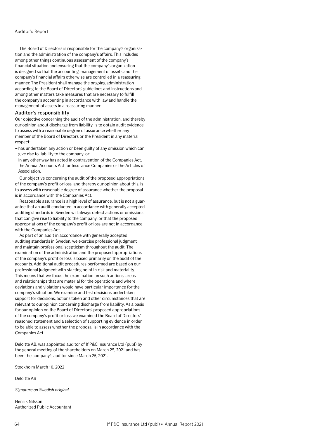The Board of Directors is responsible for the company's organization and the administration of the company's affairs. This includes among other things continuous assessment of the company's financial situation and ensuring that the company's organization is designed so that the accounting, management of assets and the company's financial affairs otherwise are controlled in a reassuring manner. The President shall manage the ongoing administration according to the Board of Directors' guidelines and instructions and among other matters take measures that are necessary to fulfill the company's accounting in accordance with law and handle the management of assets in a reassuring manner.

### Auditor's responsibility

Our objective concerning the audit of the administration, and thereby our opinion about discharge from liability, is to obtain audit evidence to assess with a reasonable degree of assurance whether any member of the Board of Directors or the President in any material respect:

- has undertaken any action or been guilty of any omission which can give rise to liability to the company, or
- in any other way has acted in contravention of the Companies Act, the Annual Accounts Act for Insurance Companies or the Articles of Association.

Our objective concerning the audit of the proposed appropriations of the company's profit or loss, and thereby our opinion about this, is to assess with reasonable degree of assurance whether the proposal is in accordance with the Companies Act.

Reasonable assurance is a high level of assurance, but is not a guarantee that an audit conducted in accordance with generally accepted auditing standards in Sweden will always detect actions or omissions that can give rise to liability to the company, or that the proposed appropriations of the company's profit or loss are not in accordance with the Companies Act.

As part of an audit in accordance with generally accepted auditing standards in Sweden, we exercise professional judgment and maintain professional scepticism throughout the audit. The examination of the administration and the proposed appropriations of the company's profit or loss is based primarily on the audit of the accounts. Additional audit procedures performed are based on our professional judgment with starting point in risk and materiality. This means that we focus the examination on such actions, areas and relationships that are material for the operations and where deviations and violations would have particular importance for the company's situation. We examine and test decisions undertaken, support for decisions, actions taken and other circumstances that are relevant to our opinion concerning discharge from liability. As a basis for our opinion on the Board of Directors' proposed appropriations of the company's profit or loss we examined the Board of Directors' reasoned statement and a selection of supporting evidence in order to be able to assess whether the proposal is in accordance with the Companies Act.

Deloitte AB, was appointed auditor of If P&C Insurance Ltd (publ) by the general meeting of the shareholders on March 25, 2021 and has been the company's auditor since March 25, 2021.

Stockholm March 10, 2022

Deloitte AB

*Signature on Swedish original*

Henrik Nilsson Authorized Public Accountant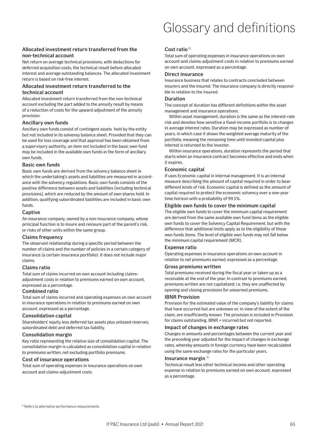# Glossary and definitions

# <span id="page-64-0"></span>Allocated investment return transferred from the non-technical account

Net return on average technical provisions, with deductions for deferred acquisition costs, the technical result before allocated interest and average outstanding balances. The allocated investment return is based on risk-free interest.

## Allocated investment return transferred to the technical account

Allocated investment return transferred from the non-technical account excluding the part added to the annuity result by means of a reduction of costs for the upward adjustment of the annuity provision.

## Ancillary own funds

Ancillary own funds consist of contingent assets held by the entity but not included in its solvensy balance sheet. Provided that they can be used for loss coverage and that approval has been obtained from a supervisory authority, an item not included in the basic own fund may be included in the available own funds in the form of ancillary own funds.

### Basic own funds

Basic own funds are derived from the solvency balance sheet in which the undertaking's assets and liabilities are measured in accordance with the solvency regulations. Basic own funds consists of the positive difference between assets and liabilities (including technical provisions), which are reduced by the amount of own shares held. In addition, qualifying subordinated liabilities are included in basic own funds.

### Captive

An insurance company, owned by a non-insurance company, whose principal function is to insure and reinsure part of the parent's risk, or risks of other units within the same group.

## Claims frequency

The observed relationship during a specific period between the number of claims and the number of policies in a certain category of insurance (a certain insurance portfolio). It does not include major claims.

## Claims ratio

Total sum of claims incurred on own account including claimsadjustment costs in relation to premiums earned on own account, expressed as a percentage.

## Combined ratio

Total sum of claims incurred and operating expenses on own account in insurance operations in relation to premiums earned on own account, expressed as a percentage.

## Consolidation capital

Shareholders' equity less deferred tax assets plus untaxed reserves, subordinated debt and deferred tax liability.

## Consolidation margin

Key ratio representing the relative size of consolidation capital. The consolidation margin is calculated as consolidation capital in relation to premiums written, net excluding portfolio premiums.

### Cost of insurance operations

Total sum of operating expenses in insurance operations on own account and claims-adjustment costs.

## Cost ratio<sup>1)</sup>

Total sum of operating expenses in insurance operations on own account and claims-adjustment costs in relation to premiums earned on own account, expressed as a percentage.

### Direct insurance

Insurance business that relates to contracts concluded between insurers and the insured. The insurance company is directly responsible in relation to the insured.

## Duration

The concept of duration has different definitions within the asset management and insurance operations.

Within asset management, duration is the same as the interest-rate risk and denotes how sensitive a fixed-income portfolio is to changes in average interest rates. Duration may be expressed as number of years, in which case it shows the weighted average maturity of the portfolio, meaning the remaining time until invested capital plus interest is returned to the investor.

Within insurance operations, duration represents the period that starts when an insurance contract becomes effective and ends when it expires.

## Economic capital

If uses Economic capital in internal management. It is an internal measure describing the amount of capital required in order to bear different kinds of risk. Economic capital is defined as the amount of capital required to protect the economic solvency over a one-year time horizon with a probability of 99.5%.

## Eligible own funds to cover the minimum capital

The eligible own funds to cover the minimum capital requirement are derived from the same available own fund items as the eligible own funds to cover the Solvency Capital Requirement, but with the difference that additional limits apply as to the eligibility of those own funds items. The level of eligible own funds may not fall below the minimum capital requirement (MCR).

### Expense ratio

Operating expenses in insurance operations on own account in relation to net premiums earned, expressed as a percentage.

### Gross premiums written

Total premiums received during the fiscal year or taken up as a receivable at the end of the year. In contrast to premiums earned, premiums written are not capitalized; i.e. they are unaffected by opening and closing provisions for unearned premiums.

### IBNR Provision

Provision for the estimated value of the company's liability for claims that have occurred but are unknown or, in view of the extent of the claim, are insufficiently known. The provision is included in Provision for claims outstanding. IBNR = incurred but not reported.

### Impact of changes in exchange rates

Changes in amounts and percentages between the current year and the preceding year adjusted for the impact of changes in exchange rates, whereby amounts in foreign currency have been recalculated using the same exchange rates for the particular years.

### Insurance margin 1)

Technical result less other technical income and other operating expense in relation to premiums earned on own account, expressed as a percentage.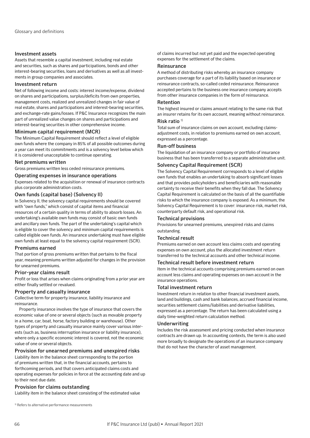### Investment assets

Assets that resemble a capital investment, including real estate and securities, such as shares and participations, bonds and other interest-bearing securities, loans and derivatives as well as all investments in group companies and associates.

### Investment return

Net of following income and costs: interest income/expense, dividend on shares and participations, surplus/deficits from own properties, management costs, realized and unrealized changes in fair value of real estate, shares and participations and interest-bearing securities, and exchange-rate gains/losses. If P&C Insurance recognizes the main part of unrealized value changes on shares and participations and interest-bearing securities in other comprehensive income.

### Minimum capital requirement (MCR)

The Minimum Capital Requirement should reflect a level of eligible own funds where the company in 85% of all possible outcomes during a year can meet its commitments and is a solvency level below which it is considered unacceptable to continue operating.

### Net premiums written

Gross premiums written less ceded reinsurance premiums.

### Operating expenses in insurance operations

Expenses related to the acquisition or renewal of insurance contracts plus corporate administration costs.

### Own funds (capital base) (Solvency II)

In Solvency II, the solvency capital requirements should be covered with "own funds," which consist of capital items and financial resources of a certain quality in terms of ability to absorb losses. An undertaking's available own funds may consist of basic own funds and ancillary own funds. The part of the undertaking's capital which is eligible to cover the solvency and minimum capital requirements is called eligible own funds. An insurance undertaking must have eligible own funds at least equal to the solvency capital requirement (SCR).

### Premiums earned

That portion of gross premiums written that pertains to the fiscal year, meaning premiums written adjusted for changes in the provision for unearned premiums.

### Prior-year claims result

Profit or loss that arises when claims originating from a prior year are either finally settled or revalued.

### Property and casualty insurance

Collective term for property insurance, liability insurance and reinsurance.

Property insurance involves the type of insurance that covers the economic value of one or several objects (such as movable property in a home, car, boat, horse, factory building or warehouse). Other types of property and casualty insurance mainly cover various interests (such as, business interruption insurance or liability insurance), where only a specific economic interest is covered, not the economic value of one or several objects.

## Provision for unearned premiums and unexpired risks

Liability item in the balance sheet corresponding to the portion of premiums written that, in the financial accounts, pertains to forthcoming periods, and that covers anticipated claims costs and operating expenses for policies in force at the accounting date and up to their next due date.

### Provision for claims outstanding

Liability item in the balance sheet consisting of the estimated value

of claims incurred but not yet paid and the expected operating expenses for the settlement of the claims.

### Reinsurance

A method of distributing risks whereby an insurance company purchases coverage for a part of its liability based on insurance or reinsurance contracts, so-called ceded reinsurance. Reinsurance accepted pertains to the business one insurance company accepts from other insurance companies in the form of reinsurance.

### Retention

The highest insured or claims amount relating to the same risk that an insurer retains for its own account, meaning without reinsurance.

## Risk ratio  $1$ )

Total sum of insurance claims on own account, excluding claimsadjustment costs, in relation to premiums earned on own account, expressed as a percentage.

### Run-off business

The liquidation of an insurance company or portfolio of insurance business that has been transferred to a separate administrative unit.

### Solvency Capital Requirement (SCR)

The Solvency Capital Requirement corresponds to a level of eligible own funds that enables an undertaking to absorb significant losses and that provides policyholders and beneficiaries with reasonable certainty to receive their benefits when they fall due. The Solvency Capital Requirement is calculated on the basis of all the quantifiable risks to which the insurance company is exposed. As a minimum, the Solvency Capital Requirement is to cover: insurance risk, market risk, counterparty default risk, and operational risk.

### Technical provisions

Provisions for unearned premiums, unexpired risks and claims outstanding.

### Technical result

Premiums earned on own account less claims costs and operating expenses on own account, plus the allocated investment return transferred to the technical accounts and other technical income.

### Technical result before investment return

Item in the technical accounts comprising premiums earned on own account less claims and operating expenses on own account in the insurance operations.

### Total investment return

Investment return in relation to other financial investment assets, land and buildings, cash and bank balances, accrued financial income, securities settlement claims/liabilities and derivative liabilities, expressed as a percentage. The return has been calculated using a daily time-weighted return calculation method.

### Underwriting

Includes the risk assessment and pricing conducted when insurance contracts are drawn up. In accounting contexts, the term is also used more broadly to designate the operations of an insurance company that do not have the character of asset management.

<sup>1)</sup> Refers to alternative performance measurements